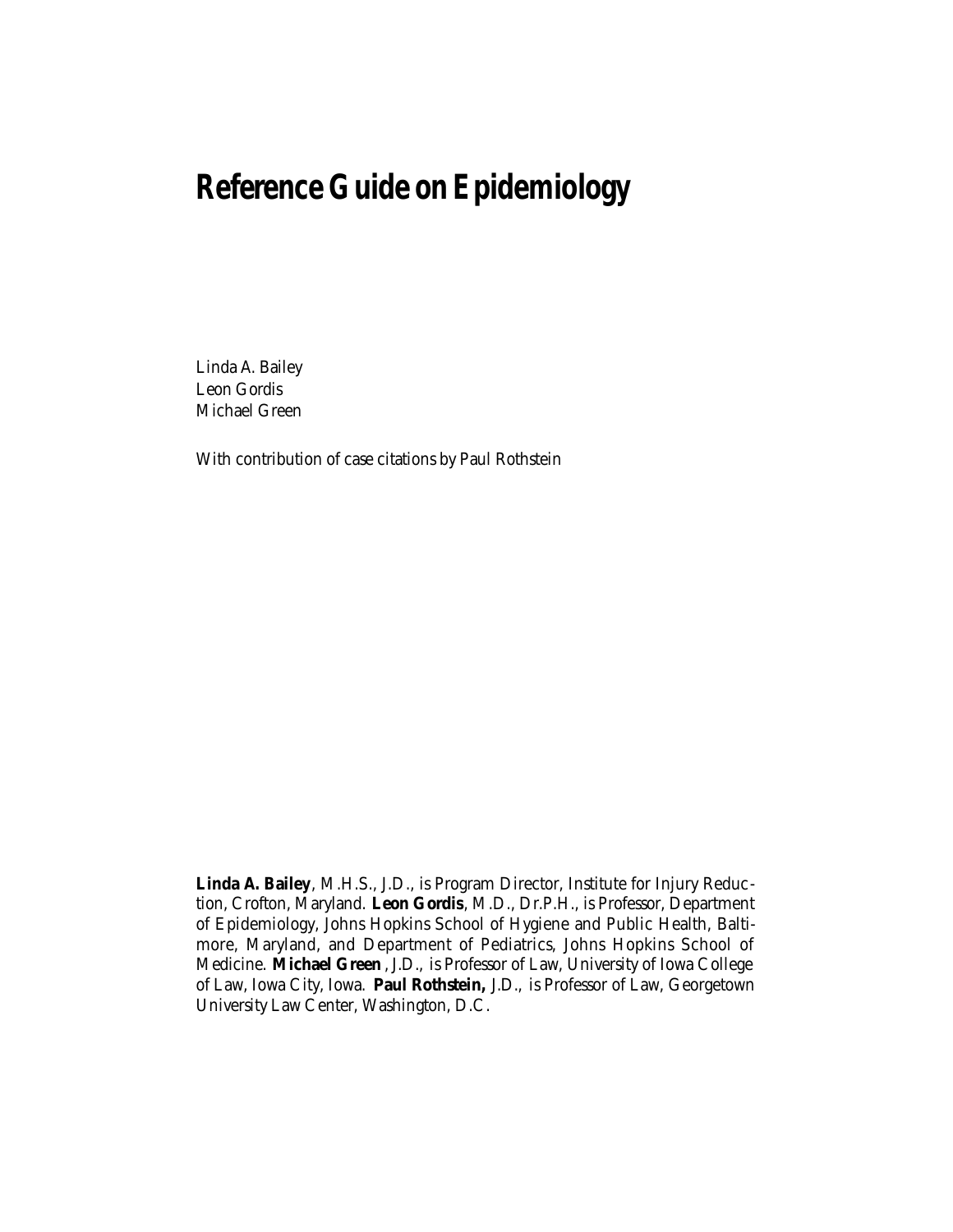# **Reference Guide on Epidemiology**

Linda A. Bailey Leon Gordis Michael Green

With contribution of case citations by Paul Rothstein

**Linda A. Bailey** , M.H.S., J.D., is Program Director, Institute for Injury Reduction, Crofton, Maryland. **Leon Gordis**, M.D., Dr.P.H., is Professor, Department of Epidemiology, Johns Hopkins School of Hygiene and Public Health, Baltimore, Maryland, and Department of Pediatrics, Johns Hopkins School of Medicine. **Michael Green** , J.D., is Professor of Law, University of Iowa College of Law, Iowa City, Iowa. **Paul Rothstein,** J.D., is Professor of Law, Georgetown University Law Center, Washington, D.C.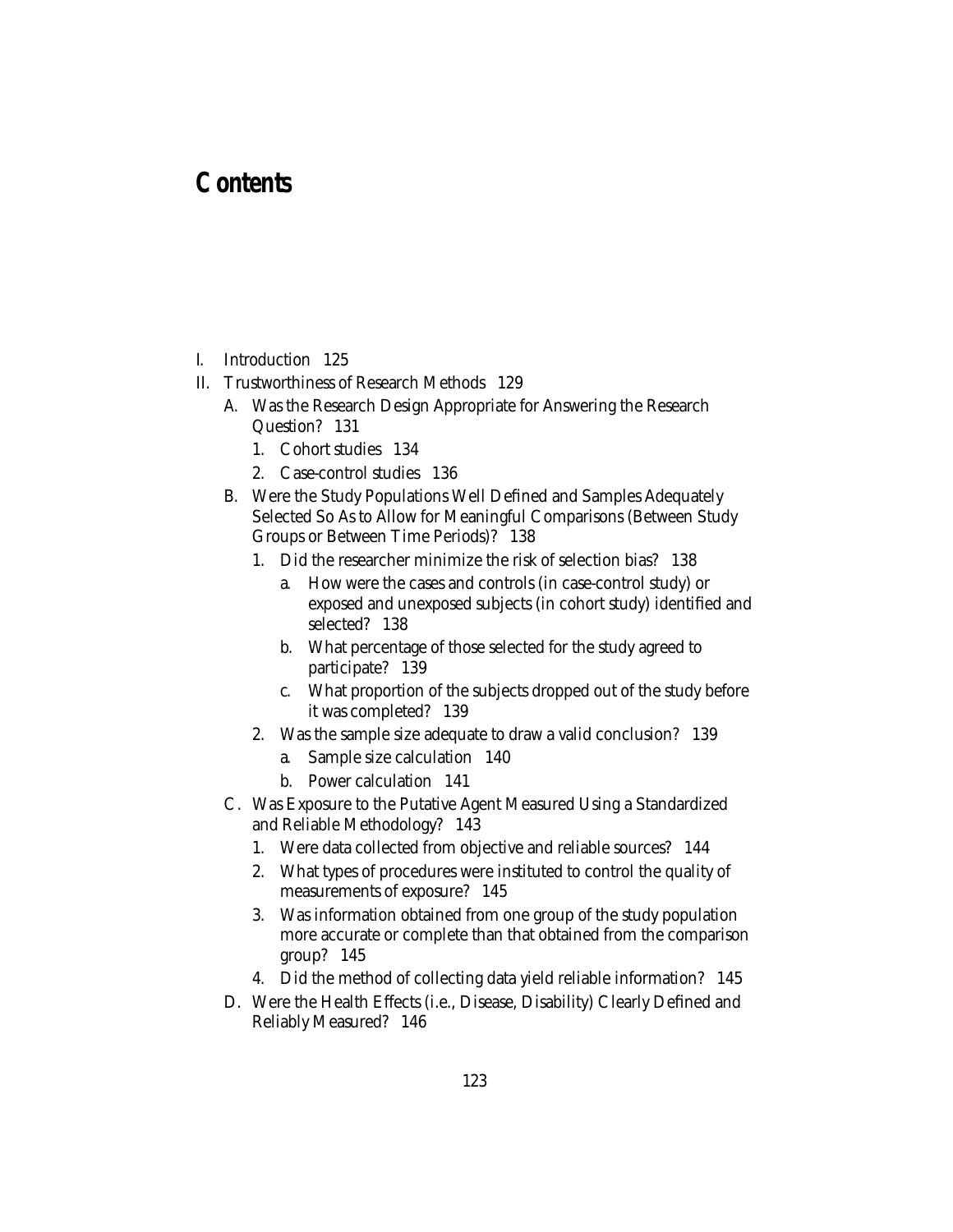# **Contents**

- I. Introduction 125
- II. Trustworthiness of Research Methods 129
	- A. Was the Research Design Appropriate for Answering the Research Question? 131
		- 1. Cohort studies 134
		- 2. Case-control studies 136
	- B. Were the Study Populations Well Defined and Samples Adequately Selected So As to Allow for Meaningful Comparisons (Between Study Groups or Between Time Periods)? 138
		- 1. Did the researcher minimize the risk of selection bias? 138
			- a. How were the cases and controls (in case-control study) or exposed and unexposed subjects (in cohort study) identified and selected? 138
			- b. What percentage of those selected for the study agreed to participate? 139
			- c. What proportion of the subjects dropped out of the study before it was completed? 139
		- 2. Was the sample size adequate to draw a valid conclusion? 139
			- a. Sample size calculation 140
			- b. Power calculation 141
	- C. Was Exposure to the Putative Agent Measured Using a Standardized and Reliable Methodology? 143
		- 1. Were data collected from objective and reliable sources? 144
		- 2. What types of procedures were instituted to control the quality of measurements of exposure? 145
		- 3. Was information obtained from one group of the study population more accurate or complete than that obtained from the comparison group? 145
		- 4. Did the method of collecting data yield reliable information? 145
	- D. Were the Health Effects (i.e., Disease, Disability) Clearly Defined and Reliably Measured? 146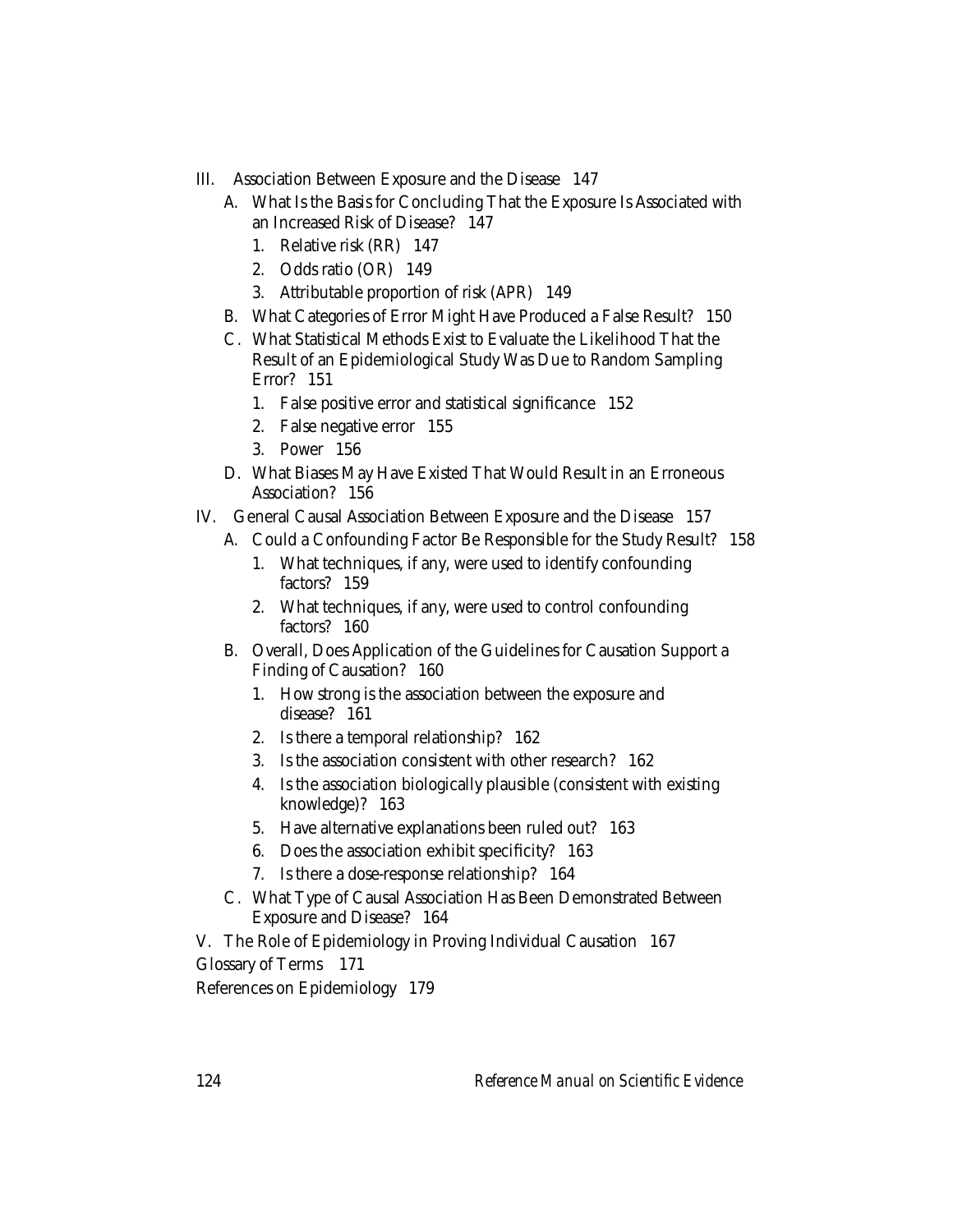- III. Association Between Exposure and the Disease 147
	- A. What Is the Basis for Concluding That the Exposure Is Associated with an Increased Risk of Disease? 147
		- 1. Relative risk (RR) 147
		- 2. Odds ratio (OR) 149
		- 3. Attributable proportion of risk (APR) 149
	- B. What Categories of Error Might Have Produced a False Result? 150
	- C. What Statistical Methods Exist to Evaluate the Likelihood That the Result of an Epidemiological Study Was Due to Random Sampling Error? 151
		- 1. False positive error and statistical significance 152
		- 2. False negative error 155
		- 3. Power 156
	- D. What Biases May Have Existed That Would Result in an Erroneous Association? 156
- IV. General Causal Association Between Exposure and the Disease 157
	- A. Could a Confounding Factor Be Responsible for the Study Result? 158
		- 1. What techniques, if any, were used to identify confounding factors? 159
		- 2. What techniques, if any, were used to control confounding factors? 160
	- B. Overall, Does Application of the Guidelines for Causation Support a Finding of Causation? 160
		- 1. How strong is the association between the exposure and disease? 161
		- 2. Is there a temporal relationship? 162
		- 3. Is the association consistent with other research? 162
		- 4. Is the association biologically plausible (consistent with existing knowledge)? 163
		- 5. Have alternative explanations been ruled out? 163
		- 6. Does the association exhibit specificity? 163
		- 7. Is there a dose-response relationship? 164
	- C. What Type of Causal Association Has Been Demonstrated Between Exposure and Disease? 164

V. The Role of Epidemiology in Proving Individual Causation 167 Glossary of Terms 171 References on Epidemiology 179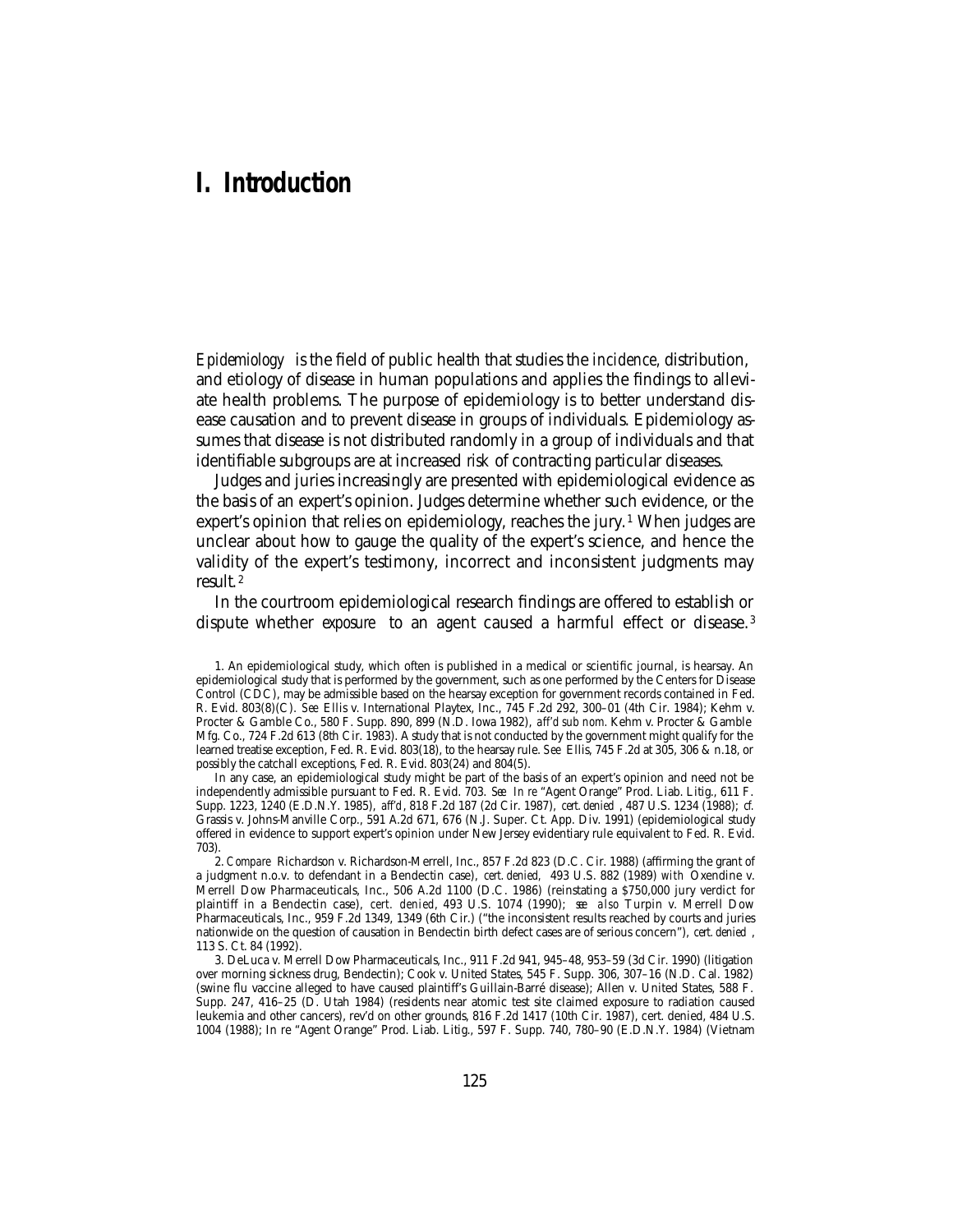## **I. Introduction**

*Epidemiology* is the field of public health that studies the *incidence,* distribution, and etiology of disease in human populations and applies the findings to alleviate health problems. The purpose of epidemiology is to better understand disease causation and to prevent disease in groups of individuals. Epidemiology assumes that disease is not distributed randomly in a group of individuals and that identifiable subgroups are at increased *risk* of contracting particular diseases.

Judges and juries increasingly are presented with epidemiological evidence as the basis of an expert's opinion. Judges determine whether such evidence, or the expert's opinion that relies on epidemiology, reaches the jury.<sup>1</sup> When judges are unclear about how to gauge the quality of the expert's science, and hence the validity of the expert's testimony, incorrect and inconsistent judgments may result. <sup>2</sup>

In the courtroom epidemiological research findings are offered to establish or dispute whether *exposure* to an agent caused a harmful effect or disease. <sup>3</sup>

In any case, an epidemiological study might be part of the basis of an expert's opinion and need not be independently admissible pursuant to Fed. R. Evid. 703. *See In re* "Agent Orange" Prod. Liab. Litig., 611 F. Supp. 1223, 1240 (E.D.N.Y. 1985), *aff'd*, 818 F.2d 187 (2d Cir. 1987), *cert. denied* , 487 U.S. 1234 (1988); *cf.* Grassis v. Johns-Manville Corp., 591 A.2d 671, 676 (N.J. Super. Ct. App. Div. 1991) (epidemiological study offered in evidence to support expert's opinion under New Jersey evidentiary rule equivalent to Fed. R. Evid. 703).

2. *Compare* Richardson v. Richardson-Merrell, Inc., 857 F.2d 823 (D.C. Cir. 1988) (affirming the grant of a judgment n.o.v. to defendant in a Bendectin case), *cert. denied,* 493 U.S. 882 (1989) *with* Oxendine v. Merrell Dow Pharmaceuticals, Inc., 506 A.2d 1100 (D.C. 1986) (reinstating a \$750,000 jury verdict for plaintiff in a Bendectin case), *cert. denied*, 493 U.S. 1074 (1990); *see also* Turpin v. Merrell Dow Pharmaceuticals, Inc., 959 F.2d 1349, 1349 (6th Cir.) ("the inconsistent results reached by courts and juries nationwide on the question of causation in Bendectin birth defect cases are of serious concern"), *cert. denied* , 113 S. Ct. 84 (1992).

3. DeLuca v. Merrell Dow Pharmaceuticals, Inc., 911 F.2d 941, 945–48, 953–59 (3d Cir. 1990) (litigation over morning sickness drug, Bendectin); Cook v. United States, 545 F. Supp. 306, 307–16 (N.D. Cal. 1982) (swine flu vaccine alleged to have caused plaintiff's Guillain-Barré disease); Allen v. United States, 588 F. Supp. 247, 416–25 (D. Utah 1984) (residents near atomic test site claimed exposure to radiation caused leukemia and other cancers), rev'd on other grounds, 816 F.2d 1417 (10th Cir. 1987), cert. denied, 484 U.S. 1004 (1988); In re "Agent Orange" Prod. Liab. Litig., 597 F. Supp. 740, 780–90 (E.D.N.Y. 1984) (Vietnam

<sup>1.</sup> An epidemiological study, which often is published in a medical or scientific journal, is hearsay. An epidemiological study that is performed by the government, such as one performed by the Centers for Disease Control (CDC), may be admissible based on the hearsay exception for government records contained in Fed. R. Evid. 803(8)(C). *See* Ellis v. International Playtex, Inc., 745 F.2d 292, 300–01 (4th Cir. 1984); Kehm v. Procter & Gamble Co., 580 F. Supp. 890, 899 (N.D. Iowa 1982), *aff'd sub nom.* Kehm v. Procter & Gamble Mfg. Co., 724 F.2d 613 (8th Cir. 1983). A study that is not conducted by the government might qualify for the learned treatise exception, Fed. R. Evid. 803(18), to the hearsay rule. *See* Ellis, 745 F.2d at 305, 306 & n.18, or possibly the catchall exceptions, Fed. R. Evid. 803(24) and 804(5).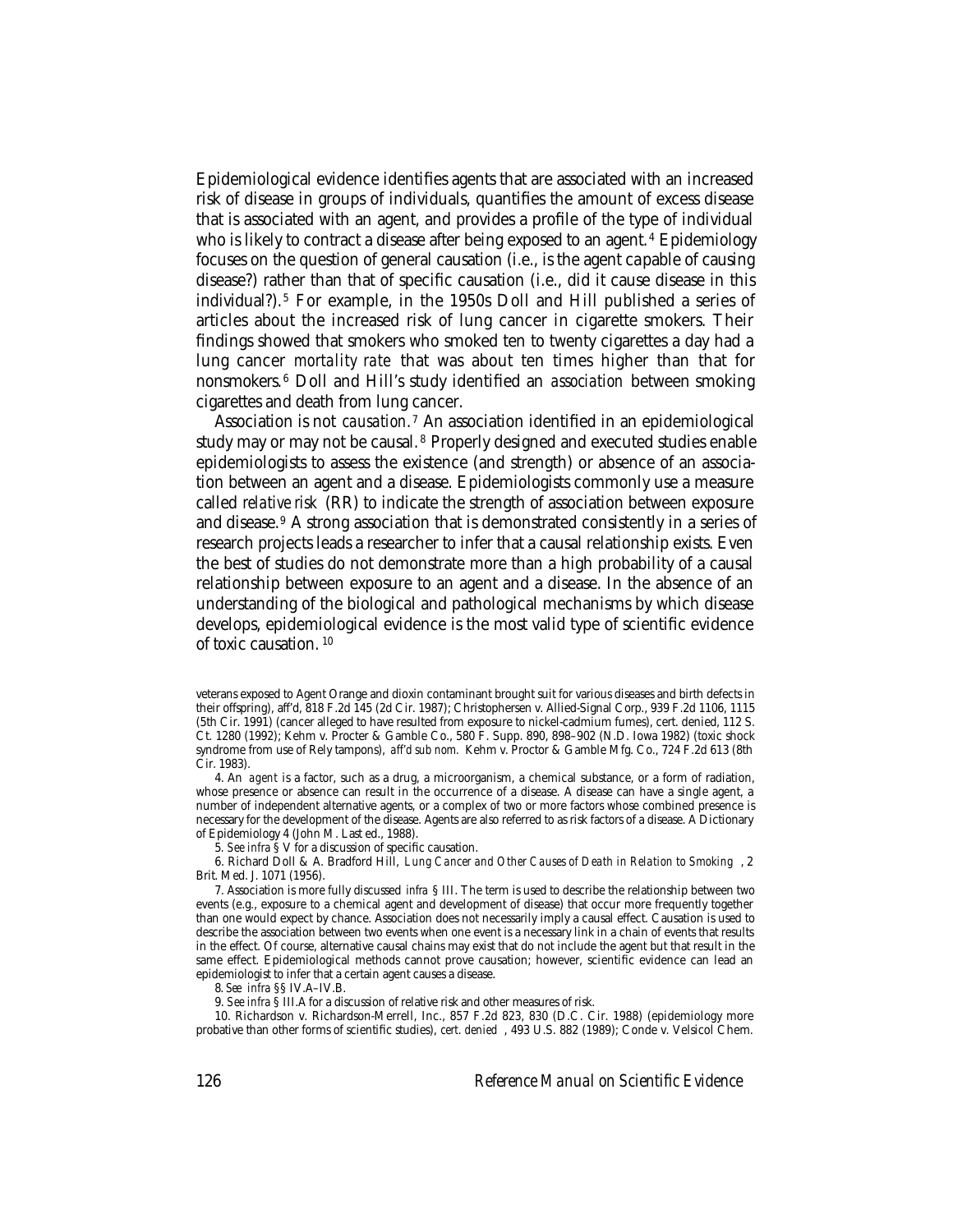Epidemiological evidence identifies agents that are associated with an increased risk of disease in groups of individuals, quantifies the amount of excess disease that is associated with an agent, and provides a profile of the type of individual who is likely to contract a disease after being exposed to an agent.<sup>4</sup> Epidemiology focuses on the question of general causation (i.e., is the agent capable of causing disease?) rather than that of specific causation (i.e., did it cause disease in this individual?). 5 For example, in the 1950s Doll and Hill published a series of articles about the increased risk of lung cancer in cigarette smokers. Their findings showed that smokers who smoked ten to twenty cigarettes a day had a lung cancer *mortality rate* that was about ten times higher than that for nonsmokers. 6 Doll and Hill's study identified an *association* between smoking cigarettes and death from lung cancer.

Association is not *causation*. 7 An association identified in an epidemiological study may or may not be causal. 8 Properly designed and executed studies enable epidemiologists to assess the existence (and strength) or absence of an association between an agent and a disease. Epidemiologists commonly use a measure called *relative risk* (RR) to indicate the strength of association between exposure and disease.9 A strong association that is demonstrated consistently in a series of research projects leads a researcher to infer that a causal relationship exists. Even the best of studies do not demonstrate more than a high probability of a causal relationship between exposure to an agent and a disease. In the absence of an understanding of the biological and pathological mechanisms by which disease develops, epidemiological evidence is the most valid type of scientific evidence of toxic causation. <sup>10</sup>

4. An *agent* is a factor, such as a drug, a microorganism, a chemical substance, or a form of radiation, whose presence or absence can result in the occurrence of a disease. A disease can have a single agent, a number of independent alternative agents, or a complex of two or more factors whose combined presence is necessary for the development of the disease. Agents are also referred to as risk factors of a disease. A Dictionary of Epidemiology 4 (John M. Last ed., 1988).

5*. See infra* § V for a discussion of specific causation.

6. Richard Doll & A. Bradford Hill, *Lung Cancer and Other Causes of Death in Relation to Smoking* , 2 Brit. Med. J. 1071 (1956).

7. Association is more fully discussed *infra* § III. The term is used to describe the relationship between two events (e.g., exposure to a chemical agent and development of disease) that occur more frequently together than one would expect by chance. Association does not necessarily imply a causal effect. Causation is used to describe the association between two events when one event is a necessary link in a chain of events that results in the effect. Of course, alternative causal chains may exist that do not include the agent but that result in the same effect. Epidemiological methods cannot prove causation; however, scientific evidence can lead an epidemiologist to infer that a certain agent causes a disease.

8. *See infra* §§ IV.A–IV.B.

9. *See infra* § III.A for a discussion of relative risk and other measures of risk.

10. Richardson v. Richardson-Merrell, Inc., 857 F.2d 823, 830 (D.C. Cir. 1988) (epidemiology more probative than other forms of scientific studies), *cert. denied* , 493 U.S. 882 (1989); Conde v. Velsicol Chem.

veterans exposed to Agent Orange and dioxin contaminant brought suit for various diseases and birth defects in their offspring), aff'd, 818 F.2d 145 (2d Cir. 1987); Christophersen v. Allied-Signal Corp., 939 F.2d 1106, 1115 (5th Cir. 1991) (cancer alleged to have resulted from exposure to nickel-cadmium fumes), cert. denied, 112 S. Ct. 1280 (1992); Kehm v. Procter & Gamble Co., 580 F. Supp. 890, 898–902 (N.D. Iowa 1982) (toxic shock syndrome from use of Rely tampons), *aff'd sub nom.* Kehm v. Proctor & Gamble Mfg. Co., 724 F.2d 613 (8th Cir. 1983).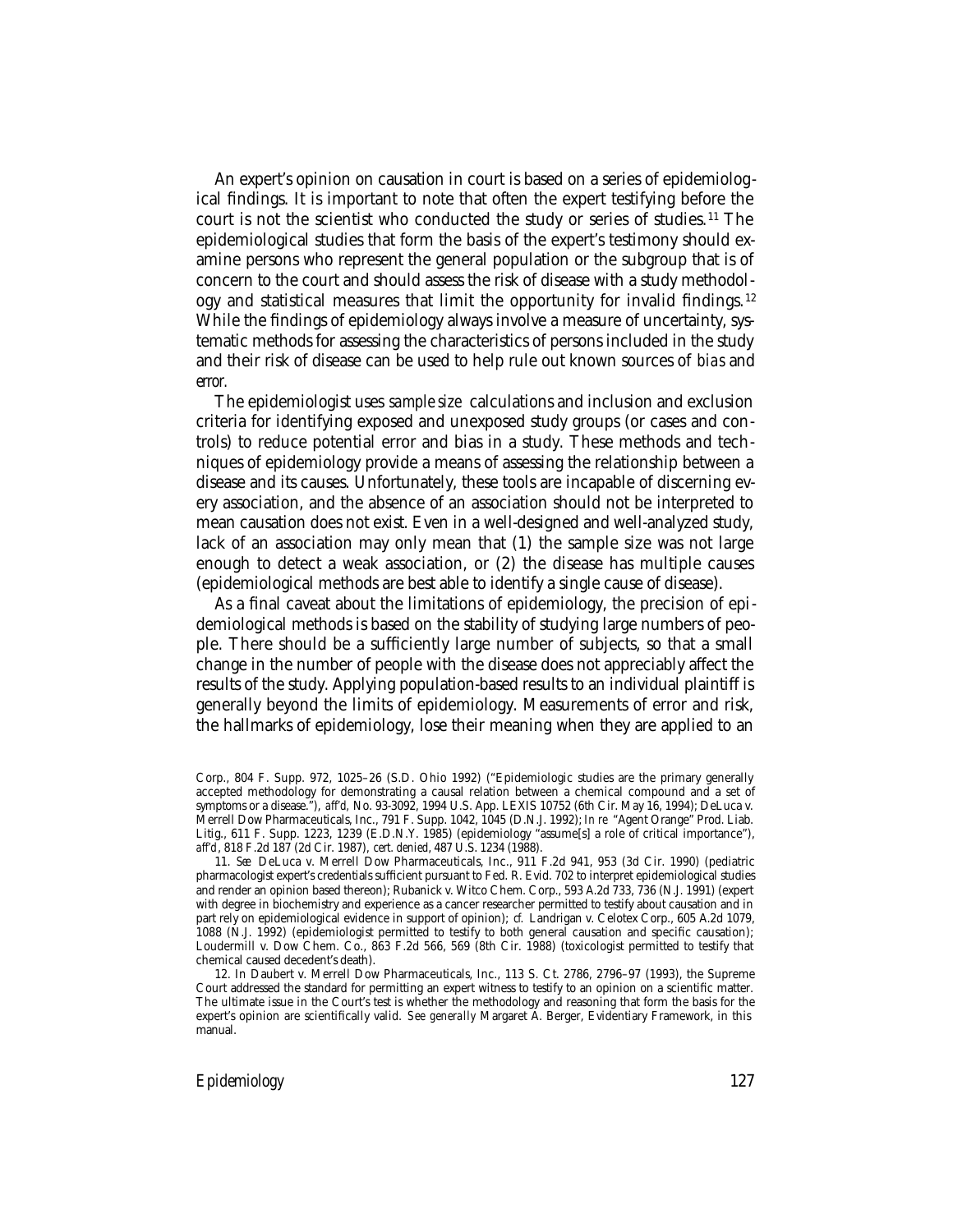An expert's opinion on causation in court is based on a series of epidemiological findings. It is important to note that often the expert testifying before the court is not the scientist who conducted the study or series of studies. 11 The epidemiological studies that form the basis of the expert's testimony should examine persons who represent the general population or the subgroup that is of concern to the court and should assess the risk of disease with a study methodology and statistical measures that limit the opportunity for invalid findings. <sup>12</sup> While the findings of epidemiology always involve a measure of uncertainty, systematic methods for assessing the characteristics of persons included in the study and their risk of disease can be used to help rule out known sources of *bias* and *error.*

The epidemiologist uses *sample size* calculations and inclusion and exclusion criteria for identifying exposed and unexposed study groups (or cases and controls) to reduce potential error and bias in a study. These methods and techniques of epidemiology provide a means of assessing the relationship between a disease and its causes. Unfortunately, these tools are incapable of discerning every association, and the absence of an association should not be interpreted to mean causation does not exist. Even in a well-designed and well-analyzed study, lack of an association may only mean that (1) the sample size was not large enough to detect a weak association, or (2) the disease has multiple causes (epidemiological methods are best able to identify a single cause of disease).

As a final caveat about the limitations of epidemiology, the precision of epidemiological methods is based on the stability of studying large numbers of people. There should be a sufficiently large number of subjects, so that a small change in the number of people with the disease does not appreciably affect the results of the study. Applying population-based results to an individual plaintiff is generally beyond the limits of epidemiology. Measurements of error and risk, the hallmarks of epidemiology, lose their meaning when they are applied to an

Corp., 804 F. Supp. 972, 1025–26 (S.D. Ohio 1992) ("Epidemiologic studies are the primary generally accepted methodology for demonstrating a causal relation between a chemical compound and a set of symptoms or a disease."), *aff'd,* No. 93-3092, 1994 U.S. App. LEXIS 10752 (6th Cir. May 16, 1994); DeLuca v. Merrell Dow Pharmaceuticals, Inc., 791 F. Supp. 1042, 1045 (D.N.J. 1992); *In re* "Agent Orange" Prod. Liab. Litig., 611 F. Supp. 1223, 1239 (E.D.N.Y. 1985) (epidemiology "assume[s] a role of critical importance"), *aff'd*, 818 F.2d 187 (2d Cir. 1987), *cert. denied*, 487 U.S. 1234 (1988).

<sup>11.</sup> *See* DeLuca v. Merrell Dow Pharmaceuticals, Inc., 911 F.2d 941, 953 (3d Cir. 1990) (pediatric pharmacologist expert's credentials sufficient pursuant to Fed. R. Evid. 702 to interpret epidemiological studies and render an opinion based thereon); Rubanick v. Witco Chem. Corp., 593 A.2d 733, 736 (N.J. 1991) (expert with degree in biochemistry and experience as a cancer researcher permitted to testify about causation and in part rely on epidemiological evidence in support of opinion); *cf.* Landrigan v. Celotex Corp., 605 A.2d 1079, 1088 (N.J. 1992) (epidemiologist permitted to testify to both general causation and specific causation); Loudermill v. Dow Chem. Co., 863 F.2d 566, 569 (8th Cir. 1988) (toxicologist permitted to testify that chemical caused decedent's death).

<sup>12.</sup> In Daubert v. Merrell Dow Pharmaceuticals, Inc., 113 S. Ct. 2786, 2796–97 (1993), the Supreme Court addressed the standard for permitting an expert witness to testify to an opinion on a scientific matter. The ultimate issue in the Court's test is whether the methodology and reasoning that form the basis for the expert's opinion are scientifically valid. *See generally* Margaret A. Berger, Evidentiary Framework, in this manual.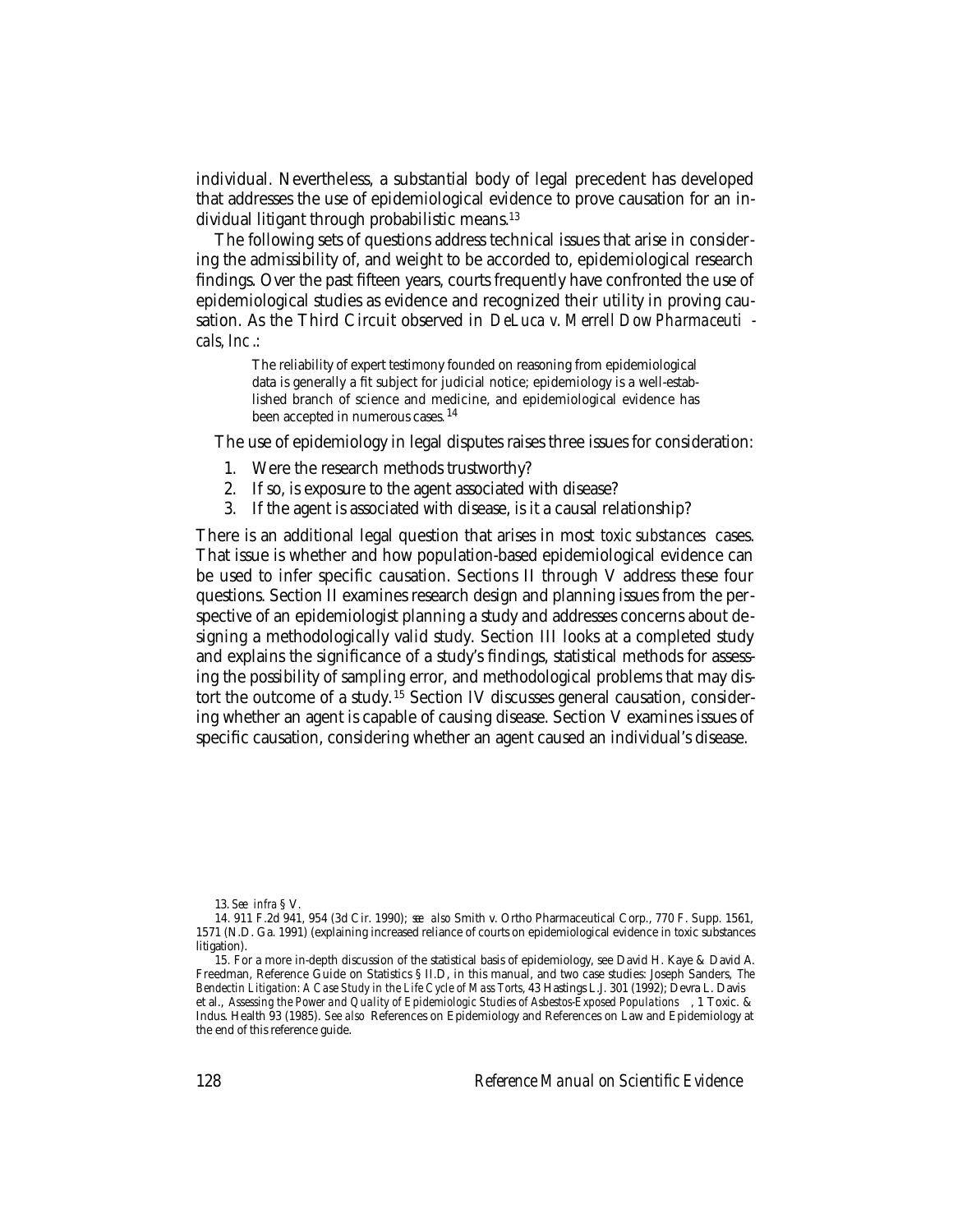individual. Nevertheless, a substantial body of legal precedent has developed that addresses the use of epidemiological evidence to prove causation for an individual litigant through probabilistic means.13

The following sets of questions address technical issues that arise in considering the admissibility of, and weight to be accorded to, epidemiological research findings. Over the past fifteen years, courts frequently have confronted the use of epidemiological studies as evidence and recognized their utility in proving causation. As the Third Circuit observed in *DeLuca v. Merrell Dow Pharmaceuti cals, Inc* .:

The reliability of expert testimony founded on reasoning from epidemiological data is generally a fit subject for judicial notice; epidemiology is a well-established branch of science and medicine, and epidemiological evidence has been accepted in numerous cases. <sup>14</sup>

The use of epidemiology in legal disputes raises three issues for consideration:

- 1. Were the research methods trustworthy?
- 2. If so, is exposure to the agent associated with disease?
- 3. If the agent is associated with disease, is it a causal relationship?

There is an additional legal question that arises in most *toxic substances* cases. That issue is whether and how population-based epidemiological evidence can be used to infer specific causation. Sections II through V address these four questions. Section II examines research design and planning issues from the perspective of an epidemiologist planning a study and addresses concerns about designing a methodologically valid study. Section III looks at a completed study and explains the significance of a study's findings, statistical methods for assessing the possibility of sampling error, and methodological problems that may distort the outcome of a study. 15 Section IV discusses general causation, considering whether an agent is capable of causing disease. Section V examines issues of specific causation, considering whether an agent caused an individual's disease.

13. *See infra* § V.

<sup>14. 911</sup> F.2d 941, 954 (3d Cir. 1990); *see also* Smith v. Ortho Pharmaceutical Corp., 770 F. Supp. 1561, 1571 (N.D. Ga. 1991) (explaining increased reliance of courts on epidemiological evidence in toxic substances litigation).

<sup>15.</sup> For a more in-depth discussion of the statistical basis of epidemiology, see David H. Kaye & David A. Freedman, Reference Guide on Statistics § II.D, in this manual, and two case studies: Joseph Sanders, *The Bendectin Litigation: A Case Study in the Life Cycle of Mass Torts*, 43 Hastings L.J. 301 (1992); Devra L. Davis et al., *Assessing the Power and Quality of Epidemiologic Studies of Asbestos-Exposed Populations* , 1 Toxic. & Indus. Health 93 (1985). *See also* References on Epidemiology and References on Law and Epidemiology at the end of this reference guide.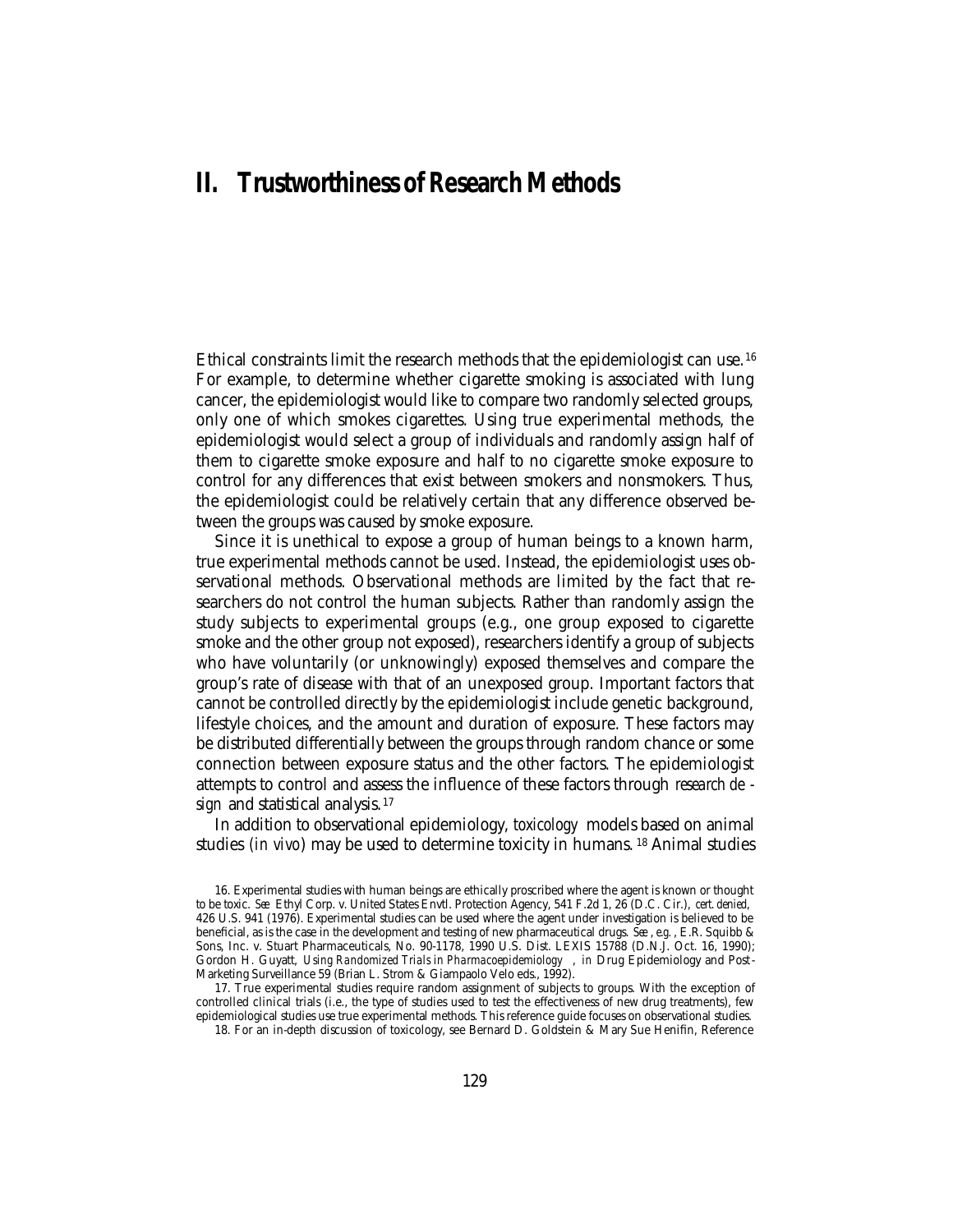# **II. Trustworthiness of Research Methods**

Ethical constraints limit the research methods that the epidemiologist can use. <sup>16</sup> For example, to determine whether cigarette smoking is associated with lung cancer, the epidemiologist would like to compare two randomly selected groups, only one of which smokes cigarettes. Using true experimental methods, the epidemiologist would select a group of individuals and randomly assign half of them to cigarette smoke exposure and half to no cigarette smoke exposure to control for any differences that exist between smokers and nonsmokers. Thus, the epidemiologist could be relatively certain that any difference observed between the groups was caused by smoke exposure.

Since it is unethical to expose a group of human beings to a known harm, true experimental methods cannot be used. Instead, the epidemiologist uses observational methods. Observational methods are limited by the fact that researchers do not control the human subjects. Rather than randomly assign the study subjects to experimental groups (e.g., one group exposed to cigarette smoke and the other group not exposed), researchers identify a group of subjects who have voluntarily (or unknowingly) exposed themselves and compare the group's rate of disease with that of an unexposed group. Important factors that cannot be controlled directly by the epidemiologist include genetic background, lifestyle choices, and the amount and duration of exposure. These factors may be distributed differentially between the groups through random chance or some connection between exposure status and the other factors. The epidemiologist attempts to control and assess the influence of these factors through *research de sign* and statistical analysis. <sup>17</sup>

In addition to observational epidemiology, *toxicology* models based on animal studies *(in vivo*) may be used to determine toxicity in humans. 18 Animal studies

17. True experimental studies require random assignment of subjects to groups. With the exception of controlled clinical trials (i.e., the type of studies used to test the effectiveness of new drug treatments), few epidemiological studies use true experimental methods. This reference guide focuses on observational studies.

18. For an in-depth discussion of toxicology, see Bernard D. Goldstein & Mary Sue Henifin, Reference

<sup>16.</sup> Experimental studies with human beings are ethically proscribed where the agent is known or thought to be toxic. *See* Ethyl Corp. v. United States Envtl. Protection Agency, 541 F.2d 1, 26 (D.C. Cir.), *cert. denied*, 426 U.S. 941 (1976). Experimental studies can be used where the agent under investigation is believed to be beneficial, as is the case in the development and testing of new pharmaceutical drugs. *See* , *e.g.* , E.R. Squibb & Sons, Inc. v. Stuart Pharmaceuticals, No. 90-1178, 1990 U.S. Dist. LEXIS 15788 (D.N.J. Oct. 16, 1990); Gordon H. Guyatt, *Using Randomized Trials in Pharmacoepidemiology* , *in* Drug Epidemiology and Post - Marketing Surveillance 59 (Brian L. Strom & Giampaolo Velo eds., 1992).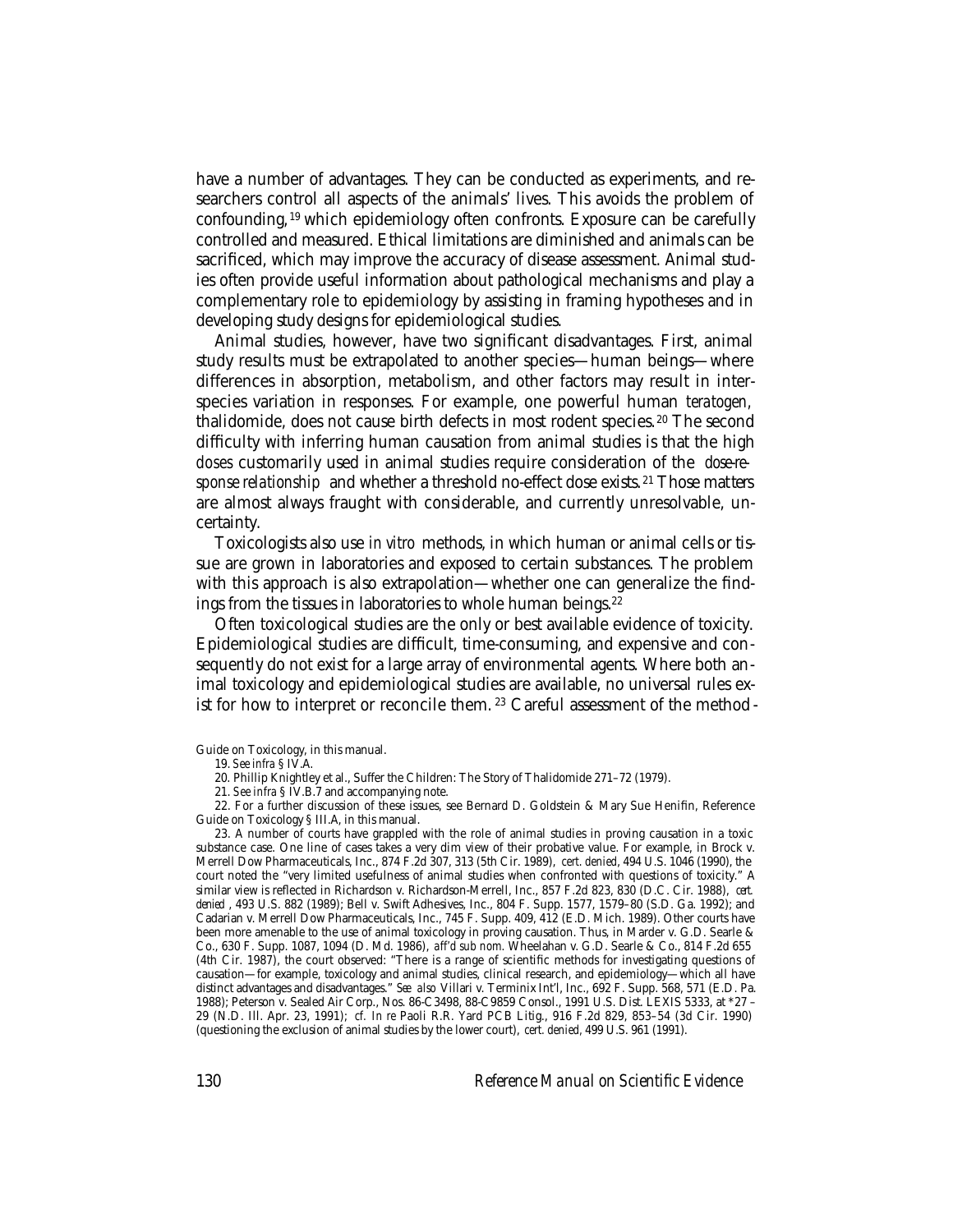have a number of advantages. They can be conducted as experiments, and researchers control all aspects of the animals' lives. This avoids the problem of confounding, <sup>19</sup> which epidemiology often confronts. Exposure can be carefully controlled and measured. Ethical limitations are diminished and animals can be sacrificed, which may improve the accuracy of disease assessment. Animal studies often provide useful information about pathological mechanisms and play a complementary role to epidemiology by assisting in framing hypotheses and in developing study designs for epidemiological studies.

Animal studies, however, have two significant disadvantages. First, animal study results must be extrapolated to another species—human beings—where differences in absorption, metabolism, and other factors may result in interspecies variation in responses. For example, one powerful human *teratogen,* thalidomide, does not cause birth defects in most rodent species.<sup>20</sup> The second difficulty with inferring human causation from animal studies is that the high *doses* customarily used in animal studies require consideration of the *dose-re*sponse relationship and whether a threshold no-effect dose exists.<sup>21</sup> Those matters are almost always fraught with considerable, and currently unresolvable, uncertainty.

Toxicologists also use *in vitro* methods, in which human or animal cells or tissue are grown in laboratories and exposed to certain substances. The problem with this approach is also extrapolation—whether one can generalize the findings from the tissues in laboratories to whole human beings.<sup>22</sup>

Often toxicological studies are the only or best available evidence of toxicity. Epidemiological studies are difficult, time-consuming, and expensive and consequently do not exist for a large array of environmental agents. Where both animal toxicology and epidemiological studies are available, no universal rules exist for how to interpret or reconcile them. 23 Careful assessment of the method -

Guide on Toxicology, in this manual.

- 20. Phillip Knightley et al., Suffer the Children: The Story of Thalidomide 271–72 (1979).
- 21. *See infra* § IV.B.7 and accompanying note.

22. For a further discussion of these issues, see Bernard D. Goldstein & Mary Sue Henifin, Reference Guide on Toxicology § III.A, in this manual.

23. A number of courts have grappled with the role of animal studies in proving causation in a toxic substance case. One line of cases takes a very dim view of their probative value. For example, in Brock v. Merrell Dow Pharmaceuticals, Inc., 874 F.2d 307, 313 (5th Cir. 1989), *cert. denied*, 494 U.S. 1046 (1990), the court noted the "very limited usefulness of animal studies when confronted with questions of toxicity." A similar view is reflected in Richardson v. Richardson-Merrell, Inc., 857 F.2d 823, 830 (D.C. Cir. 1988), *cert. denied* , 493 U.S. 882 (1989); Bell v. Swift Adhesives, Inc., 804 F. Supp. 1577, 1579–80 (S.D. Ga. 1992); and Cadarian v. Merrell Dow Pharmaceuticals, Inc., 745 F. Supp. 409, 412 (E.D. Mich. 1989). Other courts have been more amenable to the use of animal toxicology in proving causation. Thus, in Marder v. G.D. Searle & Co., 630 F. Supp. 1087, 1094 (D. Md. 1986), *aff'd sub nom.* Wheelahan v. G.D. Searle & Co., 814 F.2d 655 (4th Cir. 1987), the court observed: "There is a range of scientific methods for investigating questions of causation—for example, toxicology and animal studies, clinical research, and epidemiology—which all have distinct advantages and disadvantages." *See also* Villari v. Terminix Int'l, Inc., 692 F. Supp. 568, 571 (E.D. Pa. 1988); Peterson v. Sealed Air Corp., Nos. 86-C3498, 88-C9859 Consol., 1991 U.S. Dist. LEXIS 5333, at \*27 – 29 (N.D. Ill. Apr. 23, 1991); *cf. In re* Paoli R.R. Yard PCB Litig., 916 F.2d 829, 853–54 (3d Cir. 1990) (questioning the exclusion of animal studies by the lower court), *cert. denied,* 499 U.S. 961 (1991).

<sup>19.</sup> *See infra* § IV.A.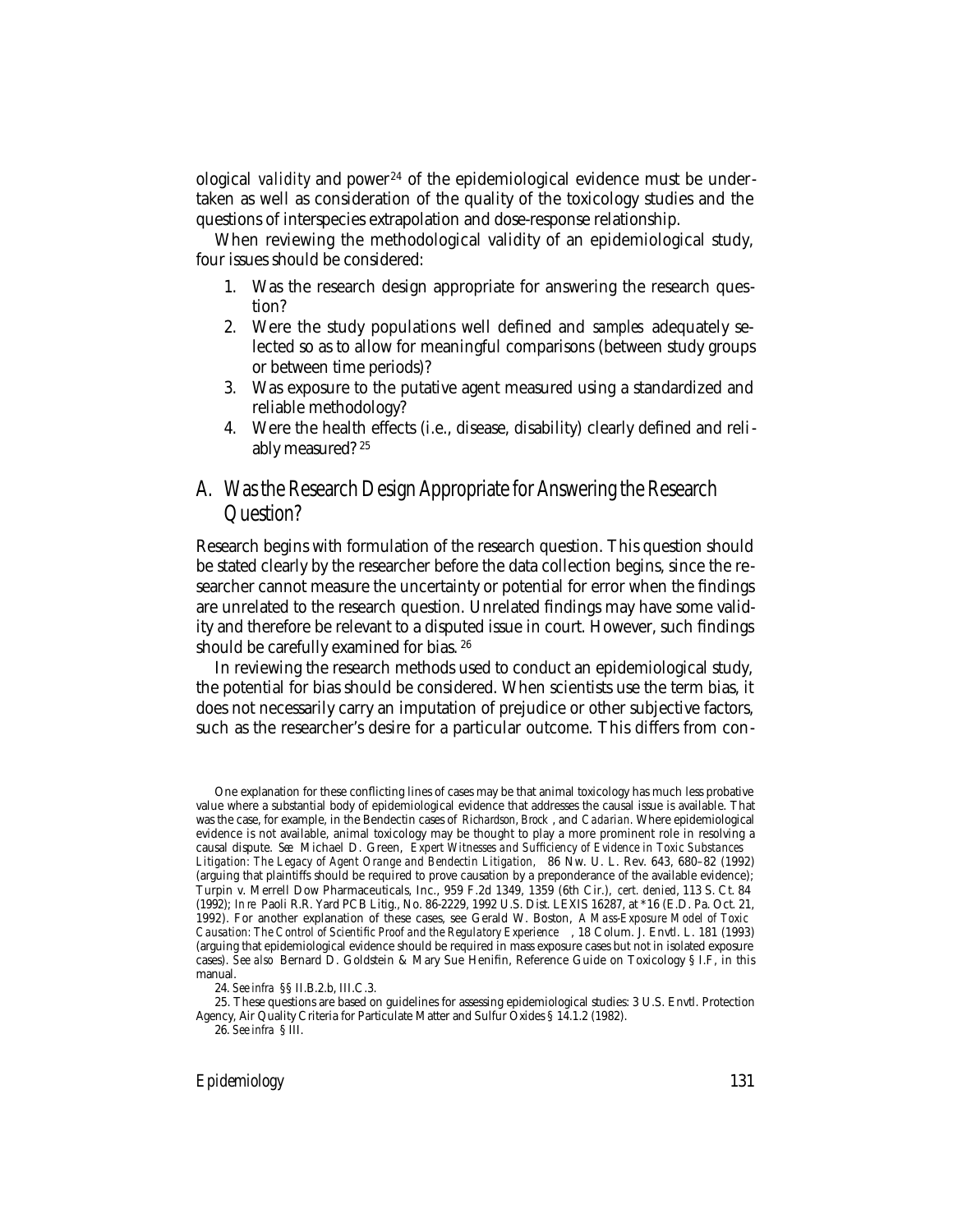ological *validity* and power 24 of the epidemiological evidence must be undertaken as well as consideration of the quality of the toxicology studies and the questions of interspecies extrapolation and dose-response relationship.

When reviewing the methodological validity of an epidemiological study, four issues should be considered:

- 1. Was the research design appropriate for answering the research question?
- 2. Were the study populations well defined and *samples* adequately selected so as to allow for meaningful comparisons (between study groups or between time periods)?
- 3. Was exposure to the putative agent measured using a standardized and reliable methodology?
- 4. Were the health effects (i.e., disease, disability) clearly defined and reliably measured? <sup>25</sup>

## A. Was the Research Design Appropriate for Answering the Research Question?

Research begins with formulation of the research question. This question should be stated clearly by the researcher before the data collection begins, since the researcher cannot measure the uncertainty or potential for error when the findings are unrelated to the research question. Unrelated findings may have some validity and therefore be relevant to a disputed issue in court. However, such findings should be carefully examined for bias. <sup>26</sup>

In reviewing the research methods used to conduct an epidemiological study, the potential for bias should be considered. When scientists use the term bias, it does not necessarily carry an imputation of prejudice or other subjective factors, such as the researcher's desire for a particular outcome. This differs from con-

One explanation for these conflicting lines of cases may be that animal toxicology has much less probative value where a substantial body of epidemiological evidence that addresses the causal issue is available. That was the case, for example, in the Bendectin cases of *Richardson*, *Brock* , and *Cadarian.* Where epidemiological evidence is not available, animal toxicology may be thought to play a more prominent role in resolving a causal dispute. *See* Michael D. Green, *Expert Witnesses and Sufficiency of Evidence in Toxic Substances Litigation: The Legacy of Agent Orange and Bendectin Litigation,* 86 Nw. U. L. Rev. 643, 680–82 (1992) (arguing that plaintiffs should be required to prove causation by a preponderance of the available evidence); Turpin v. Merrell Dow Pharmaceuticals, Inc., 959 F.2d 1349, 1359 (6th Cir.), *cert. denied*, 113 S. Ct. 84 (1992); *In re* Paoli R.R. Yard PCB Litig., No. 86-2229, 1992 U.S. Dist. LEXIS 16287, at \*16 (E.D. Pa. Oct. 21, 1992). For another explanation of these cases, see Gerald W. Boston, *A Mass-Exposure Model of Toxic Causation: The Control of Scientific Proof and the Regulatory Experience* , 18 Colum. J. Envtl. L. 181 (1993) (arguing that epidemiological evidence should be required in mass exposure cases but not in isolated exposure cases). *See also* Bernard D. Goldstein & Mary Sue Henifin, Reference Guide on Toxicology § I.F, in this manual.

<sup>24.</sup> *See infra* §§ II.B.2.b, III.C.3.

<sup>25.</sup> These questions are based on guidelines for assessing epidemiological studies: 3 U.S. Envtl. Protection Agency, Air Quality Criteria for Particulate Matter and Sulfur Oxides § 14.1.2 (1982).

<sup>26.</sup> *See infra* § III.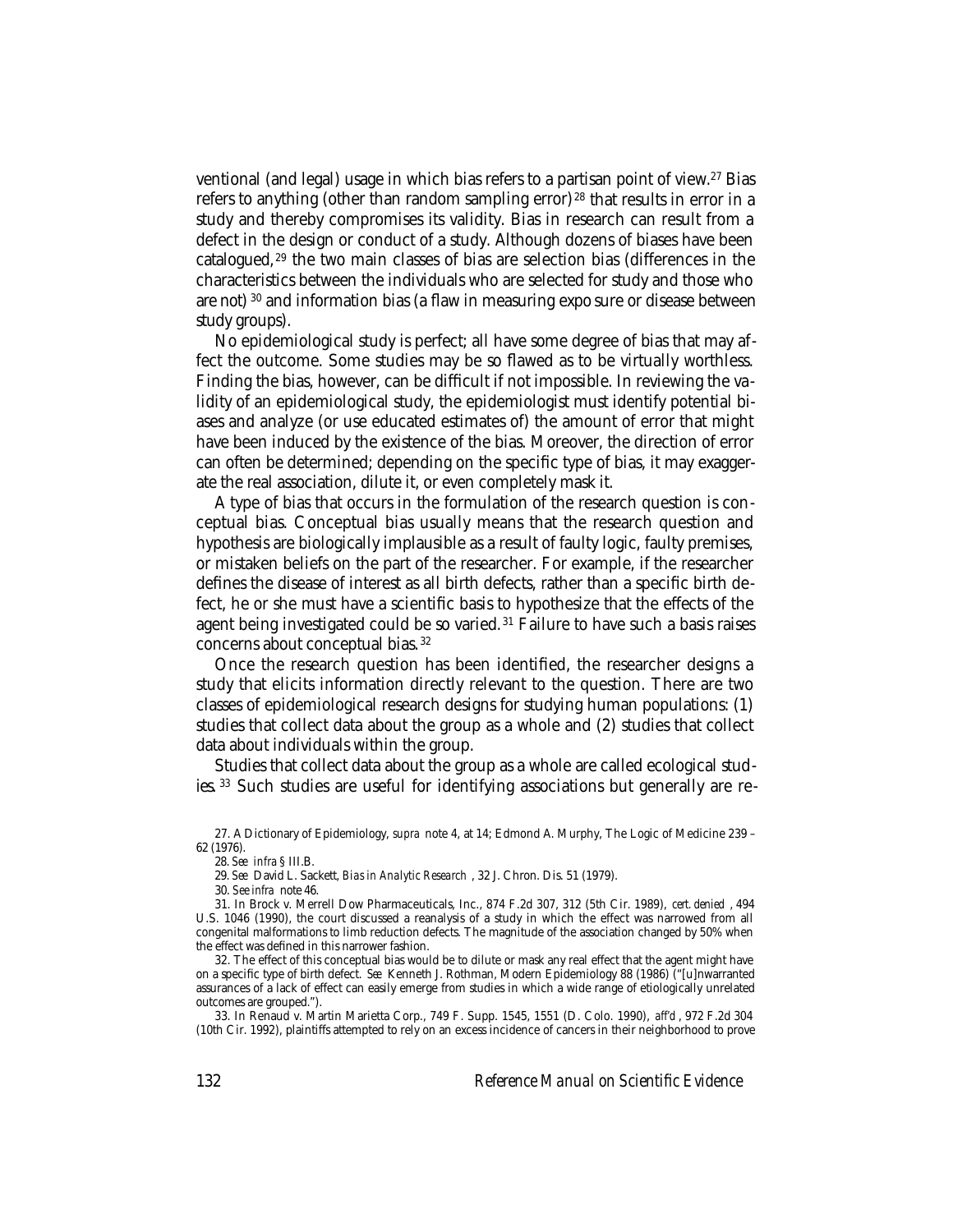ventional (and legal) usage in which bias refers to a partisan point of view.<sup>27</sup> Bias refers to anything (other than random sampling error) 28 that results in error in a study and thereby compromises its validity. Bias in research can result from a defect in the design or conduct of a study. Although dozens of biases have been catalogued, 29 the two main classes of bias are selection bias (differences in the characteristics between the individuals who are selected for study and those who are not) 30 and information bias (a flaw in measuring expo sure or disease between study groups).

No epidemiological study is perfect; all have some degree of bias that may affect the outcome. Some studies may be so flawed as to be virtually worthless. Finding the bias, however, can be difficult if not impossible. In reviewing the validity of an epidemiological study, the epidemiologist must identify potential biases and analyze (or use educated estimates of) the amount of error that might have been induced by the existence of the bias. Moreover, the direction of error can often be determined; depending on the specific type of bias, it may exaggerate the real association, dilute it, or even completely mask it.

A type of bias that occurs in the formulation of the research question is conceptual bias. Conceptual bias usually means that the research question and hypothesis are biologically implausible as a result of faulty logic, faulty premises, or mistaken beliefs on the part of the researcher. For example, if the researcher defines the disease of interest as all birth defects, rather than a specific birth defect, he or she must have a scientific basis to hypothesize that the effects of the agent being investigated could be so varied. 31 Failure to have such a basis raises concerns about conceptual bias. <sup>32</sup>

Once the research question has been identified, the researcher designs a study that elicits information directly relevant to the question. There are two classes of epidemiological research designs for studying human populations: (1) studies that collect data about the group as a whole and (2) studies that collect data about individuals within the group.

Studies that collect data about the group as a whole are called ecological studies. 33 Such studies are useful for identifying associations but generally are re-

30. *See infra* note 46.

<sup>27.</sup> A Dictionary of Epidemiology, *supra* note 4, at 14; Edmond A. Murphy, The Logic of Medicine 239 – 62 (1976).

<sup>28.</sup> *See infra* § III.B.

<sup>29.</sup> *See* David L. Sackett, *Bias in Analytic Research* , 32 J. Chron. Dis. 51 (1979).

<sup>31.</sup> In Brock v. Merrell Dow Pharmaceuticals, Inc., 874 F.2d 307, 312 (5th Cir. 1989), *cert. denied* , 494 U.S. 1046 (1990), the court discussed a reanalysis of a study in which the effect was narrowed from all congenital malformations to limb reduction defects. The magnitude of the association changed by 50% when the effect was defined in this narrower fashion.

<sup>32.</sup> The effect of this conceptual bias would be to dilute or mask any real effect that the agent might have on a specific type of birth defect. *See* Kenneth J. Rothman, Modern Epidemiology 88 (1986) ("[u]nwarranted assurances of a lack of effect can easily emerge from studies in which a wide range of etiologically unrelated outcomes are grouped.").

<sup>33.</sup> In Renaud v. Martin Marietta Corp., 749 F. Supp. 1545, 1551 (D. Colo. 1990), *aff'd* , 972 F.2d 304 (10th Cir. 1992), plaintiffs attempted to rely on an excess incidence of cancers in their neighborhood to prove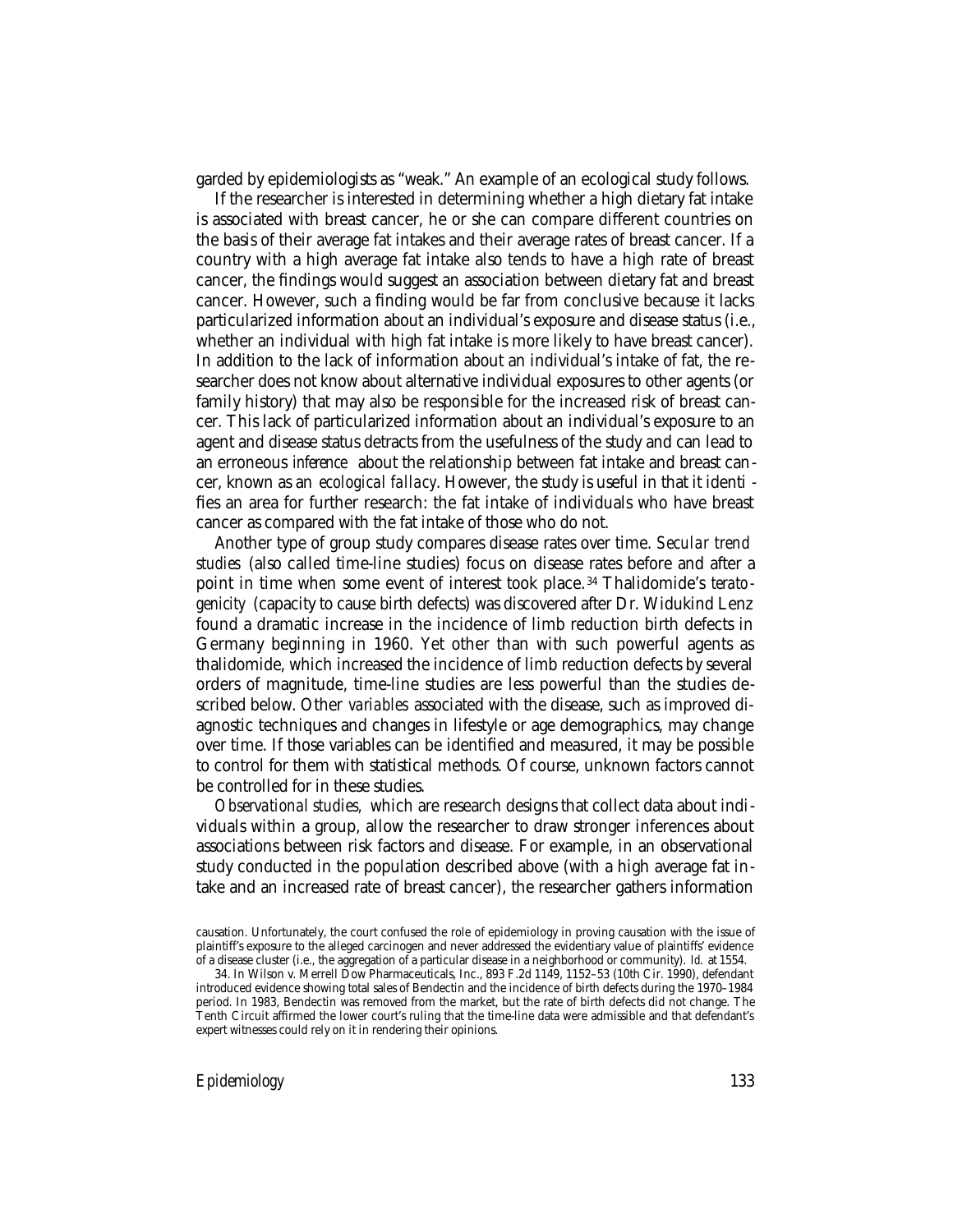garded by epidemiologists as "weak." An example of an ecological study follows.

If the researcher is interested in determining whether a high dietary fat intake is associated with breast cancer, he or she can compare different countries on the basis of their average fat intakes and their average rates of breast cancer. If a country with a high average fat intake also tends to have a high rate of breast cancer, the findings would suggest an association between dietary fat and breast cancer. However, such a finding would be far from conclusive because it lacks particularized information about an individual's exposure and disease status (i.e., whether an individual with high fat intake is more likely to have breast cancer). In addition to the lack of information about an individual's intake of fat, the researcher does not know about alternative individual exposures to other agents (or family history) that may also be responsible for the increased risk of breast cancer. This lack of particularized information about an individual's exposure to an agent and disease status detracts from the usefulness of the study and can lead to an erroneous *inference* about the relationship between fat intake and breast cancer, known as an *ecological fallacy*. However, the study is useful in that it identi fies an area for further research: the fat intake of individuals who have breast cancer as compared with the fat intake of those who do not.

Another type of group study compares disease rates over time. *Secular trend studies* (also called time-line studies) focus on disease rates before and after a point in time when some event of interest took place. 34 Thalidomide's *teratogenicity* (capacity to cause birth defects) was discovered after Dr. Widukind Lenz found a dramatic increase in the incidence of limb reduction birth defects in Germany beginning in 1960. Yet other than with such powerful agents as thalidomide, which increased the incidence of limb reduction defects by several orders of magnitude, time-line studies are less powerful than the studies described below. Other *variables* associated with the disease, such as improved diagnostic techniques and changes in lifestyle or age demographics, may change over time. If those variables can be identified and measured, it may be possible to control for them with statistical methods. Of course, unknown factors cannot be controlled for in these studies.

*Observational studies,* which are research designs that collect data about individuals within a group, allow the researcher to draw stronger inferences about associations between risk factors and disease. For example, in an observational study conducted in the population described above (with a high average fat intake and an increased rate of breast cancer), the researcher gathers information

causation. Unfortunately, the court confused the role of epidemiology in proving causation with the issue of plaintiff's exposure to the alleged carcinogen and never addressed the evidentiary value of plaintiffs' evidence of a disease cluster (i.e., the aggregation of a particular disease in a neighborhood or community). *Id.* at 1554.

<sup>34.</sup> In Wilson v. Merrell Dow Pharmaceuticals, Inc., 893 F.2d 1149, 1152–53 (10th Cir. 1990), defendant introduced evidence showing total sales of Bendectin and the incidence of birth defects during the 1970–1984 period. In 1983, Bendectin was removed from the market, but the rate of birth defects did not change. The Tenth Circuit affirmed the lower court's ruling that the time-line data were admissible and that defendant's expert witnesses could rely on it in rendering their opinions.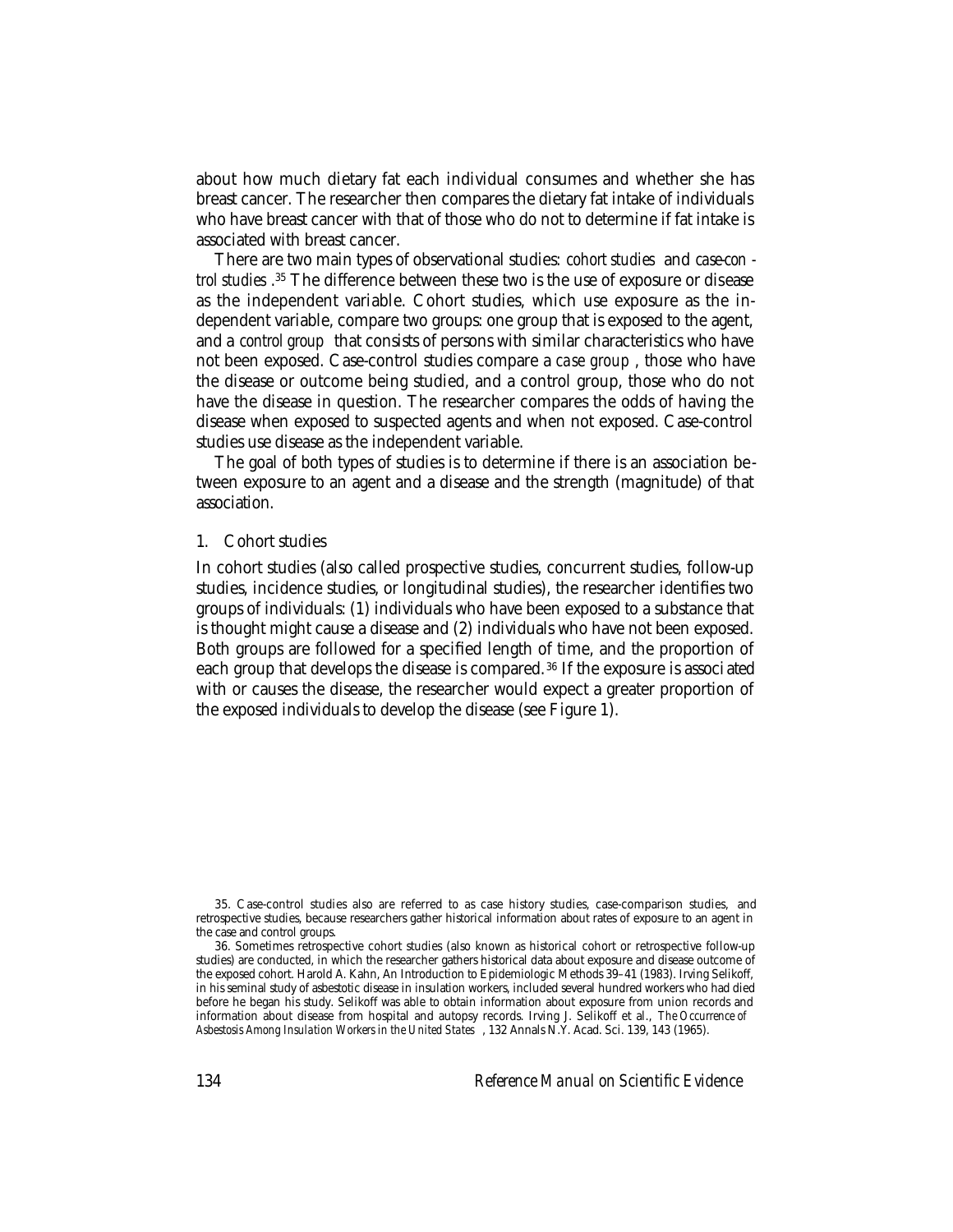about how much dietary fat each individual consumes and whether she has breast cancer. The researcher then compares the dietary fat intake of individuals who have breast cancer with that of those who do not to determine if fat intake is associated with breast cancer.

There are two main types of observational studies: *cohort studies* and *case-con trol studies* . 35 The difference between these two is the use of exposure or disease as the independent variable. Cohort studies, which use exposure as the independent variable, compare two groups: one group that is exposed to the agent, and a *control group* that consists of persons with similar characteristics who have not been exposed. Case-control studies compare a *case group* , those who have the disease or outcome being studied, and a control group, those who do not have the disease in question. The researcher compares the odds of having the disease when exposed to suspected agents and when not exposed. Case-control studies use disease as the independent variable.

The goal of both types of studies is to determine if there is an association between exposure to an agent and a disease and the strength (magnitude) of that association.

#### 1. Cohort studies

In cohort studies (also called prospective studies, concurrent studies, follow-up studies, incidence studies, or longitudinal studies), the researcher identifies two groups of individuals: (1) individuals who have been exposed to a substance that is thought might cause a disease and (2) individuals who have not been exposed. Both groups are followed for a specified length of time, and the proportion of each group that develops the disease is compared. 36 If the exposure is associ ated with or causes the disease, the researcher would expect a greater proportion of the exposed individuals to develop the disease (see Figure 1).

<sup>35.</sup> Case-control studies also are referred to as case history studies, case-comparison studies, and retrospective studies, because researchers gather historical information about rates of exposure to an agent in the case and control groups.

<sup>36.</sup> Sometimes retrospective cohort studies (also known as historical cohort or retrospective follow-up studies) are conducted, in which the researcher gathers historical data about exposure and disease outcome of the exposed cohort. Harold A. Kahn, An Introduction to Epidemiologic Methods 39–41 (1983). Irving Selikoff, in his seminal study of asbestotic disease in insulation workers, included several hundred workers who had died before he began his study. Selikoff was able to obtain information about exposure from union records and information about disease from hospital and autopsy records. Irving J. Selikoff et al., *The Occurrence of Asbestosis Among Insulation Workers in the United States* , 132 Annals N.Y. Acad. Sci. 139, 143 (1965).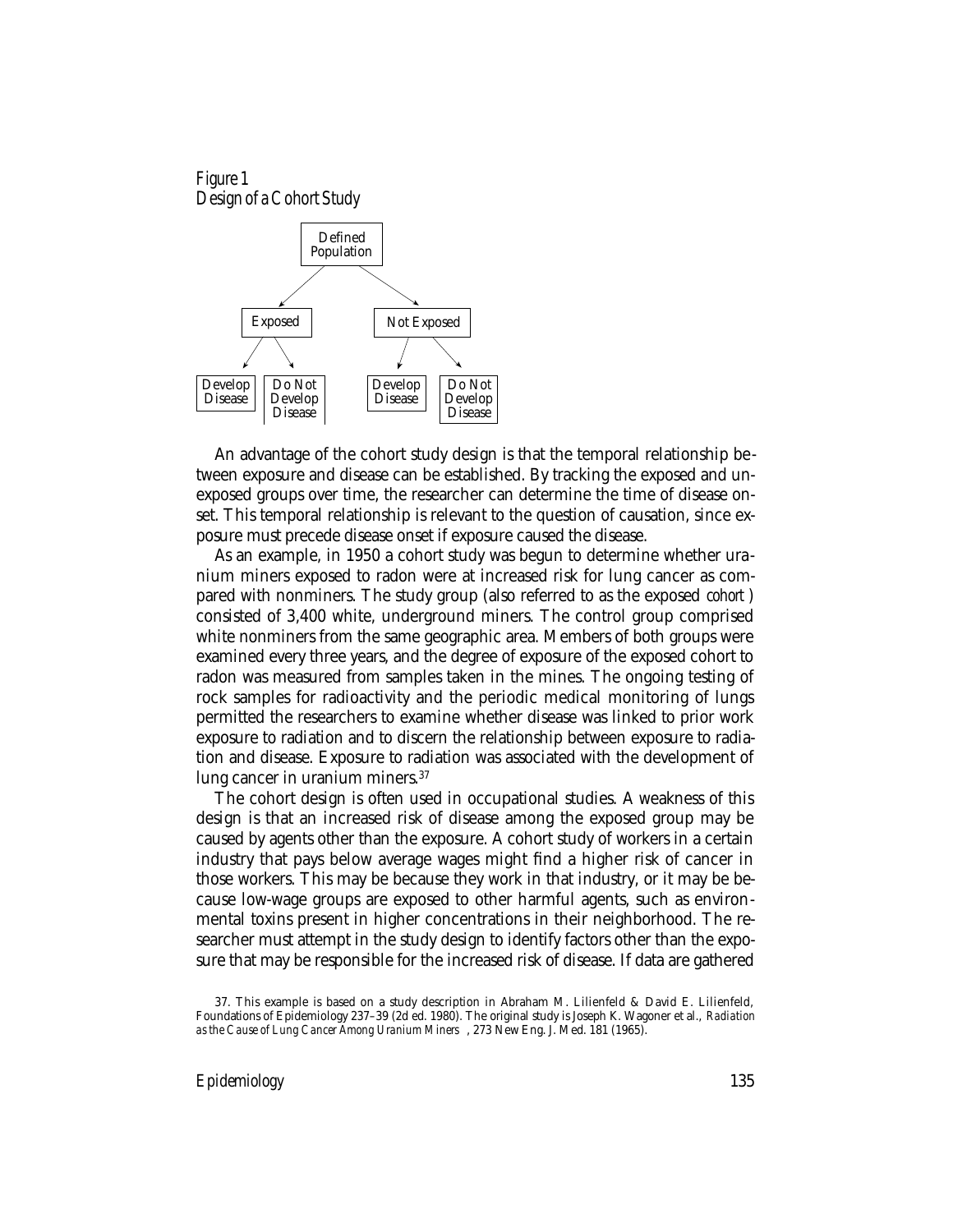#### Figure 1 Design of a Cohort Study



An advantage of the cohort study design is that the temporal relationship between exposure and disease can be established. By tracking the exposed and unexposed groups over time, the researcher can determine the time of disease onset. This temporal relationship is relevant to the question of causation, since exposure must precede disease onset if exposure caused the disease.

As an example, in 1950 a cohort study was begun to determine whether uranium miners exposed to radon were at increased risk for lung cancer as compared with nonminers. The study group (also referred to as the exposed *cohort* ) consisted of 3,400 white, underground miners. The control group comprised white nonminers from the same geographic area. Members of both groups were examined every three years, and the degree of exposure of the exposed cohort to radon was measured from samples taken in the mines. The ongoing testing of rock samples for radioactivity and the periodic medical monitoring of lungs permitted the researchers to examine whether disease was linked to prior work exposure to radiation and to discern the relationship between exposure to radiation and disease. Exposure to radiation was associated with the development of lung cancer in uranium miners.37

The cohort design is often used in occupational studies. A weakness of this design is that an increased risk of disease among the exposed group may be caused by agents other than the exposure. A cohort study of workers in a certain industry that pays below average wages might find a higher risk of cancer in those workers. This may be because they work in that industry, or it may be because low-wage groups are exposed to other harmful agents, such as environmental toxins present in higher concentrations in their neighborhood. The researcher must attempt in the study design to identify factors other than the exposure that may be responsible for the increased risk of disease. If data are gathered

<sup>37.</sup> This example is based on a study description in Abraham M. Lilienfeld & David E. Lilienfeld, Foundations of Epidemiology 237–39 (2d ed. 1980). The original study is Joseph K. Wagoner et al., *Radiation as the Cause of Lung Cancer Among Uranium Miners* , 273 New Eng. J. Med. 181 (1965).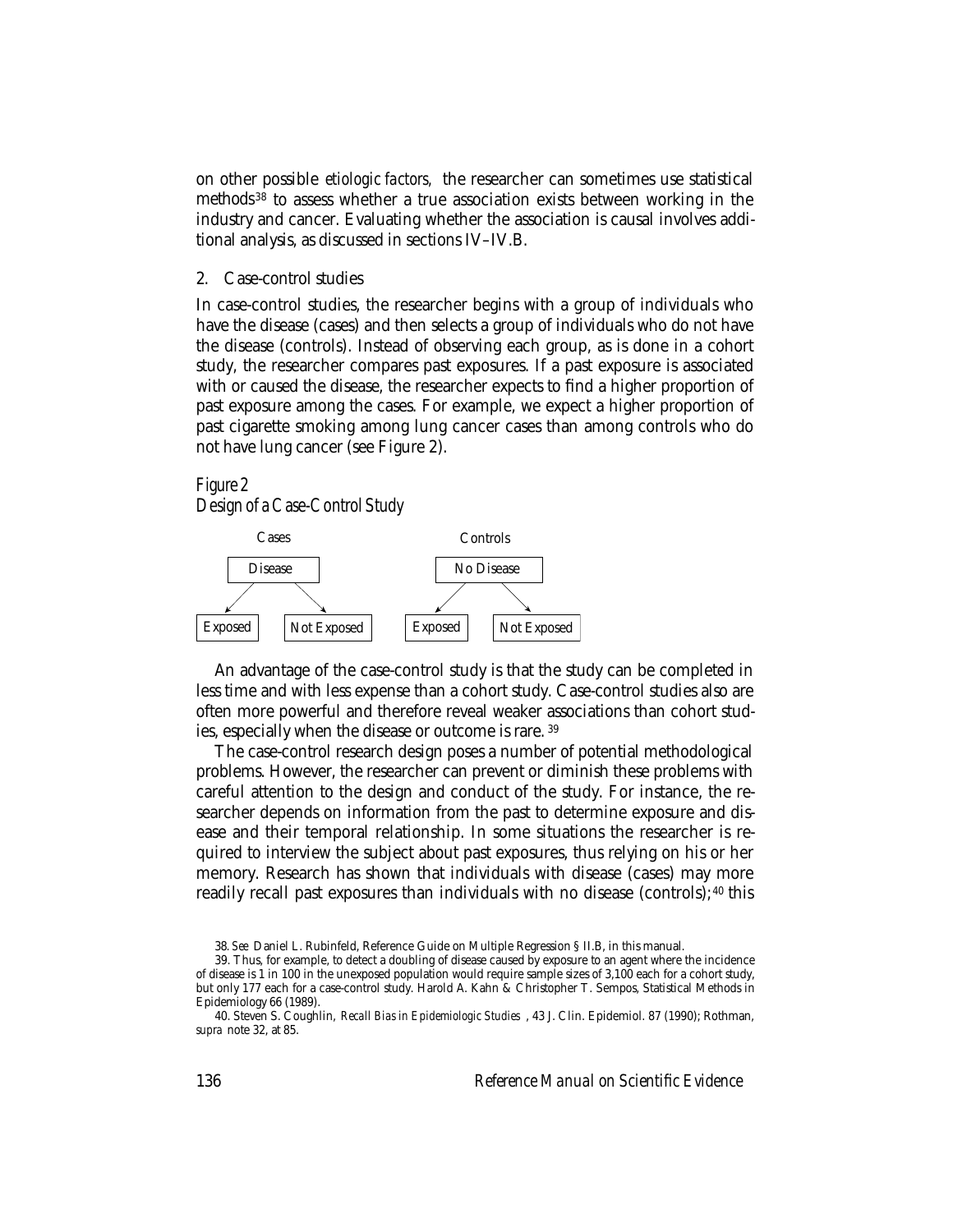on other possible *etiologic factors,* the researcher can sometimes use statistical methods 38 to assess whether a true association exists between working in the industry and cancer. Evaluating whether the association is causal involves additional analysis, as discussed in sections IV–IV.B.

2. Case-control studies

In case-control studies, the researcher begins with a group of individuals who have the disease (cases) and then selects a group of individuals who do not have the disease (controls). Instead of observing each group, as is done in a cohort study, the researcher compares past exposures. If a past exposure is associated with or caused the disease, the researcher expects to find a higher proportion of past exposure among the cases. For example, we expect a higher proportion of past cigarette smoking among lung cancer cases than among controls who do not have lung cancer (see Figure 2).

#### Figure 2

Design of a Case-Control Study



An advantage of the case-control study is that the study can be completed in less time and with less expense than a cohort study. Case-control studies also are often more powerful and therefore reveal weaker associations than cohort studies, especially when the disease or outcome is rare. <sup>39</sup>

The case-control research design poses a number of potential methodological problems. However, the researcher can prevent or diminish these problems with careful attention to the design and conduct of the study. For instance, the researcher depends on information from the past to determine exposure and disease and their temporal relationship. In some situations the researcher is required to interview the subject about past exposures, thus relying on his or her memory. Research has shown that individuals with disease (cases) may more readily recall past exposures than individuals with no disease (controls);<sup>40</sup> this

<sup>38.</sup> *See* Daniel L. Rubinfeld, Reference Guide on Multiple Regression § II.B, in this manual.

<sup>39.</sup> Thus, for example, to detect a doubling of disease caused by exposure to an agent where the incidence of disease is 1 in 100 in the unexposed population would require sample sizes of 3,100 each for a cohort study, but only 177 each for a case-control study. Harold A. Kahn & Christopher T. Sempos, Statistical Methods in Epidemiology 66 (1989).

<sup>40.</sup> Steven S. Coughlin, *Recall Bias in Epidemiologic Studies* , 43 J. Clin. Epidemiol. 87 (1990); Rothman, *supra* note 32, at 85.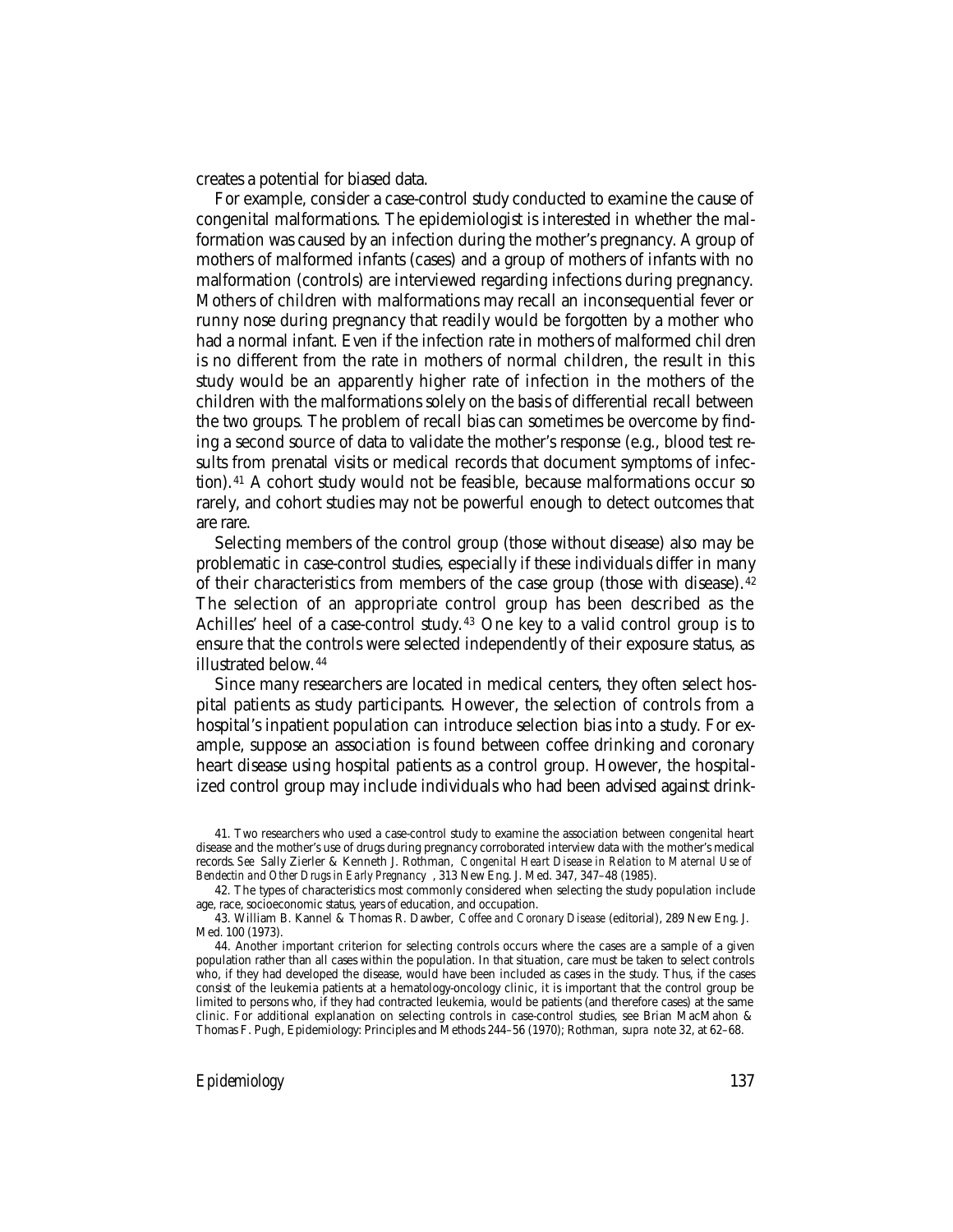creates a potential for biased data.

For example, consider a case-control study conducted to examine the cause of congenital malformations. The epidemiologist is interested in whether the malformation was caused by an infection during the mother's pregnancy. A group of mothers of malformed infants (cases) and a group of mothers of infants with no malformation (controls) are interviewed regarding infections during pregnancy. Mothers of children with malformations may recall an inconsequential fever or runny nose during pregnancy that readily would be forgotten by a mother who had a normal infant. Even if the infection rate in mothers of malformed chil dren is no different from the rate in mothers of normal children, the result in this study would be an apparently higher rate of infection in the mothers of the children with the malformations solely on the basis of differential recall between the two groups. The problem of recall bias can sometimes be overcome by finding a second source of data to validate the mother's response (e.g., blood test results from prenatal visits or medical records that document symptoms of infection). 41 A cohort study would not be feasible, because malformations occur so rarely, and cohort studies may not be powerful enough to detect outcomes that are rare.

Selecting members of the control group (those without disease) also may be problematic in case-control studies, especially if these individuals differ in many of their characteristics from members of the case group (those with disease). <sup>42</sup> The selection of an appropriate control group has been described as the Achilles' heel of a case-control study.<sup>43</sup> One key to a valid control group is to ensure that the controls were selected independently of their exposure status, as illustrated below. <sup>44</sup>

Since many researchers are located in medical centers, they often select hospital patients as study participants. However, the selection of controls from a hospital's inpatient population can introduce selection bias into a study. For example, suppose an association is found between coffee drinking and coronary heart disease using hospital patients as a control group. However, the hospitalized control group may include individuals who had been advised against drink-

<sup>41.</sup> Two researchers who used a case-control study to examine the association between congenital heart disease and the mother's use of drugs during pregnancy corroborated interview data with the mother's medical records. *See* Sally Zierler & Kenneth J. Rothman, *Congenital Heart Disease in Relation to Maternal Use of Bendectin and Other Drugs in Early Pregnancy* , 313 New Eng. J. Med. 347, 347–48 (1985).

<sup>42.</sup> The types of characteristics most commonly considered when selecting the study population include age, race, socioeconomic status, years of education, and occupation.

<sup>43.</sup> William B. Kannel & Thomas R. Dawber, *Coffee and Coronary Disease* (editorial), 289 New Eng. J. Med. 100 (1973).

<sup>44.</sup> Another important criterion for selecting controls occurs where the cases are a sample of a given population rather than all cases within the population. In that situation, care must be taken to select controls who, if they had developed the disease, would have been included as cases in the study. Thus, if the cases consist of the leukemia patients at a hematology-oncology clinic, it is important that the control group be limited to persons who, if they had contracted leukemia, would be patients (and therefore cases) at the same clinic. For additional explanation on selecting controls in case-control studies, see Brian MacMahon & Thomas F. Pugh, Epidemiology: Principles and Methods 244–56 (1970); Rothman, *supra* note 32, at 62–68.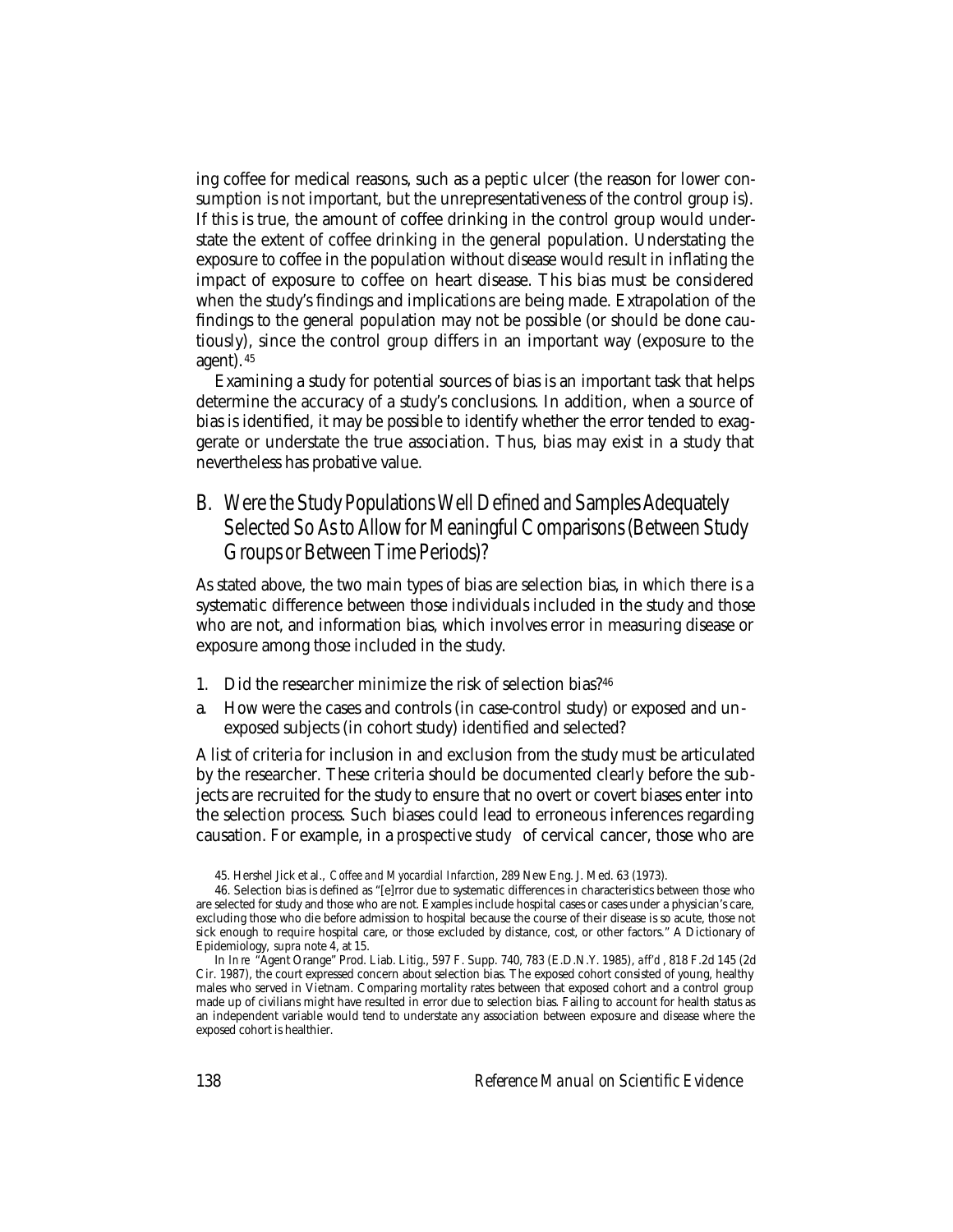ing coffee for medical reasons, such as a peptic ulcer (the reason for lower consumption is not important, but the unrepresentativeness of the control group is). If this is true, the amount of coffee drinking in the control group would understate the extent of coffee drinking in the general population. Understating the exposure to coffee in the population without disease would result in inflating the impact of exposure to coffee on heart disease. This bias must be considered when the study's findings and implications are being made. Extrapolation of the findings to the general population may not be possible (or should be done cautiously), since the control group differs in an important way (exposure to the agent). <sup>45</sup>

Examining a study for potential sources of bias is an important task that helps determine the accuracy of a study's conclusions. In addition, when a source of bias is identified, it may be possible to identify whether the error tended to exaggerate or understate the true association. Thus, bias may exist in a study that nevertheless has probative value.

B. Were the Study Populations Well Defined and Samples Adequately Selected So As to Allow for Meaningful Comparisons (Between Study Groups or Between Time Periods)?

As stated above, the two main types of bias are selection bias, in which there is a systematic difference between those individuals included in the study and those who are not, and information bias, which involves error in measuring disease or exposure among those included in the study.

- 1. Did the researcher minimize the risk of selection bias?46
- a. How were the cases and controls (in case-control study) or exposed and unexposed subjects (in cohort study) identified and selected?

A list of criteria for inclusion in and exclusion from the study must be articulated by the researcher. These criteria should be documented clearly before the subjects are recruited for the study to ensure that no overt or covert biases enter into the selection process. Such biases could lead to erroneous inferences regarding causation. For example, in a *prospective study* of cervical cancer, those who are

<sup>45.</sup> Hershel Jick et al., *Coffee and Myocardial Infarction*, 289 New Eng. J. Med. 63 (1973).

<sup>46.</sup> Selection bias is defined as "[e]rror due to systematic differences in characteristics between those who are selected for study and those who are not. Examples include hospital cases or cases under a physician's care, excluding those who die before admission to hospital because the course of their disease is so acute, those not sick enough to require hospital care, or those excluded by distance, cost, or other factors." A Dictionary of Epidemiology, *supra* note 4, at 15.

In *In re* "Agent Orange" Prod. Liab. Litig., 597 F. Supp. 740, 783 (E.D.N.Y. 1985), *aff'd* , 818 F.2d 145 (2d Cir. 1987), the court expressed concern about selection bias. The exposed cohort consisted of young, healthy males who served in Vietnam. Comparing mortality rates between that exposed cohort and a control group made up of civilians might have resulted in error due to selection bias. Failing to account for health status as an independent variable would tend to understate any association between exposure and disease where the exposed cohort is healthier.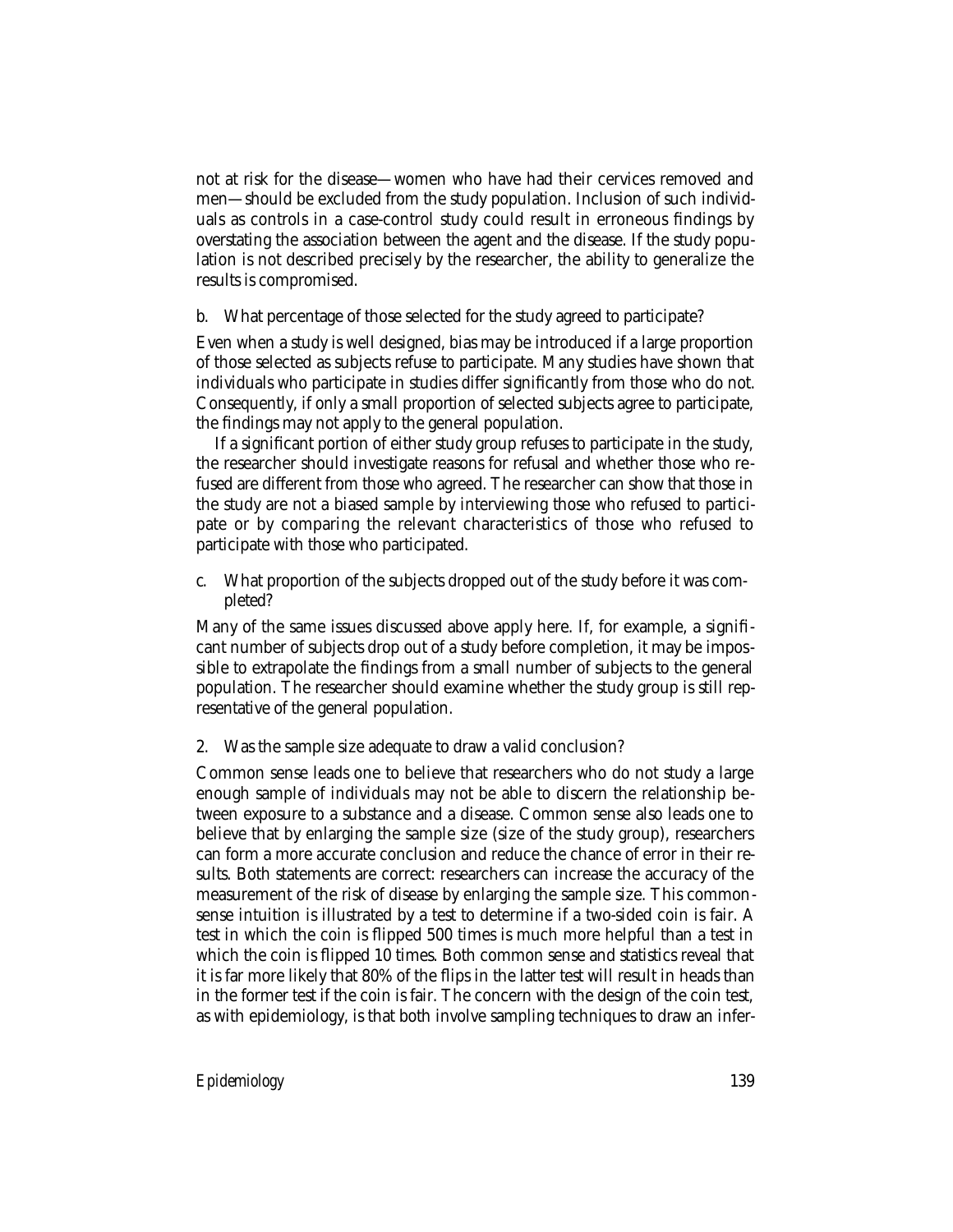not at risk for the disease—women who have had their cervices removed and men—should be excluded from the study population. Inclusion of such individuals as controls in a case-control study could result in erroneous findings by overstating the association between the agent and the disease. If the study population is not described precisely by the researcher, the ability to generalize the results is compromised.

b. What percentage of those selected for the study agreed to participate?

Even when a study is well designed, bias may be introduced if a large proportion of those selected as subjects refuse to participate. Many studies have shown that individuals who participate in studies differ significantly from those who do not. Consequently, if only a small proportion of selected subjects agree to participate, the findings may not apply to the general population.

If a significant portion of either study group refuses to participate in the study, the researcher should investigate reasons for refusal and whether those who refused are different from those who agreed. The researcher can show that those in the study are not a biased sample by interviewing those who refused to participate or by comparing the relevant characteristics of those who refused to participate with those who participated.

c. What proportion of the subjects dropped out of the study before it was completed?

Many of the same issues discussed above apply here. If, for example, a significant number of subjects drop out of a study before completion, it may be impossible to extrapolate the findings from a small number of subjects to the general population. The researcher should examine whether the study group is still representative of the general population.

2. Was the sample size adequate to draw a valid conclusion?

Common sense leads one to believe that researchers who do not study a large enough sample of individuals may not be able to discern the relationship between exposure to a substance and a disease. Common sense also leads one to believe that by enlarging the sample size (size of the study group), researchers can form a more accurate conclusion and reduce the chance of error in their results. Both statements are correct: researchers can increase the accuracy of the measurement of the risk of disease by enlarging the sample size. This commonsense intuition is illustrated by a test to determine if a two-sided coin is fair. A test in which the coin is flipped 500 times is much more helpful than a test in which the coin is flipped 10 times. Both common sense and statistics reveal that it is far more likely that 80% of the flips in the latter test will result in heads than in the former test if the coin is fair. The concern with the design of the coin test, as with epidemiology, is that both involve sampling techniques to draw an infer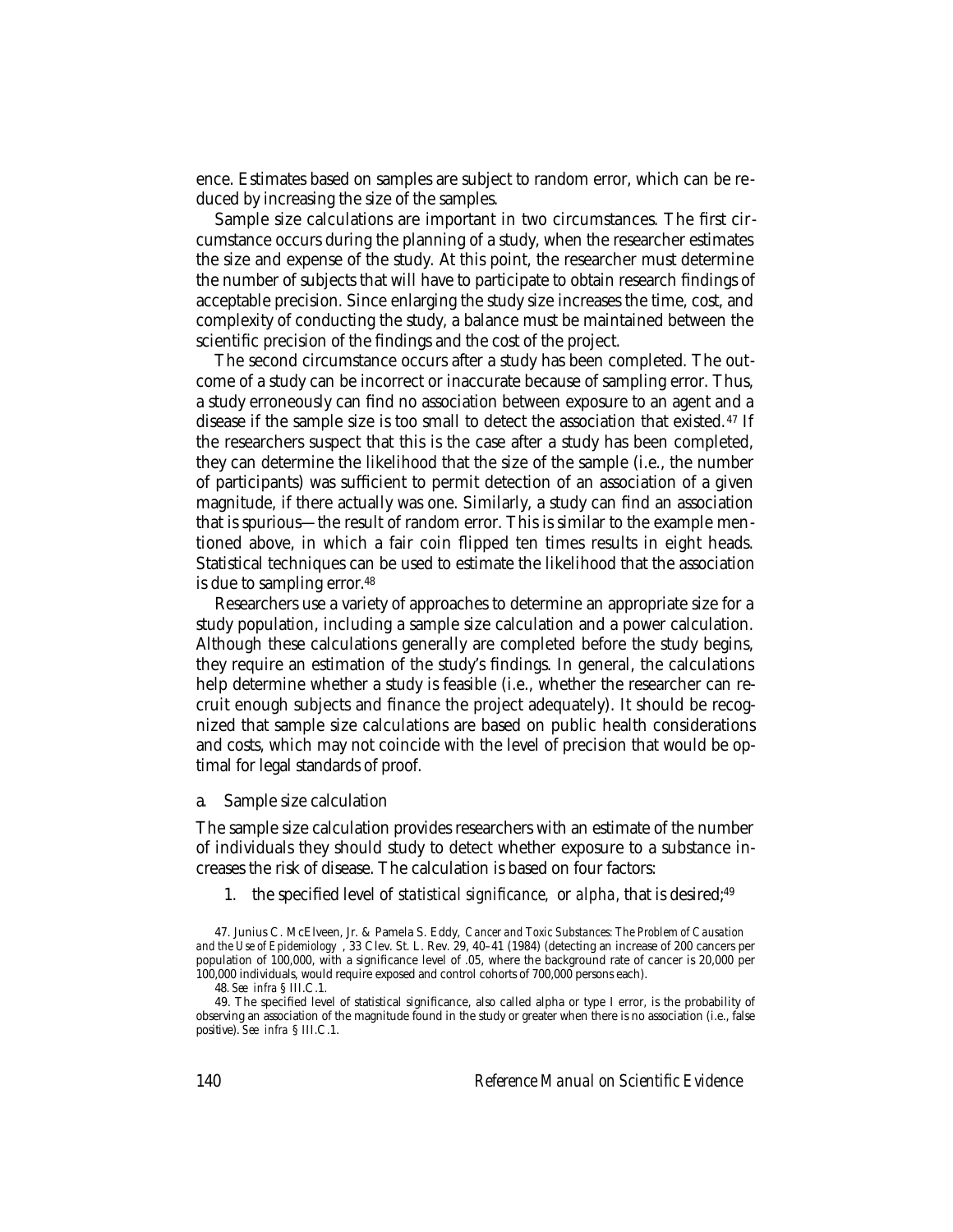ence. Estimates based on samples are subject to random error, which can be reduced by increasing the size of the samples.

Sample size calculations are important in two circumstances. The first circumstance occurs during the planning of a study, when the researcher estimates the size and expense of the study. At this point, the researcher must determine the number of subjects that will have to participate to obtain research findings of acceptable precision. Since enlarging the study size increases the time, cost, and complexity of conducting the study, a balance must be maintained between the scientific precision of the findings and the cost of the project.

The second circumstance occurs after a study has been completed. The outcome of a study can be incorrect or inaccurate because of sampling error. Thus, a study erroneously can find no association between exposure to an agent and a disease if the sample size is too small to detect the association that existed. 47 If the researchers suspect that this is the case after a study has been completed, they can determine the likelihood that the size of the sample (i.e., the number of participants) was sufficient to permit detection of an association of a given magnitude, if there actually was one. Similarly, a study can find an association that is spurious—the result of random error. This is similar to the example mentioned above, in which a fair coin flipped ten times results in eight heads. Statistical techniques can be used to estimate the likelihood that the association is due to sampling error.<sup>48</sup>

Researchers use a variety of approaches to determine an appropriate size for a study population, including a sample size calculation and a power calculation. Although these calculations generally are completed before the study begins, they require an estimation of the study's findings. In general, the calculations help determine whether a study is feasible (i.e., whether the researcher can recruit enough subjects and finance the project adequately). It should be recognized that sample size calculations are based on public health considerations and costs, which may not coincide with the level of precision that would be optimal for legal standards of proof.

a. Sample size calculation

The sample size calculation provides researchers with an estimate of the number of individuals they should study to detect whether exposure to a substance increases the risk of disease. The calculation is based on four factors:

1. the specified level of *statistical significance,* or *alpha,* that is desired;49

<sup>47.</sup> Junius C. McElveen, Jr. & Pamela S. Eddy, *Cancer and Toxic Substances: The Problem of Causation and the Use of Epidemiology* , 33 Clev. St. L. Rev. 29, 40–41 (1984) (detecting an increase of 200 cancers per population of 100,000, with a significance level of .05, where the background rate of cancer is 20,000 per 100,000 individuals, would require exposed and control cohorts of 700,000 persons each).

<sup>48.</sup> *See infra* § III.C.1.

<sup>49.</sup> The specified level of statistical significance, also called alpha or type I error, is the probability of observing an association of the magnitude found in the study or greater when there is no association (i.e., false positive). *See infra* § III.C.1.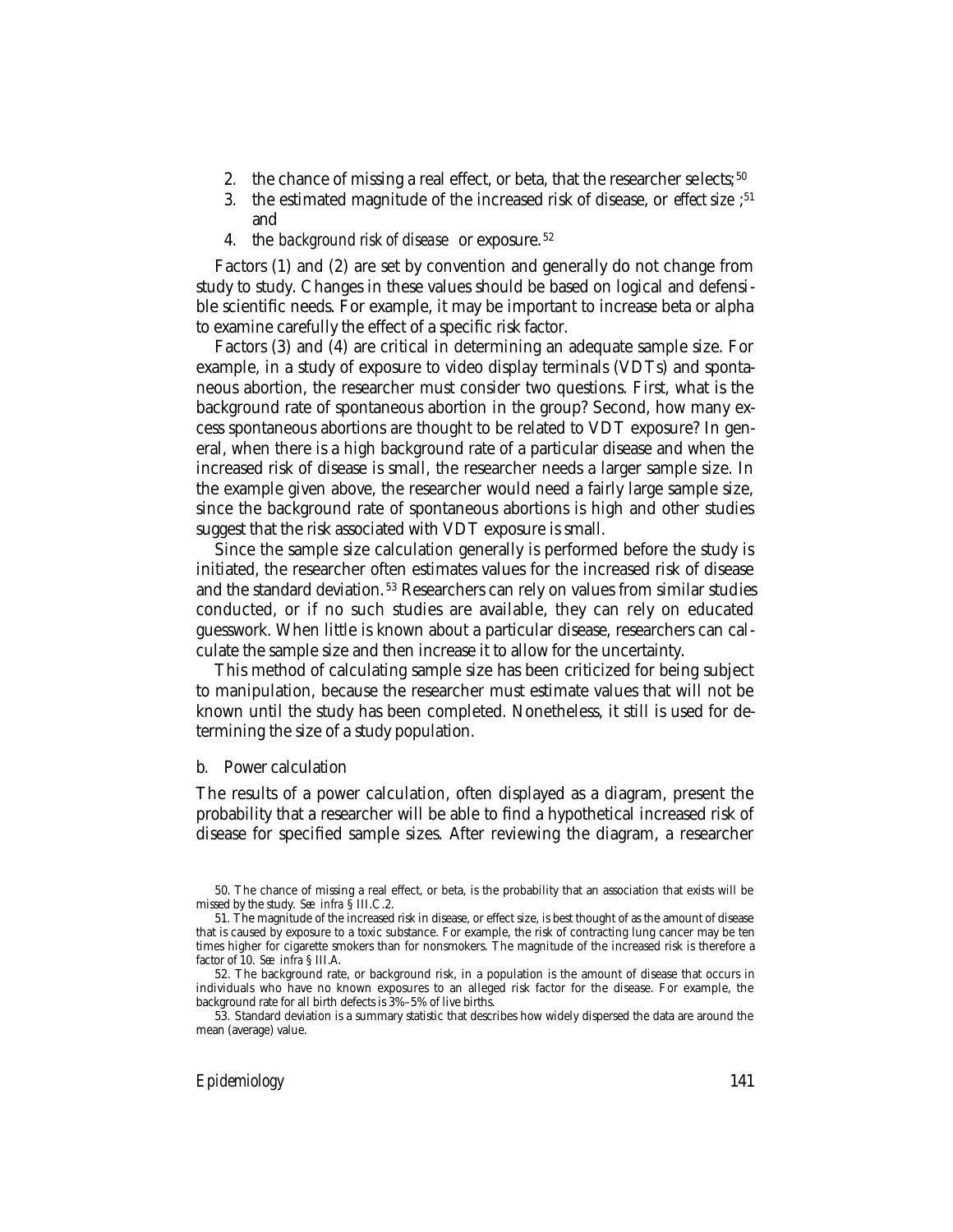- 2. the chance of missing a real effect, or beta, that the researcher selects;  $50$
- 3. the estimated magnitude of the increased risk of disease, or *effect size* ; 51 and
- 4. the *background risk of disease* or exposure. <sup>52</sup>

Factors (1) and (2) are set by convention and generally do not change from study to study. Changes in these values should be based on logical and defensible scientific needs. For example, it may be important to increase beta or alpha to examine carefully the effect of a specific risk factor.

Factors (3) and (4) are critical in determining an adequate sample size. For example, in a study of exposure to video display terminals (VDTs) and spontaneous abortion, the researcher must consider two questions. First, what is the background rate of spontaneous abortion in the group? Second, how many excess spontaneous abortions are thought to be related to VDT exposure? In general, when there is a high background rate of a particular disease and when the increased risk of disease is small, the researcher needs a larger sample size. In the example given above, the researcher would need a fairly large sample size, since the background rate of spontaneous abortions is high and other studies suggest that the risk associated with VDT exposure is small.

Since the sample size calculation generally is performed before the study is initiated, the researcher often estimates values for the increased risk of disease and the standard deviation.<sup>53</sup> Researchers can rely on values from similar studies conducted, or if no such studies are available, they can rely on educated guesswork. When little is known about a particular disease, researchers can calculate the sample size and then increase it to allow for the uncertainty.

This method of calculating sample size has been criticized for being subject to manipulation, because the researcher must estimate values that will not be known until the study has been completed. Nonetheless, it still is used for determining the size of a study population.

#### b. Power calculation

The results of a power calculation, often displayed as a diagram, present the probability that a researcher will be able to find a hypothetical increased risk of disease for specified sample sizes. After reviewing the diagram, a researcher

<sup>50.</sup> The chance of missing a real effect, or beta, is the probability that an association that exists will be missed by the study. *See infra* § III.C.2.

<sup>51.</sup> The magnitude of the increased risk in disease, or effect size, is best thought of as the amount of disease that is caused by exposure to a toxic substance. For example, the risk of contracting lung cancer may be ten times higher for cigarette smokers than for nonsmokers. The magnitude of the increased risk is therefore a factor of 10. *See infra* § III.A.

<sup>52.</sup> The background rate, or background risk, in a population is the amount of disease that occurs in individuals who have no known exposures to an alleged risk factor for the disease. For example, the background rate for all birth defects is 3%–5% of live births.

<sup>53</sup>*.* Standard deviation is a summary statistic that describes how widely dispersed the data are around the mean (average) value.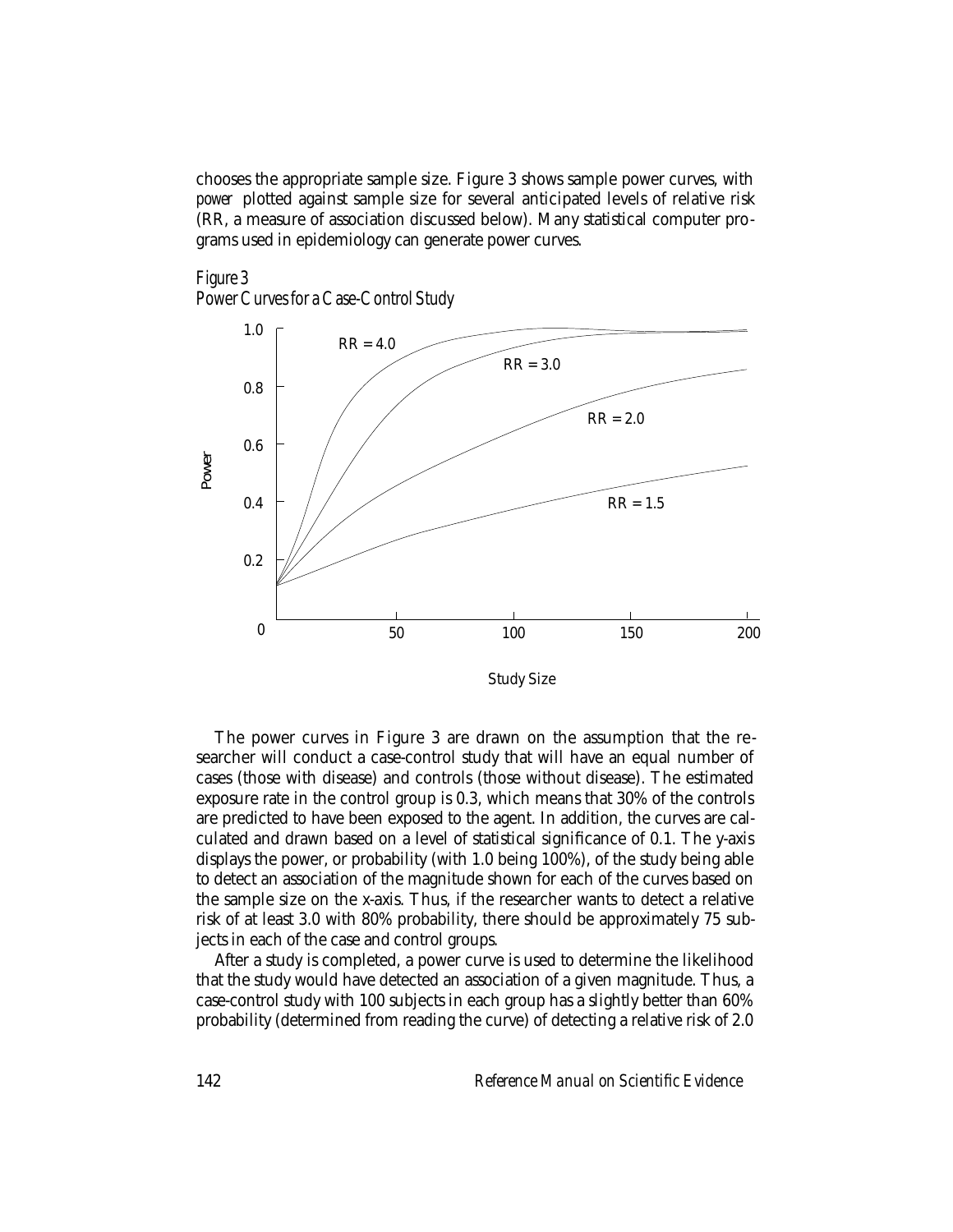chooses the appropriate sample size. Figure 3 shows sample power curves, with *power* plotted against sample size for several anticipated levels of relative risk (RR, a measure of association discussed below). Many statistical computer programs used in epidemiology can generate power curves.





The power curves in Figure 3 are drawn on the assumption that the researcher will conduct a case-control study that will have an equal number of cases (those with disease) and controls (those without disease). The estimated exposure rate in the control group is 0.3, which means that 30% of the controls are predicted to have been exposed to the agent. In addition, the curves are calculated and drawn based on a level of statistical significance of 0.1. The y-axis displays the power, or probability (with 1.0 being 100%), of the study being able to detect an association of the magnitude shown for each of the curves based on the sample size on the x-axis. Thus, if the researcher wants to detect a relative risk of at least 3.0 with 80% probability, there should be approximately 75 subjects in each of the case and control groups.

After a study is completed, a power curve is used to determine the likelihood that the study would have detected an association of a given magnitude. Thus, a case-control study with 100 subjects in each group has a slightly better than 60% probability (determined from reading the curve) of detecting a relative risk of 2.0

142 *Reference Manual on Scientific Evidence*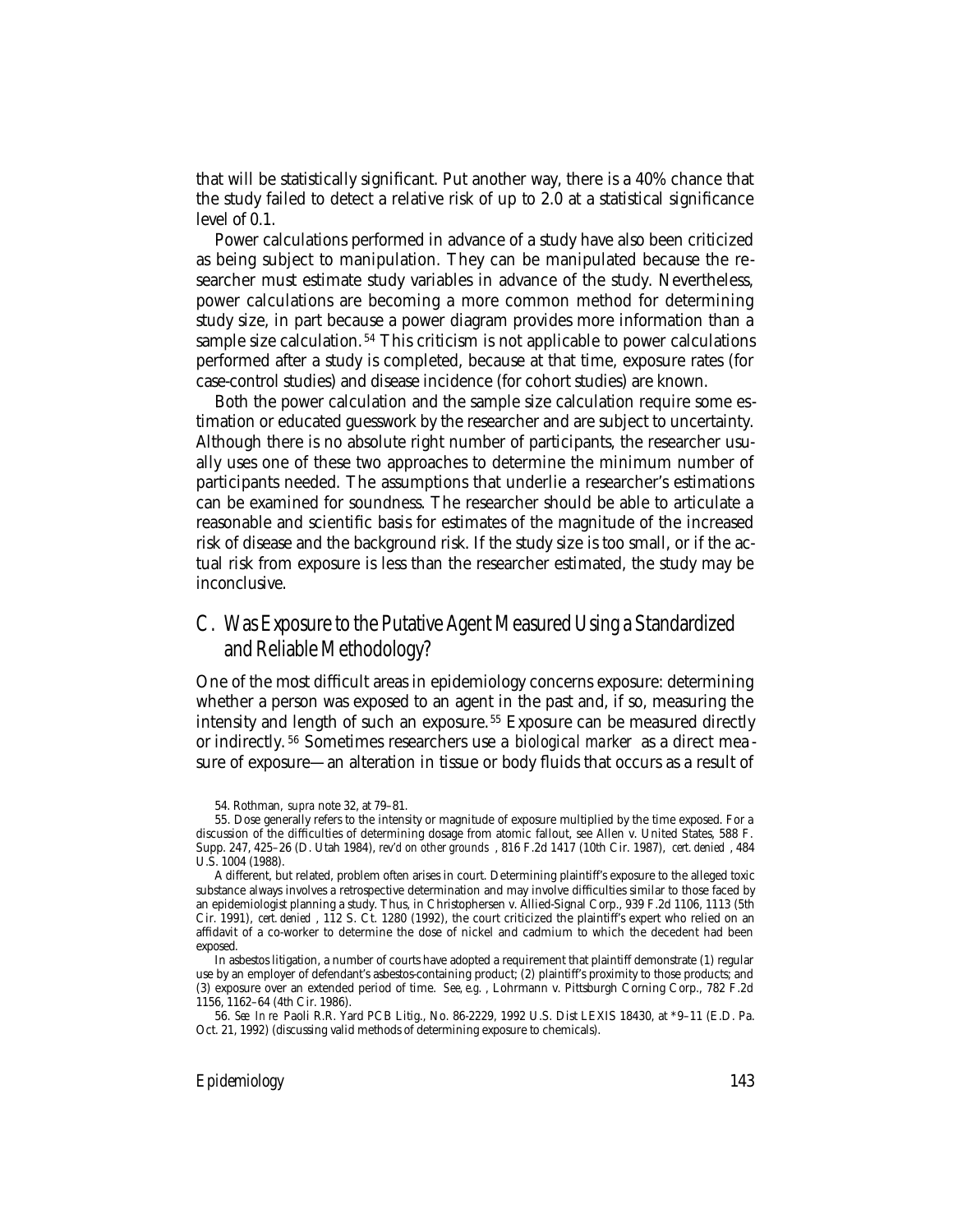that will be statistically significant. Put another way, there is a 40% chance that the study failed to detect a relative risk of up to 2.0 at a statistical significance level of 0.1.

Power calculations performed in advance of a study have also been criticized as being subject to manipulation. They can be manipulated because the researcher must estimate study variables in advance of the study. Nevertheless, power calculations are becoming a more common method for determining study size, in part because a power diagram provides more information than a sample size calculation. 54 This criticism is not applicable to power calculations performed after a study is completed, because at that time, exposure rates (for case-control studies) and disease incidence (for cohort studies) are known.

Both the power calculation and the sample size calculation require some estimation or educated guesswork by the researcher and are subject to uncertainty. Although there is no absolute right number of participants, the researcher usually uses one of these two approaches to determine the minimum number of participants needed. The assumptions that underlie a researcher's estimations can be examined for soundness. The researcher should be able to articulate a reasonable and scientific basis for estimates of the magnitude of the increased risk of disease and the background risk. If the study size is too small, or if the actual risk from exposure is less than the researcher estimated, the study may be inconclusive.

## C. Was Exposure to the Putative Agent Measured Using a Standardized and Reliable Methodology?

One of the most difficult areas in epidemiology concerns exposure: determining whether a person was exposed to an agent in the past and, if so, measuring the intensity and length of such an exposure. 55 Exposure can be measured directly or indirectly. 56 Sometimes researchers use a *biological marker* as a direct mea sure of exposure—an alteration in tissue or body fluids that occurs as a result of

<sup>54.</sup> Rothman, *supra* note 32, at 79–81.

<sup>55.</sup> Dose generally refers to the intensity or magnitude of exposure multiplied by the time exposed. For a discussion of the difficulties of determining dosage from atomic fallout, see Allen v. United States, 588 F. Supp. 247, 425–26 (D. Utah 1984), *rev'd on other grounds* , 816 F.2d 1417 (10th Cir. 1987), *cert. denied* , 484 U.S. 1004 (1988).

A different, but related, problem often arises in court. Determining plaintiff's exposure to the alleged toxic substance always involves a retrospective determination and may involve difficulties similar to those faced by an epidemiologist planning a study. Thus, in Christophersen v. Allied-Signal Corp., 939 F.2d 1106, 1113 (5th Cir. 1991), *cert. denied* , 112 S. Ct. 1280 (1992), the court criticized the plaintiff's expert who relied on an affidavit of a co-worker to determine the dose of nickel and cadmium to which the decedent had been exposed.

In asbestos litigation, a number of courts have adopted a requirement that plaintiff demonstrate (1) regular use by an employer of defendant's asbestos-containing product; (2) plaintiff's proximity to those products; and (3) exposure over an extended period of time. *See, e.g.* , Lohrmann v. Pittsburgh Corning Corp., 782 F.2d 1156, 1162–64 (4th Cir. 1986).

<sup>56.</sup> *See In re* Paoli R.R. Yard PCB Litig., No. 86-2229, 1992 U.S. Dist LEXIS 18430, at \*9–11 (E.D. Pa. Oct. 21, 1992) (discussing valid methods of determining exposure to chemicals).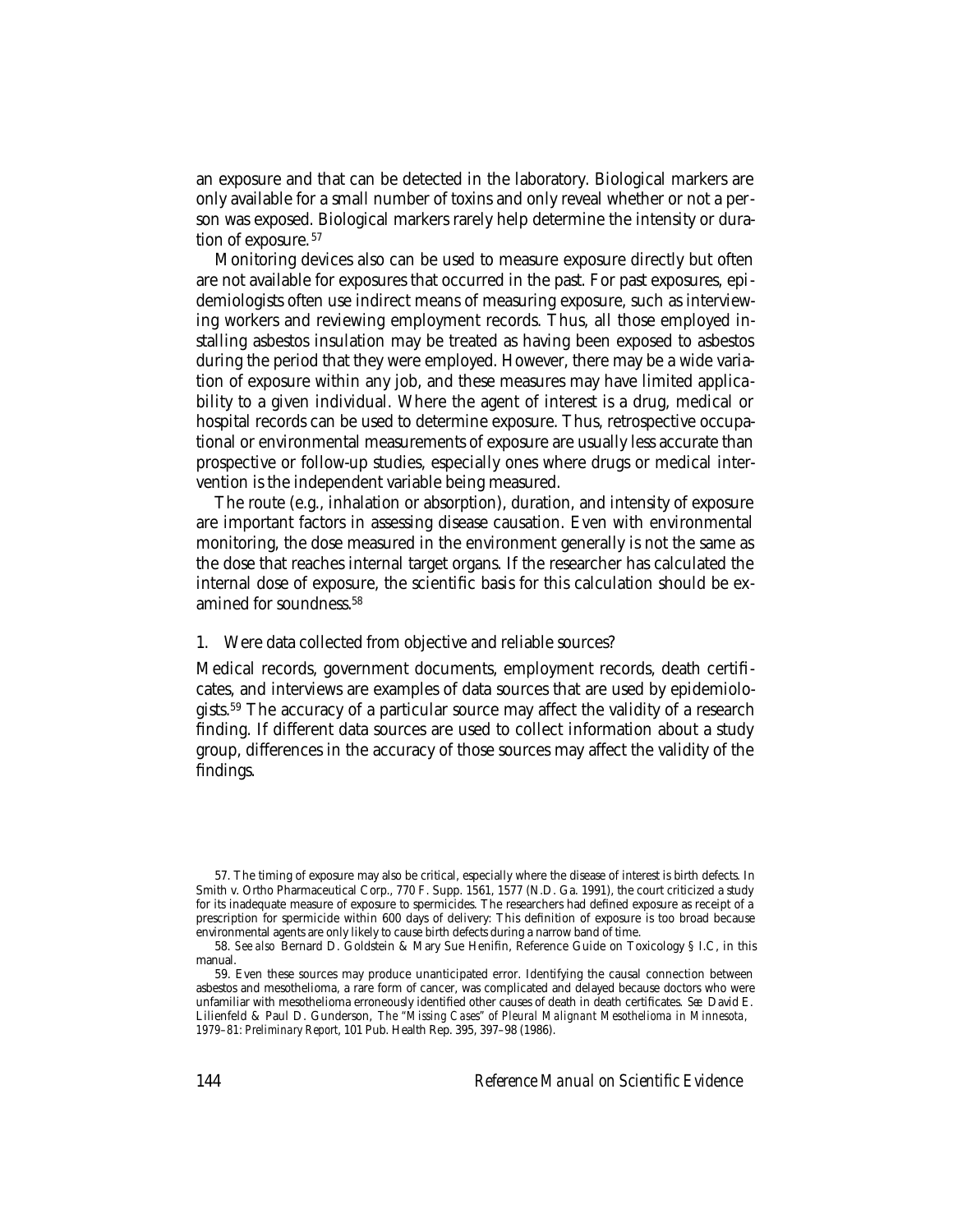an exposure and that can be detected in the laboratory. Biological markers are only available for a small number of toxins and only reveal whether or not a person was exposed. Biological markers rarely help determine the intensity or duration of exposure. <sup>57</sup>

Monitoring devices also can be used to measure exposure directly but often are not available for exposures that occurred in the past. For past exposures, epidemiologists often use indirect means of measuring exposure, such as interviewing workers and reviewing employment records. Thus, all those employed installing asbestos insulation may be treated as having been exposed to asbestos during the period that they were employed. However, there may be a wide variation of exposure within any job, and these measures may have limited applicability to a given individual. Where the agent of interest is a drug, medical or hospital records can be used to determine exposure. Thus, retrospective occupational or environmental measurements of exposure are usually less accurate than prospective or follow-up studies, especially ones where drugs or medical intervention is the independent variable being measured.

The route (e.g., inhalation or absorption), duration, and intensity of exposure are important factors in assessing disease causation. Even with environmental monitoring, the dose measured in the environment generally is not the same as the dose that reaches internal target organs. If the researcher has calculated the internal dose of exposure, the scientific basis for this calculation should be examined for soundness.58

#### 1. Were data collected from objective and reliable sources?

Medical records, government documents, employment records, death certificates, and interviews are examples of data sources that are used by epidemiologists.59 The accuracy of a particular source may affect the validity of a research finding. If different data sources are used to collect information about a study group, differences in the accuracy of those sources may affect the validity of the findings.

<sup>57.</sup> The timing of exposure may also be critical, especially where the disease of interest is birth defects. In Smith v. Ortho Pharmaceutical Corp., 770 F. Supp. 1561, 1577 (N.D. Ga. 1991), the court criticized a study for its inadequate measure of exposure to spermicides. The researchers had defined exposure as receipt of a prescription for spermicide within 600 days of delivery: This definition of exposure is too broad because environmental agents are only likely to cause birth defects during a narrow band of time.

<sup>58.</sup> *See also* Bernard D. Goldstein & Mary Sue Henifin, Reference Guide on Toxicology § I.C, in this manual.

<sup>59.</sup> Even these sources may produce unanticipated error. Identifying the causal connection between asbestos and mesothelioma, a rare form of cancer, was complicated and delayed because doctors who were unfamiliar with mesothelioma erroneously identified other causes of death in death certificates. *See* David E. Lilienfeld & Paul D. Gunderson, *The "Missing Cases" of Pleural Malignant Mesothelioma in Minnesota, 1979–81: Preliminary Report*, 101 Pub. Health Rep. 395, 397–98 (1986).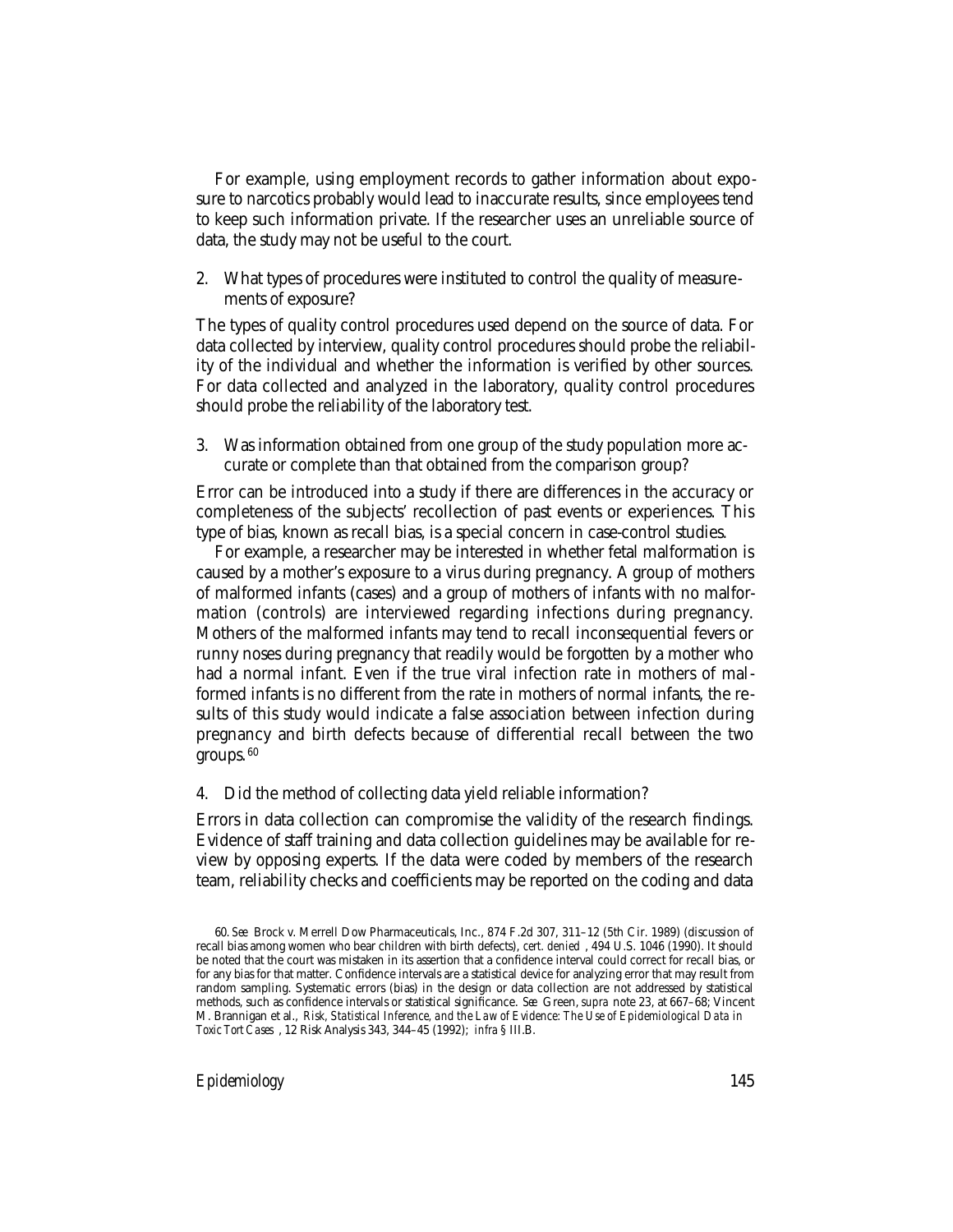For example, using employment records to gather information about exposure to narcotics probably would lead to inaccurate results, since employees tend to keep such information private. If the researcher uses an unreliable source of data, the study may not be useful to the court.

2. What types of procedures were instituted to control the quality of measurements of exposure?

The types of quality control procedures used depend on the source of data. For data collected by interview, quality control procedures should probe the reliability of the individual and whether the information is verified by other sources. For data collected and analyzed in the laboratory, quality control procedures should probe the reliability of the laboratory test.

3. Was information obtained from one group of the study population more accurate or complete than that obtained from the comparison group?

Error can be introduced into a study if there are differences in the accuracy or completeness of the subjects' recollection of past events or experiences. This type of bias, known as recall bias, is a special concern in case-control studies.

For example, a researcher may be interested in whether fetal malformation is caused by a mother's exposure to a virus during pregnancy. A group of mothers of malformed infants (cases) and a group of mothers of infants with no malformation (controls) are interviewed regarding infections during pregnancy. Mothers of the malformed infants may tend to recall inconsequential fevers or runny noses during pregnancy that readily would be forgotten by a mother who had a normal infant. Even if the true viral infection rate in mothers of malformed infants is no different from the rate in mothers of normal infants, the results of this study would indicate a false association between infection during pregnancy and birth defects because of differential recall between the two groups. <sup>60</sup>

4. Did the method of collecting data yield reliable information?

Errors in data collection can compromise the validity of the research findings. Evidence of staff training and data collection guidelines may be available for review by opposing experts. If the data were coded by members of the research team, reliability checks and coefficients may be reported on the coding and data

<sup>60.</sup> *See* Brock v. Merrell Dow Pharmaceuticals, Inc., 874 F.2d 307, 311–12 (5th Cir. 1989) (discussion of recall bias among women who bear children with birth defects), *cert. denied* , 494 U.S. 1046 (1990). It should be noted that the court was mistaken in its assertion that a confidence interval could correct for recall bias, or for any bias for that matter. Confidence intervals are a statistical device for analyzing error that may result from random sampling. Systematic errors (bias) in the design or data collection are not addressed by statistical methods, such as confidence intervals or statistical significance. *See* Green, *supra* note 23, at 667–68; Vincent M. Brannigan et al., *Risk, Statistical Inference, and the Law of Evidence: The Use of Epidemiological Data in Toxic Tort Cases* , 12 Risk Analysis 343, 344–45 (1992); *infra* § III.B.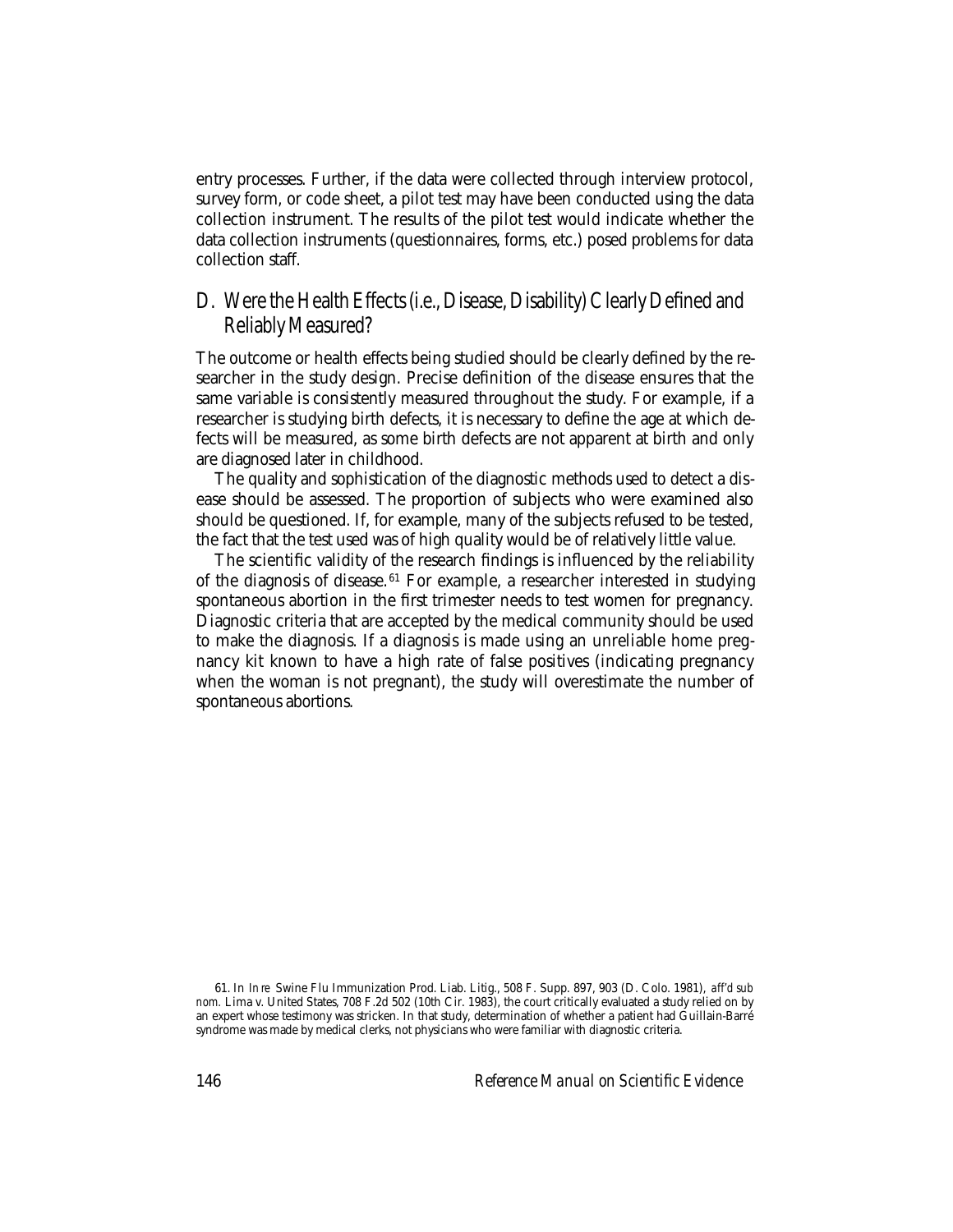entry processes. Further, if the data were collected through interview protocol, survey form, or code sheet, a pilot test may have been conducted using the data collection instrument. The results of the pilot test would indicate whether the data collection instruments (questionnaires, forms, etc.) posed problems for data collection staff.

### D. Were the Health Effects (i.e., Disease, Disability) Clearly Defined and Reliably Measured?

The outcome or health effects being studied should be clearly defined by the researcher in the study design. Precise definition of the disease ensures that the same variable is consistently measured throughout the study. For example, if a researcher is studying birth defects, it is necessary to define the age at which defects will be measured, as some birth defects are not apparent at birth and only are diagnosed later in childhood.

The quality and sophistication of the diagnostic methods used to detect a disease should be assessed. The proportion of subjects who were examined also should be questioned. If, for example, many of the subjects refused to be tested, the fact that the test used was of high quality would be of relatively little value.

The scientific validity of the research findings is influenced by the reliability of the diagnosis of disease.<sup>61</sup> For example, a researcher interested in studying spontaneous abortion in the first trimester needs to test women for pregnancy. Diagnostic criteria that are accepted by the medical community should be used to make the diagnosis. If a diagnosis is made using an unreliable home pregnancy kit known to have a high rate of false positives (indicating pregnancy when the woman is not pregnant), the study will overestimate the number of spontaneous abortions.

<sup>61.</sup> In *In re* Swine Flu Immunization Prod. Liab. Litig., 508 F. Supp. 897, 903 (D. Colo. 1981), *aff'd sub nom.* Lima v. United States, 708 F.2d 502 (10th Cir. 1983), the court critically evaluated a study relied on by an expert whose testimony was stricken. In that study, determination of whether a patient had Guillain-Barré syndrome was made by medical clerks, not physicians who were familiar with diagnostic criteria.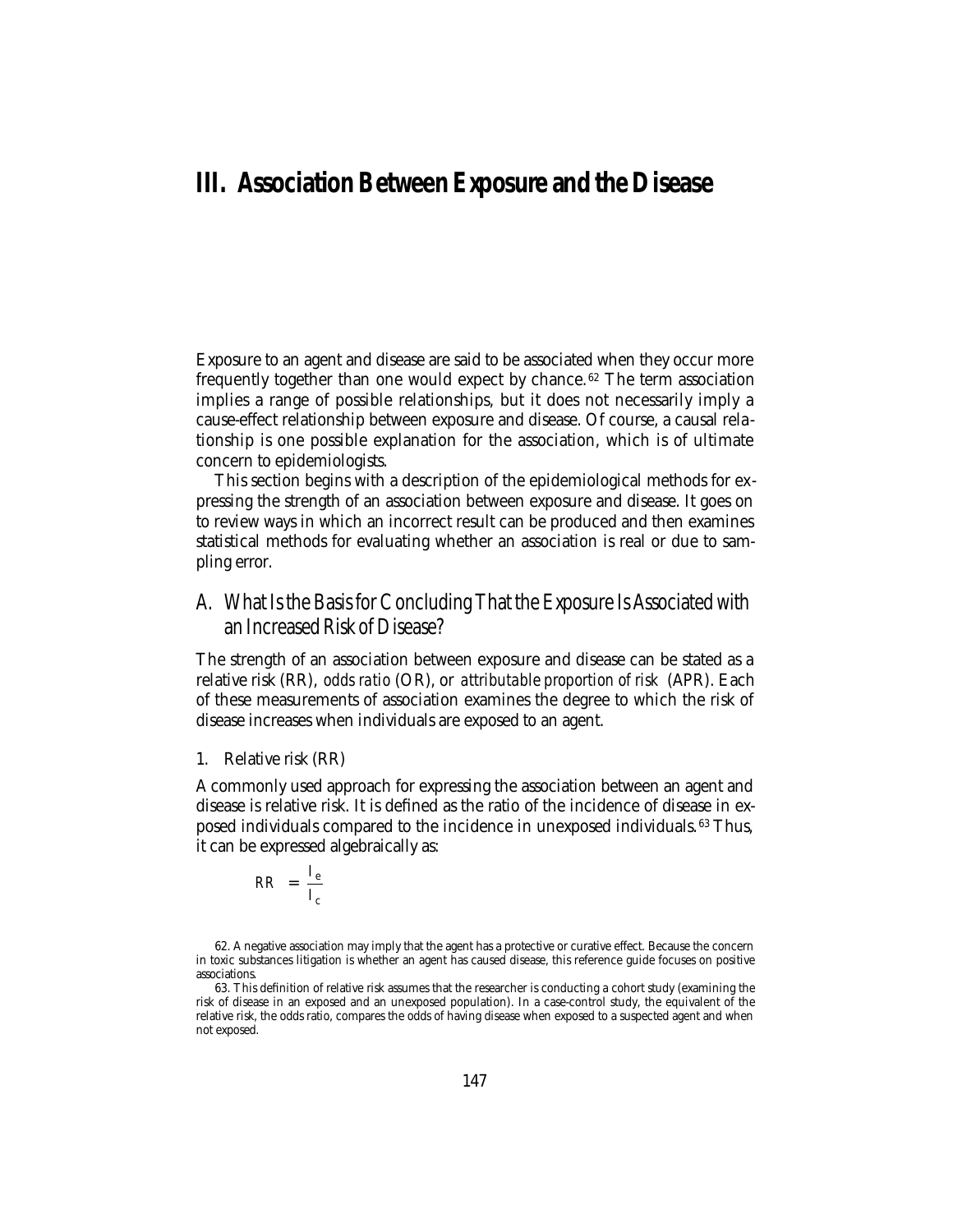## **III. Association Between Exposure and the Disease**

Exposure to an agent and disease are said to be associated when they occur more frequently together than one would expect by chance. 62 The term association implies a range of possible relationships, but it does not necessarily imply a cause-effect relationship between exposure and disease. Of course, a causal relationship is one possible explanation for the association, which is of ultimate concern to epidemiologists.

This section begins with a description of the epidemiological methods for expressing the strength of an association between exposure and disease. It goes on to review ways in which an incorrect result can be produced and then examines statistical methods for evaluating whether an association is real or due to sampling error.

### A. What Is the Basis for Concluding That the Exposure Is Associated with an Increased Risk of Disease?

The strength of an association between exposure and disease can be stated as a relative risk (RR), *odds ratio* (OR), or *attributable proportion of risk* (APR). Each of these measurements of association examines the degree to which the risk of disease increases when individuals are exposed to an agent.

1. Relative risk (RR)

A commonly used approach for expressing the association between an agent and disease is relative risk. It is defined as the ratio of the incidence of disease in exposed individuals compared to the incidence in unexposed individuals. 63 Thus, it can be expressed algebraically as:

$$
RR = \frac{I_e}{I_c}
$$

<sup>62.</sup> A negative association may imply that the agent has a protective or curative effect. Because the concern in toxic substances litigation is whether an agent has caused disease, this reference guide focuses on positive associations.

<sup>63.</sup> This definition of relative risk assumes that the researcher is conducting a cohort study (examining the risk of disease in an exposed and an unexposed population). In a case-control study, the equivalent of the relative risk, the odds ratio, compares the odds of having disease when exposed to a suspected agent and when not exposed.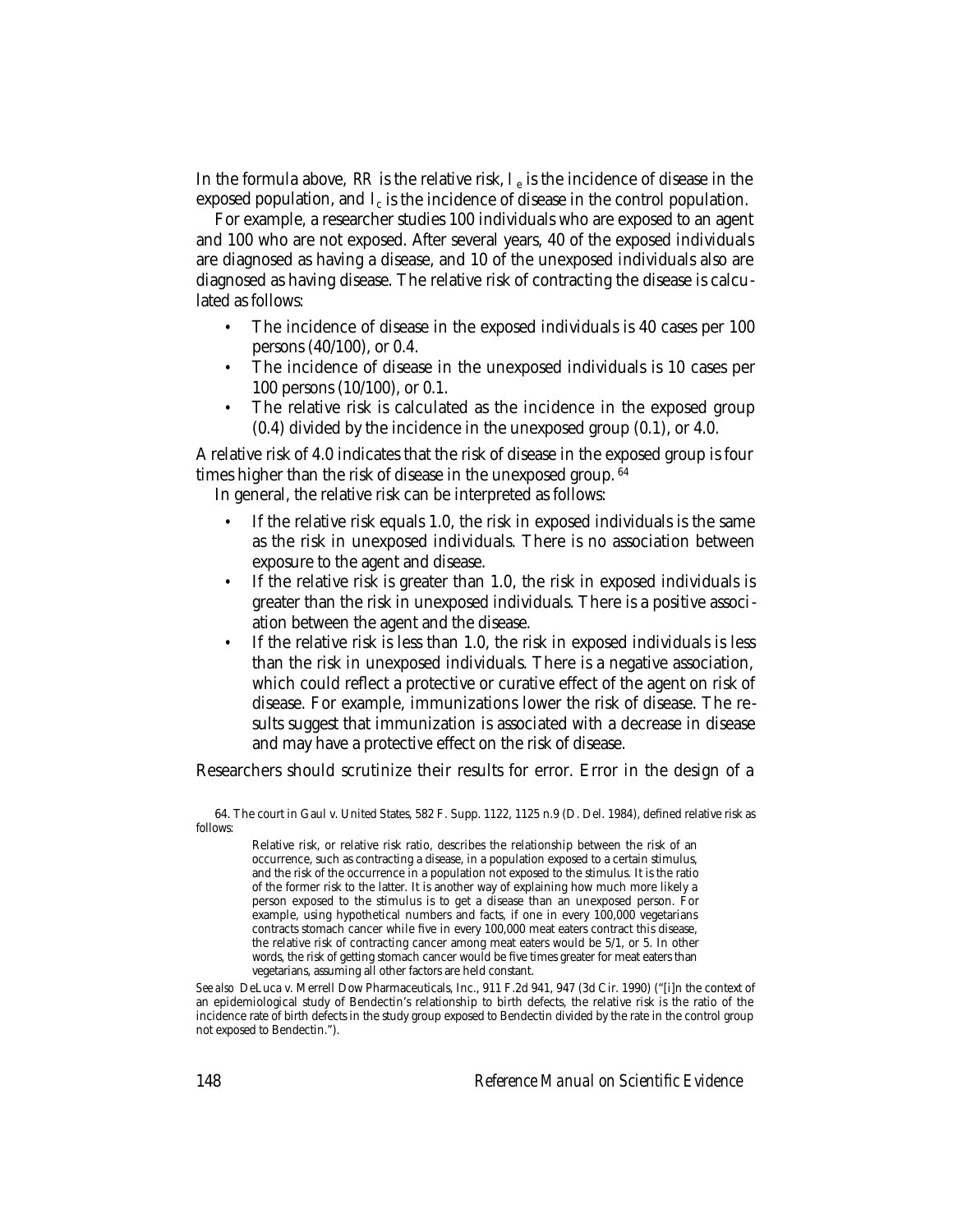In the formula above,  $RR$  is the relative risk,  $I_e$  is the incidence of disease in the exposed population, and  $l_c$  is the incidence of disease in the control population.

For example, a researcher studies 100 individuals who are exposed to an agent and 100 who are not exposed. After several years, 40 of the exposed individuals are diagnosed as having a disease, and 10 of the unexposed individuals also are diagnosed as having disease. The relative risk of contracting the disease is calculated as follows:

- The incidence of disease in the exposed individuals is 40 cases per 100 persons (40/100), or 0.4.
- The incidence of disease in the unexposed individuals is 10 cases per 100 persons (10/100), or 0.1.
- The relative risk is calculated as the incidence in the exposed group (0.4) divided by the incidence in the unexposed group (0.1), or 4.0.

A relative risk of 4.0 indicates that the risk of disease in the exposed group is four times higher than the risk of disease in the unexposed group. <sup>64</sup>

In general, the relative risk can be interpreted as follows:

- If the relative risk equals 1.0, the risk in exposed individuals is the same as the risk in unexposed individuals. There is no association between exposure to the agent and disease.
- If the relative risk is greater than 1.0, the risk in exposed individuals is greater than the risk in unexposed individuals. There is a positive association between the agent and the disease.
- If the relative risk is less than 1.0, the risk in exposed individuals is less than the risk in unexposed individuals. There is a negative association, which could reflect a protective or curative effect of the agent on risk of disease. For example, immunizations lower the risk of disease. The results suggest that immunization is associated with a decrease in disease and may have a protective effect on the risk of disease.

Researchers should scrutinize their results for error. Error in the design of a

64. The court in Gaul v. United States, 582 F. Supp. 1122, 1125 n.9 (D. Del. 1984), defined relative risk as follows:

Relative risk, or relative risk ratio, describes the relationship between the risk of an occurrence, such as contracting a disease, in a population exposed to a certain stimulus, and the risk of the occurrence in a population not exposed to the stimulus. It is the ratio of the former risk to the latter. It is another way of explaining how much more likely a person exposed to the stimulus is to get a disease than an unexposed person. For example, using hypothetical numbers and facts, if one in every 100,000 vegetarians contracts stomach cancer while five in every 100,000 meat eaters contract this disease, the relative risk of contracting cancer among meat eaters would be 5/1, or 5. In other words, the risk of getting stomach cancer would be five times greater for meat eaters than vegetarians, assuming all other factors are held constant.

*See also* DeLuca v. Merrell Dow Pharmaceuticals, Inc., 911 F.2d 941, 947 (3d Cir. 1990) ("[i]n the context of an epidemiological study of Bendectin's relationship to birth defects, the relative risk is the ratio of the incidence rate of birth defects in the study group exposed to Bendectin divided by the rate in the control group not exposed to Bendectin.").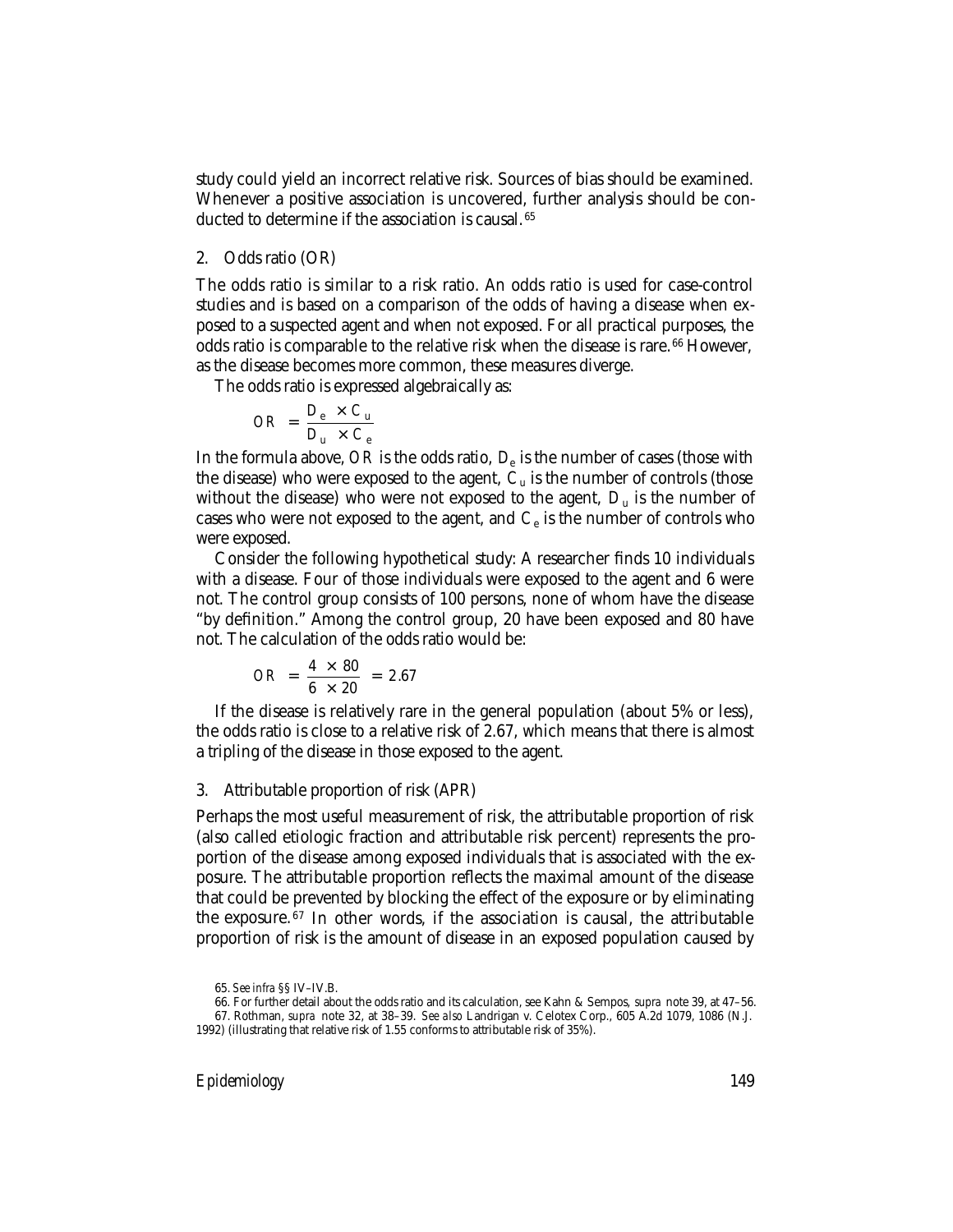study could yield an incorrect relative risk. Sources of bias should be examined. Whenever a positive association is uncovered, further analysis should be conducted to determine if the association is causal. <sup>65</sup>

#### 2. Odds ratio (OR)

The odds ratio is similar to a risk ratio. An odds ratio is used for case-control studies and is based on a comparison of the odds of having a disease when exposed to a suspected agent and when not exposed. For all practical purposes, the odds ratio is comparable to the relative risk when the disease is rare. 66 However, as the disease becomes more common, these measures diverge.

The odds ratio is expressed algebraically as:

$$
OR = \frac{D_e \times C_u}{D_u \times C_e}
$$

In the formula above, *OR* is the odds ratio, *D*<sup>e</sup> is the number of cases (those with the disease) who were exposed to the agent,  $C<sub>u</sub>$  is the number of controls (those without the disease) who were not exposed to the agent,  $D<sub>u</sub>$  is the number of cases who were not exposed to the agent, and  $C_e$  is the number of controls who were exposed.

Consider the following hypothetical study: A researcher finds 10 individuals with a disease. Four of those individuals were exposed to the agent and 6 were not. The control group consists of 100 persons, none of whom have the disease "by definition." Among the control group, 20 have been exposed and 80 have not. The calculation of the odds ratio would be:

$$
OR = \frac{4 \times 80}{6 \times 20} = 2.67
$$

If the disease is relatively rare in the general population (about 5% or less), the odds ratio is close to a relative risk of 2.67, which means that there is almost a tripling of the disease in those exposed to the agent.

#### 3. Attributable proportion of risk (APR)

Perhaps the most useful measurement of risk, the attributable proportion of risk (also called etiologic fraction and attributable risk percent) represents the proportion of the disease among exposed individuals that is associated with the exposure. The attributable proportion reflects the maximal amount of the disease that could be prevented by blocking the effect of the exposure or by eliminating the exposure. 67 In other words, if the association is causal, the attributable proportion of risk is the amount of disease in an exposed population caused by

<sup>65.</sup> *See infra* §§ IV–IV.B.

<sup>66.</sup> For further detail about the odds ratio and its calculation, see Kahn & Sempos, *supra* note 39, at 47–56.

<sup>67.</sup> Rothman, *supra* note 32, at 38–39. *See also* Landrigan v. Celotex Corp., 605 A.2d 1079, 1086 (N.J. 1992) (illustrating that relative risk of 1.55 conforms to attributable risk of 35%).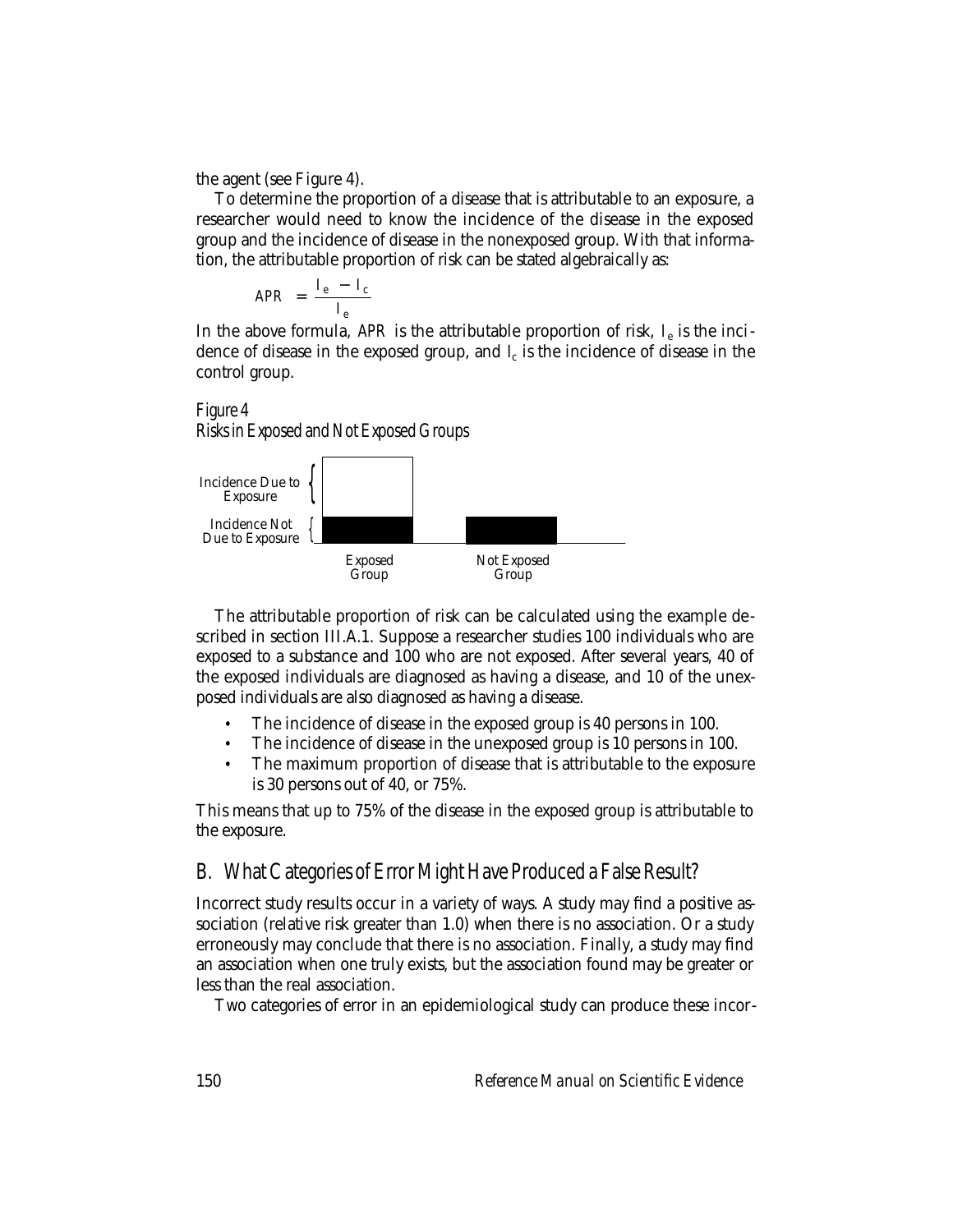the agent (see Figure 4).

To determine the proportion of a disease that is attributable to an exposure, a researcher would need to know the incidence of the disease in the exposed group and the incidence of disease in the nonexposed group. With that information, the attributable proportion of risk can be stated algebraically as:

$$
APR = \frac{I_e - I_c}{I_e}
$$

In the above formula, *APR* is the attributable proportion of risk, *I*e is the incidence of disease in the exposed group, and  $\ell_c$  is the incidence of disease in the control group.

## Figure 4

Risks in Exposed and Not Exposed Groups



The attributable proportion of risk can be calculated using the example described in section III.A.1. Suppose a researcher studies 100 individuals who are exposed to a substance and 100 who are not exposed. After several years, 40 of the exposed individuals are diagnosed as having a disease, and 10 of the unexposed individuals are also diagnosed as having a disease.

- The incidence of disease in the exposed group is 40 persons in 100.
- The incidence of disease in the unexposed group is 10 persons in 100.
- The maximum proportion of disease that is attributable to the exposure is 30 persons out of 40, or 75%.

This means that up to 75% of the disease in the exposed group is attributable to the exposure.

## B. What Categories of Error Might Have Produced a False Result?

Incorrect study results occur in a variety of ways. A study may find a positive association (relative risk greater than 1.0) when there is no association. Or a study erroneously may conclude that there is no association. Finally, a study may find an association when one truly exists, but the association found may be greater or less than the real association.

Two categories of error in an epidemiological study can produce these incor-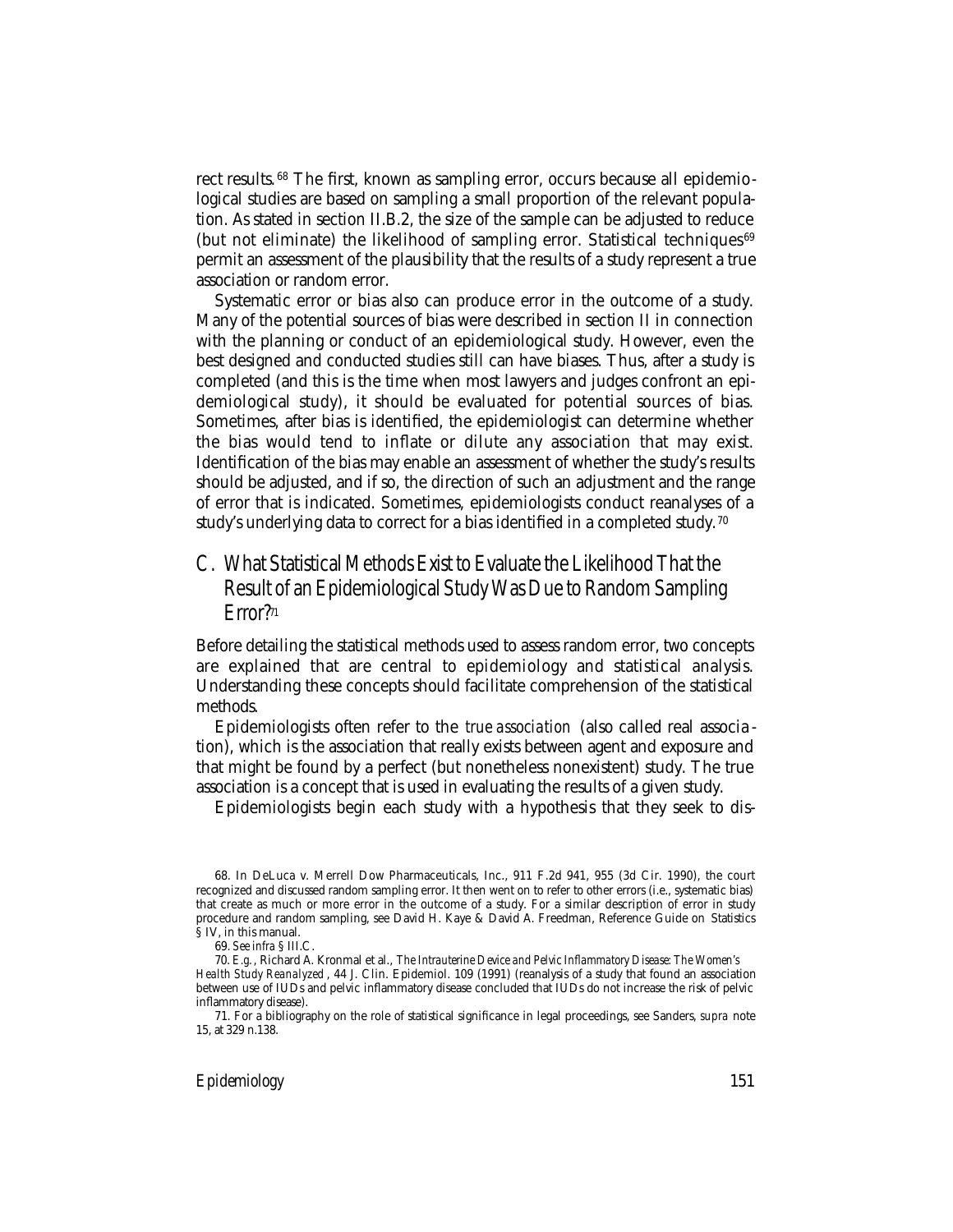rect results.<sup>68</sup> The first, known as sampling error, occurs because all epidemiological studies are based on sampling a small proportion of the relevant population. As stated in section II.B.2, the size of the sample can be adjusted to reduce (but not eliminate) the likelihood of sampling error. Statistical techniques $69$ permit an assessment of the plausibility that the results of a study represent a true association or random error.

Systematic error or bias also can produce error in the outcome of a study. Many of the potential sources of bias were described in section II in connection with the planning or conduct of an epidemiological study. However, even the best designed and conducted studies still can have biases. Thus, after a study is completed (and this is the time when most lawyers and judges confront an epidemiological study), it should be evaluated for potential sources of bias. Sometimes, after bias is identified, the epidemiologist can determine whether the bias would tend to inflate or dilute any association that may exist. Identification of the bias may enable an assessment of whether the study's results should be adjusted, and if so, the direction of such an adjustment and the range of error that is indicated. Sometimes, epidemiologists conduct reanalyses of a study's underlying data to correct for a bias identified in a completed study.<sup>70</sup>

## C. What Statistical Methods Exist to Evaluate the Likelihood That the Result of an Epidemiological Study Was Due to Random Sampling Error?<sup>71</sup>

Before detailing the statistical methods used to assess random error, two concepts are explained that are central to epidemiology and statistical analysis. Understanding these concepts should facilitate comprehension of the statistical methods.

Epidemiologists often refer to the *true association* (also called real associa tion), which is the association that really exists between agent and exposure and that might be found by a perfect (but nonetheless nonexistent) study. The true association is a concept that is used in evaluating the results of a given study.

Epidemiologists begin each study with a hypothesis that they seek to dis-

<sup>68.</sup> In DeLuca v. Merrell Dow Pharmaceuticals, Inc., 911 F.2d 941, 955 (3d Cir. 1990), the court recognized and discussed random sampling error. It then went on to refer to other errors (i.e., systematic bias) that create as much or more error in the outcome of a study. For a similar description of error in study procedure and random sampling, see David H. Kaye & David A. Freedman, Reference Guide on Statistics § IV, in this manual.

<sup>69.</sup> *See infra* § III.C.

<sup>70.</sup> *E.g.*, Richard A. Kronmal et al., *The Intrauterine Device and Pelvic Inflammatory Disease: The Women's Health Study Reanalyzed* , 44 J. Clin. Epidemiol. 109 (1991) (reanalysis of a study that found an association between use of IUDs and pelvic inflammatory disease concluded that IUDs do not increase the risk of pelvic inflammatory disease).

<sup>71.</sup> For a bibliography on the role of statistical significance in legal proceedings, see Sanders, *supra* note 15, at 329 n.138.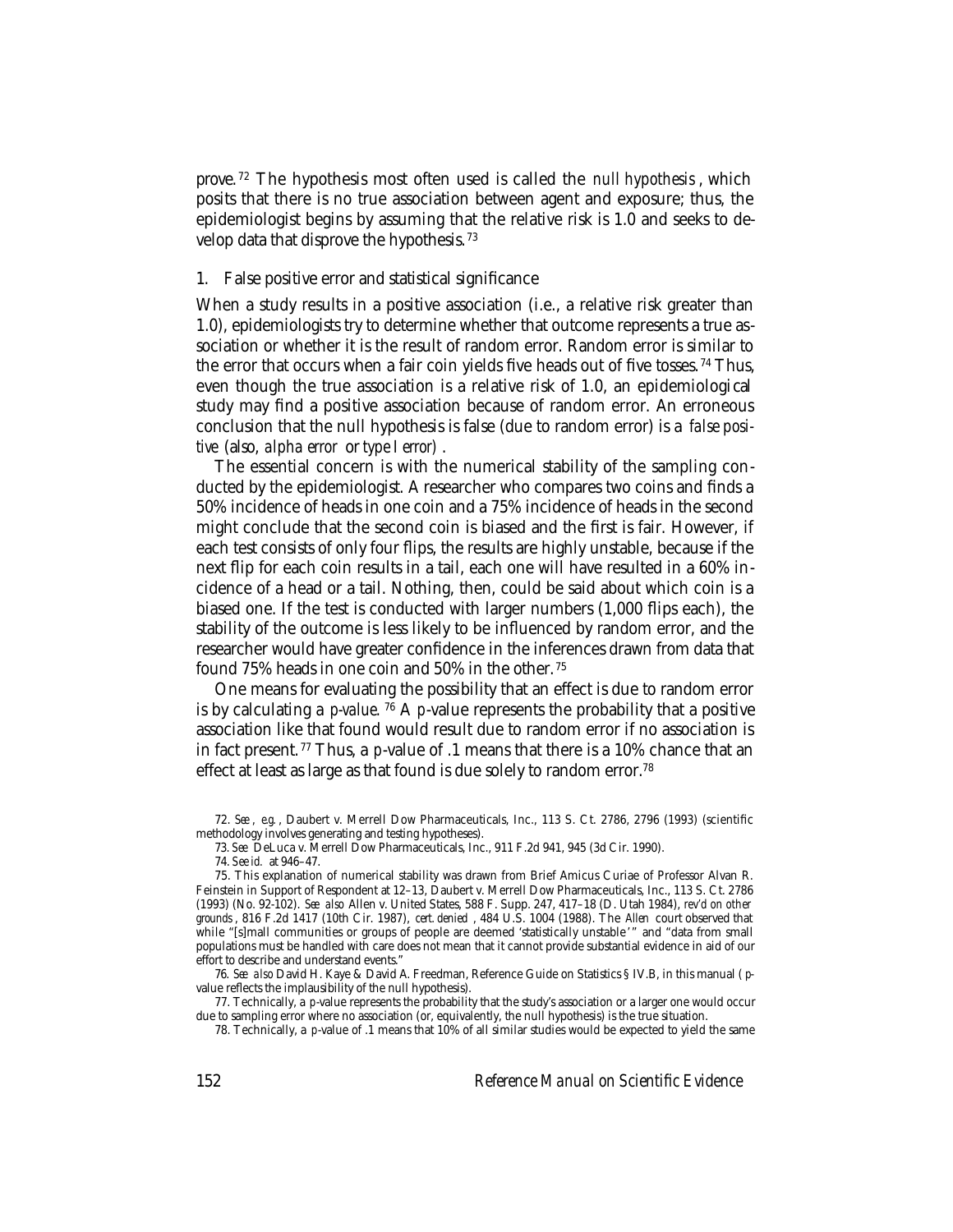prove. 72 The hypothesis most often used is called the *null hypothesis* , which posits that there is no true association between agent and exposure; thus, the epidemiologist begins by assuming that the relative risk is 1.0 and seeks to develop data that disprove the hypothesis. <sup>73</sup>

#### 1. False positive error and statistical significance

When a study results in a positive association (i.e., a relative risk greater than 1.0), epidemiologists try to determine whether that outcome represents a true association or whether it is the result of random error. Random error is similar to the error that occurs when a fair coin yields five heads out of five tosses. 74 Thus, even though the true association is a relative risk of 1.0, an epidemiological study may find a positive association because of random error. An erroneous conclusion that the null hypothesis is false (due to random error) is a *false positive* (also, *alpha error* or *type I error)* .

The essential concern is with the numerical stability of the sampling conducted by the epidemiologist. A researcher who compares two coins and finds a 50% incidence of heads in one coin and a 75% incidence of heads in the second might conclude that the second coin is biased and the first is fair. However, if each test consists of only four flips, the results are highly unstable, because if the next flip for each coin results in a tail, each one will have resulted in a 60% incidence of a head or a tail. Nothing, then, could be said about which coin is a biased one. If the test is conducted with larger numbers (1,000 flips each), the stability of the outcome is less likely to be influenced by random error, and the researcher would have greater confidence in the inferences drawn from data that found 75% heads in one coin and 50% in the other. <sup>75</sup>

One means for evaluating the possibility that an effect is due to random error is by calculating a *p-value.* 76 A *p*-value represents the probability that a positive association like that found would result due to random error if no association is in fact present. 77 Thus, a *p*-value of .1 means that there is a 10% chance that an effect at least as large as that found is due solely to random error.<sup>78</sup>

76. *See also* David H. Kaye & David A. Freedman, Reference Guide on Statistics § IV.B, in this manual ( *p*value reflects the implausibility of the null hypothesis).

77. Technically, a *p*-value represents the probability that the study's association or a larger one would occur due to sampling error where no association (or, equivalently, the null hypothesis) is the true situation.

78. Technically, a *p*-value of .1 means that 10% of all similar studies would be expected to yield the same

<sup>72.</sup> *See* , *e.g.* , Daubert v. Merrell Dow Pharmaceuticals, Inc., 113 S. Ct. 2786, 2796 (1993) (scientific methodology involves generating and testing hypotheses).

<sup>73.</sup> *See* DeLuca v. Merrell Dow Pharmaceuticals, Inc., 911 F.2d 941, 945 (3d Cir. 1990).

<sup>74.</sup> *See id.* at 946–47.

<sup>75.</sup> This explanation of numerical stability was drawn from Brief Amicus Curiae of Professor Alvan R. Feinstein in Support of Respondent at 12–13, Daubert v. Merrell Dow Pharmaceuticals, Inc., 113 S. Ct. 2786 (1993) (No. 92-102). *See also* Allen v. United States, 588 F. Supp. 247, 417–18 (D. Utah 1984), *rev'd on other grounds* , 816 F.2d 1417 (10th Cir. 1987), *cert. denied* , 484 U.S. 1004 (1988). The *Allen* court observed that while "[s]mall communities or groups of people are deemed 'statistically unstable'" and "data from small populations must be handled with care does not mean that it cannot provide substantial evidence in aid of our effort to describe and understand events."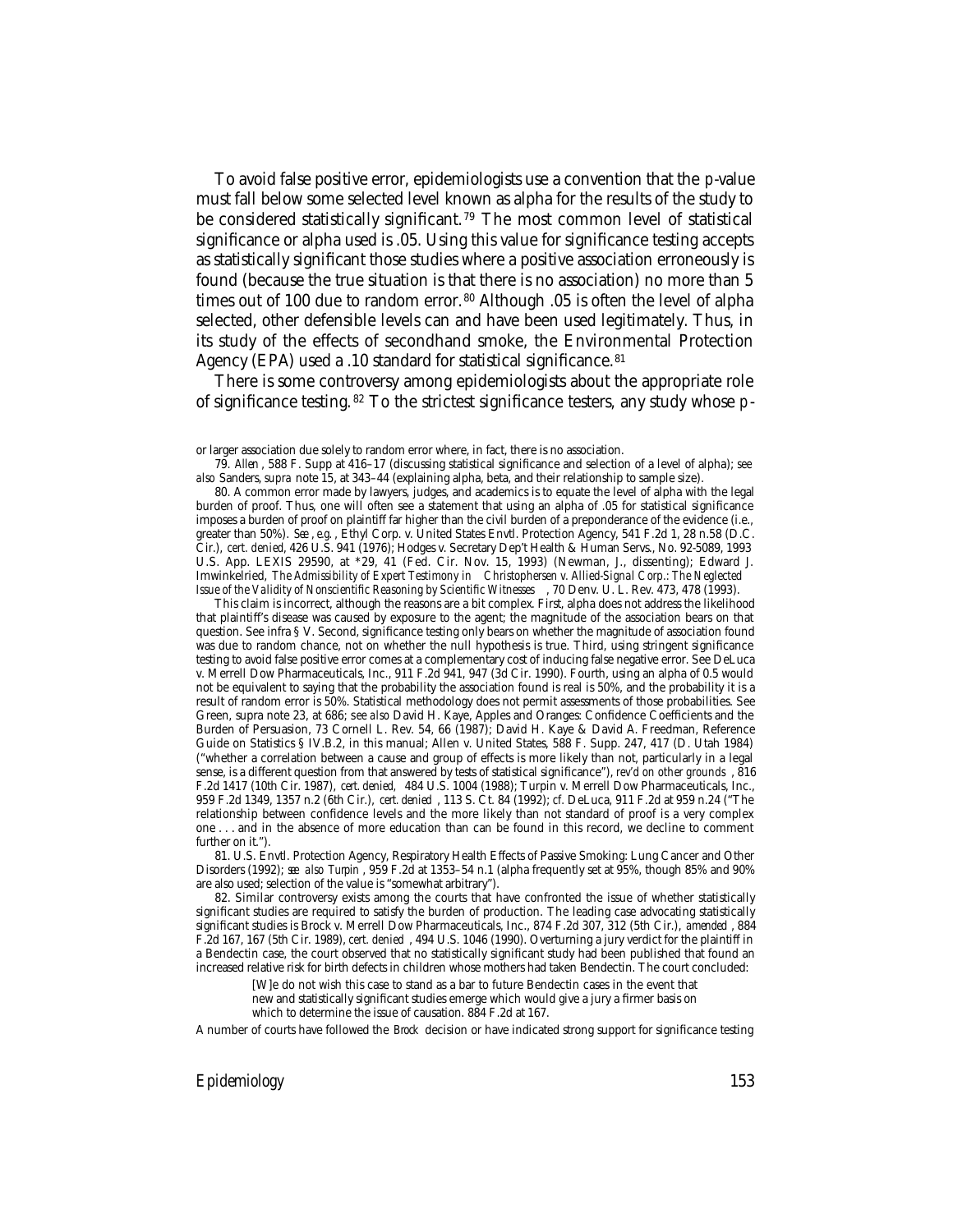To avoid false positive error, epidemiologists use a convention that the *p*-value must fall below some selected level known as alpha for the results of the study to be considered statistically significant.<sup>79</sup> The most common level of statistical significance or alpha used is .05. Using this value for significance testing accepts as statistically significant those studies where a positive association erroneously is found (because the true situation is that there is no association) no more than 5 times out of 100 due to random error.<sup>80</sup> Although .05 is often the level of alpha selected, other defensible levels can and have been used legitimately. Thus, in its study of the effects of secondhand smoke, the Environmental Protection Agency (EPA) used a .10 standard for statistical significance.<sup>81</sup>

There is some controversy among epidemiologists about the appropriate role of significance testing. 82 To the strictest significance testers, any study whose *p*-

or larger association due solely to random error where, in fact, there is no association.

This claim is incorrect, although the reasons are a bit complex. First, alpha does not address the likelihood that plaintiff's disease was caused by exposure to the agent; the magnitude of the association bears on that question. See infra § V. Second, significance testing only bears on whether the magnitude of association found was due to random chance, not on whether the null hypothesis is true. Third, using stringent significance testing to avoid false positive error comes at a complementary cost of inducing false negative error. See DeLuca v. Merrell Dow Pharmaceuticals, Inc., 911 F.2d 941, 947 (3d Cir. 1990). Fourth, using an alpha of 0.5 would not be equivalent to saying that the probability the association found is real is 50%, and the probability it is a result of random error is 50%. Statistical methodology does not permit assessments of those probabilities. See Green, supra note 23, at 686; s *ee also* David H. Kaye, Apples and Oranges: Confidence Coefficients and the Burden of Persuasion, 73 Cornell L. Rev. 54, 66 (1987); David H. Kaye & David A. Freedman, Reference Guide on Statistics § IV.B.2, in this manual; Allen v. United States, 588 F. Supp. 247, 417 (D. Utah 1984) ("whether a correlation between a cause and group of effects is more likely than not, particularly in a legal sense, is a different question from that answered by tests of statistical significance"), *rev'd on other grounds* , 816 F.2d 1417 (10th Cir. 1987), *cert. denied,* 484 U.S. 1004 (1988); Turpin v. Merrell Dow Pharmaceuticals, Inc., 959 F.2d 1349, 1357 n.2 (6th Cir.), *cert. denied* , 113 S. Ct. 84 (1992); *cf.* DeLuca, 911 F.2d at 959 n.24 ("The relationship between confidence levels and the more likely than not standard of proof is a very complex one . . . and in the absence of more education than can be found in this record, we decline to comment further on it.").

81. U.S. Envtl. Protection Agency, Respiratory Health Effects of Passive Smoking: Lung Cancer and Other Disorders (1992); *see also Turpin* , 959 F.2d at 1353–54 n.1 (alpha frequently set at 95%, though 85% and 90% are also used; selection of the value is "somewhat arbitrary").

82. Similar controversy exists among the courts that have confronted the issue of whether statistically significant studies are required to satisfy the burden of production. The leading case advocating statistically significant studies is Brock v. Merrell Dow Pharmaceuticals, Inc., 874 F.2d 307, 312 (5th Cir.), *amended* , 884 F.2d 167, 167 (5th Cir. 1989), *cert. denied* , 494 U.S. 1046 (1990). Overturning a jury verdict for the plaintiff in a Bendectin case, the court observed that no statistically significant study had been published that found an increased relative risk for birth defects in children whose mothers had taken Bendectin. The court concluded:

[W]e do not wish this case to stand as a bar to future Bendectin cases in the event that new and statistically significant studies emerge which would give a jury a firmer basis on

which to determine the issue of causation. 884 F.2d at 167.

A number of courts have followed the *Brock* decision or have indicated strong support for significance testing

<sup>79.</sup> *Allen* , 588 F. Supp at 416–17 (discussing statistical significance and selection of a level of alpha); *see also* Sanders, *supra* note 15, at 343–44 (explaining alpha, beta, and their relationship to sample size).

<sup>80.</sup> A common error made by lawyers, judges, and academics is to equate the level of alpha with the legal burden of proof. Thus, one will often see a statement that using an alpha of .05 for statistical significance imposes a burden of proof on plaintiff far higher than the civil burden of a preponderance of the evidence (i.e., greater than 50%). *See* , *e.g.* , Ethyl Corp. v. United States Envtl. Protection Agency, 541 F.2d 1, 28 n.58 (D.C. Cir.), *cert. denied*, 426 U.S. 941 (1976); Hodges v. Secretary Dep't Health & Human Servs., No. 92-5089, 1993 U.S. App. LEXIS 29590, at \*29, 41 (Fed. Cir. Nov. 15, 1993) (Newman, J., dissenting); Edward J. Imwinkelried, *The Admissibility of Expert Testimony in Christophersen v. Allied-Signal Corp.: The Neglected Issue of the Validity of Nonscientific Reasoning by Scientific Witnesses* , 70 Denv. U. L. Rev. 473, 478 (1993).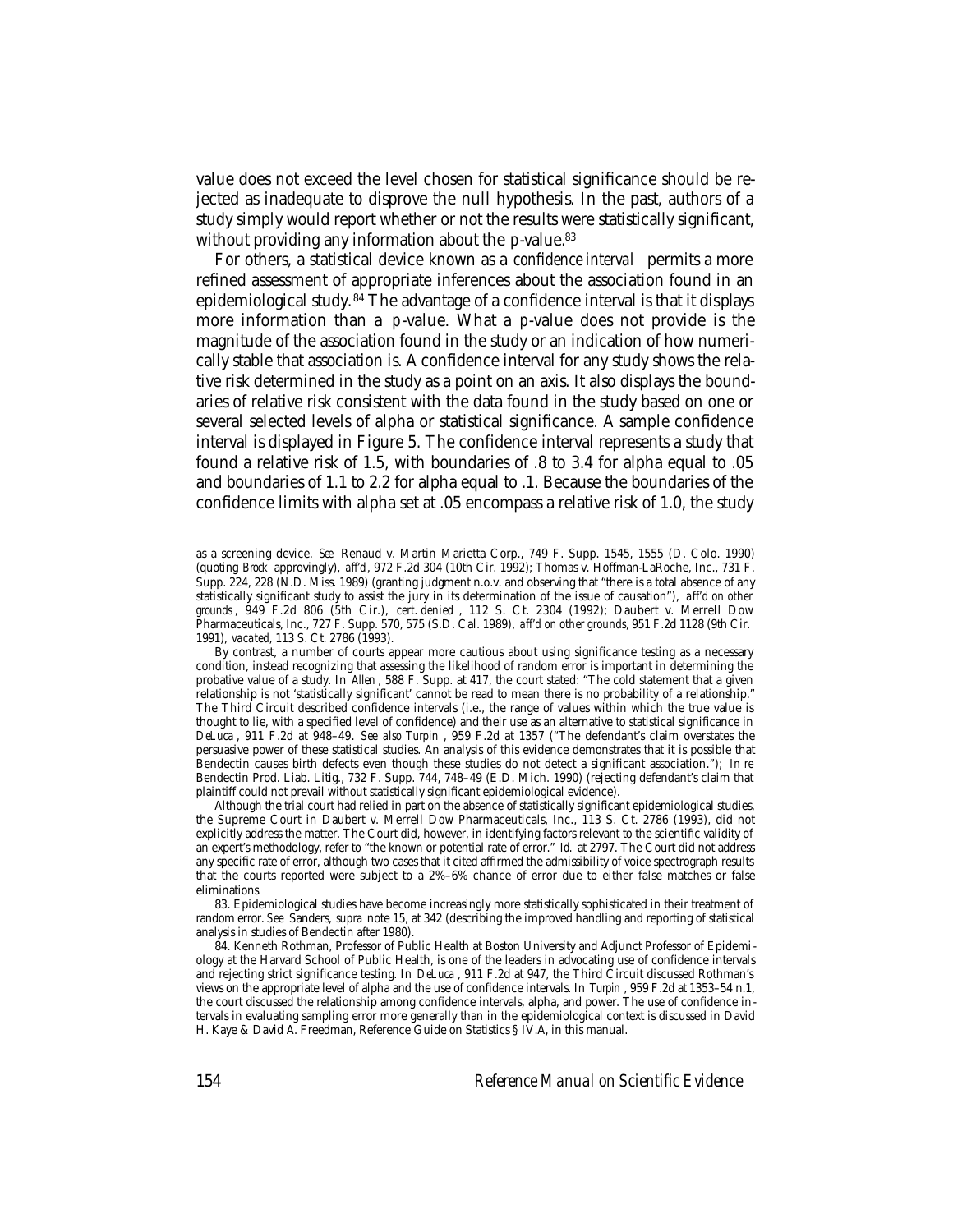value does not exceed the level chosen for statistical significance should be rejected as inadequate to disprove the null hypothesis. In the past, authors of a study simply would report whether or not the results were statistically significant, without providing any information about the *p*-value.<sup>83</sup>

For others, a statistical device known as a *confidence interval* permits a more refined assessment of appropriate inferences about the association found in an epidemiological study. 84 The advantage of a confidence interval is that it displays more information than a *p*-value. What a *p*-value does not provide is the magnitude of the association found in the study or an indication of how numerically stable that association is. A confidence interval for any study shows the relative risk determined in the study as a point on an axis. It also displays the boundaries of relative risk consistent with the data found in the study based on one or several selected levels of alpha or statistical significance. A sample confidence interval is displayed in Figure 5. The confidence interval represents a study that found a relative risk of 1.5, with boundaries of .8 to 3.4 for alpha equal to .05 and boundaries of 1.1 to 2.2 for alpha equal to .1. Because the boundaries of the confidence limits with alpha set at .05 encompass a relative risk of 1.0, the study

Although the trial court had relied in part on the absence of statistically significant epidemiological studies, the Supreme Court in Daubert v. Merrell Dow Pharmaceuticals, Inc., 113 S. Ct. 2786 (1993), did not explicitly address the matter. The Court did, however, in identifying factors relevant to the scientific validity of an expert's methodology, refer to "the known or potential rate of error." *Id.* at 2797. The Court did not address any specific rate of error, although two cases that it cited affirmed the admissibility of voice spectrograph results that the courts reported were subject to a 2%–6% chance of error due to either false matches or false eliminations.

83. Epidemiological studies have become increasingly more statistically sophisticated in their treatment of random error. *See* Sanders, *supra* note 15, at 342 (describing the improved handling and reporting of statistical analysis in studies of Bendectin after 1980).

84. Kenneth Rothman, Professor of Public Health at Boston University and Adjunct Professor of Epidemiology at the Harvard School of Public Health, is one of the leaders in advocating use of confidence intervals and rejecting strict significance testing. In *DeLuca* , 911 F.2d at 947, the Third Circuit discussed Rothman's views on the appropriate level of alpha and the use of confidence intervals. In *Turpin* , 959 F.2d at 1353–54 n.1, the court discussed the relationship among confidence intervals, alpha, and power. The use of confidence intervals in evaluating sampling error more generally than in the epidemiological context is discussed in David H. Kaye & David A. Freedman, Reference Guide on Statistics § IV.A, in this manual.

as a screening device. *See* Renaud v. Martin Marietta Corp., 749 F. Supp. 1545, 1555 (D. Colo. 1990) (quoting *Brock* approvingly), *aff'd*, 972 F.2d 304 (10th Cir. 1992); Thomas v. Hoffman-LaRoche, Inc., 731 F. Supp. 224, 228 (N.D. Miss. 1989) (granting judgment n.o.v. and observing that "there is a total absence of any statistically significant study to assist the jury in its determination of the issue of causation"), *aff'd on other grounds* , 949 F.2d 806 (5th Cir.), *cert. denied* , 112 S. Ct. 2304 (1992); Daubert v. Merrell Dow Pharmaceuticals, Inc., 727 F. Supp. 570, 575 (S.D. Cal. 1989), *aff'd on other grounds*, 951 F.2d 1128 (9th Cir. 1991), *vacated*, 113 S. Ct. 2786 (1993).

By contrast, a number of courts appear more cautious about using significance testing as a necessary condition, instead recognizing that assessing the likelihood of random error is important in determining the probative value of a study. In *Allen* , 588 F. Supp. at 417, the court stated: "The cold statement that a given relationship is not 'statistically significant' cannot be read to mean there is no probability of a relationship." The Third Circuit described confidence intervals (i.e., the range of values within which the true value is thought to lie, with a specified level of confidence) and their use as an alternative to statistical significance in *DeLuca* , 911 F.2d at 948–49. *See also Turpin* , 959 F.2d at 1357 ("The defendant's claim overstates the persuasive power of these statistical studies. An analysis of this evidence demonstrates that it is possible that Bendectin causes birth defects even though these studies do not detect a significant association."); *In re* Bendectin Prod. Liab. Litig., 732 F. Supp. 744, 748–49 (E.D. Mich. 1990) (rejecting defendant's claim that plaintiff could not prevail without statistically significant epidemiological evidence).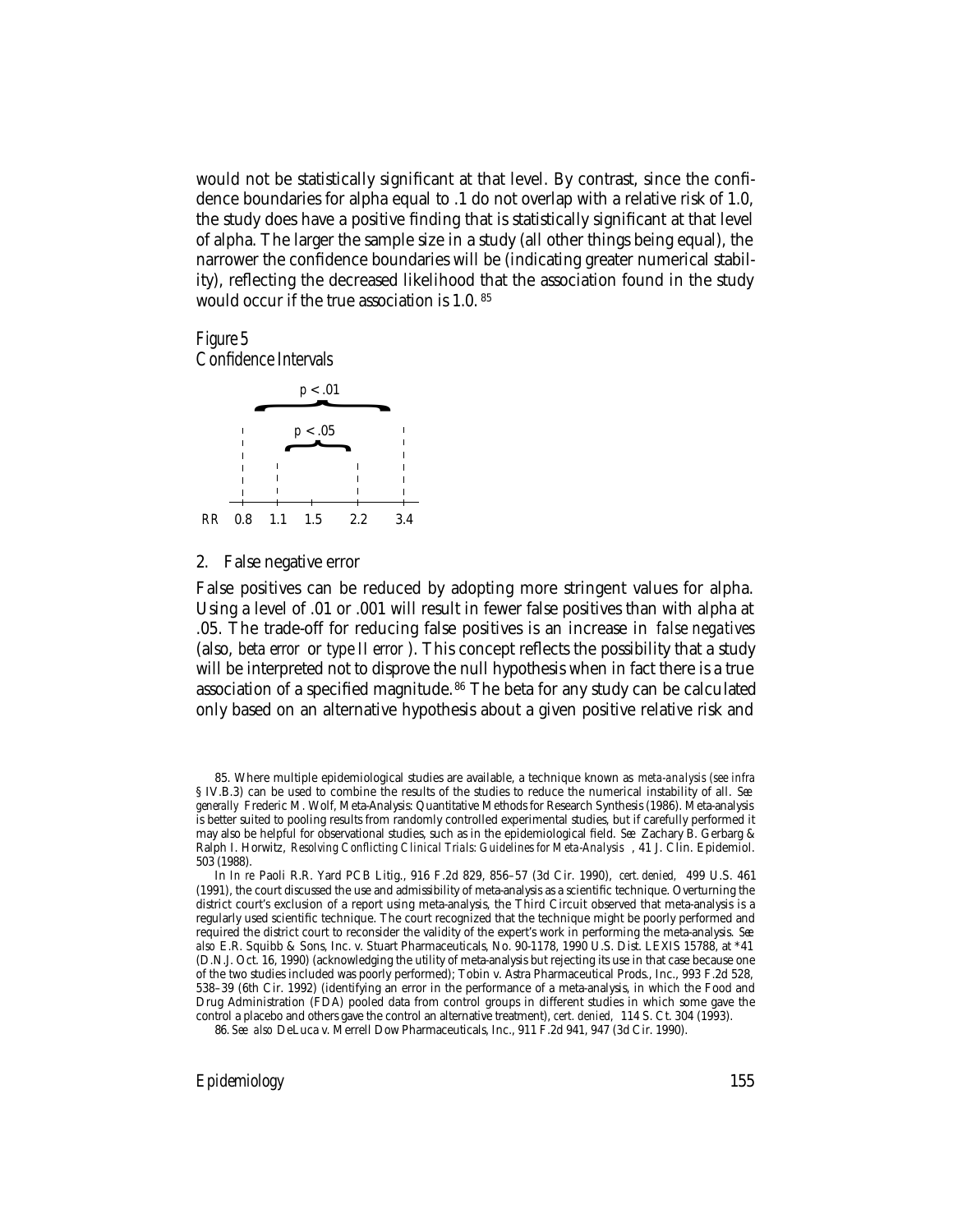would not be statistically significant at that level. By contrast, since the confidence boundaries for alpha equal to .1 do not overlap with a relative risk of 1.0, the study does have a positive finding that is statistically significant at that level of alpha. The larger the sample size in a study (all other things being equal), the narrower the confidence boundaries will be (indicating greater numerical stability), reflecting the decreased likelihood that the association found in the study would occur if the true association is 1.0. <sup>85</sup>

#### Figure 5 Confidence Intervals



#### 2. False negative error

False positives can be reduced by adopting more stringent values for alpha. Using a level of .01 or .001 will result in fewer false positives than with alpha at .05. The trade-off for reducing false positives is an increase in *false negatives* (also, *beta error* or *type II error* ). This concept reflects the possibility that a study will be interpreted not to disprove the null hypothesis when in fact there is a true association of a specified magnitude. 86 The beta for any study can be calculated only based on an alternative hypothesis about a given positive relative risk and

*Epidemiology* 155

<sup>85.</sup> Where multiple epidemiological studies are available, a technique known as *meta-analysis (see infra* § IV.B.3) can be used to combine the results of the studies to reduce the numerical instability of all. *See generally* Frederic M. Wolf, Meta-Analysis: Quantitative Methods for Research Synthesis (1986). Meta-analysis is better suited to pooling results from randomly controlled experimental studies, but if carefully performed it may also be helpful for observational studies, such as in the epidemiological field. *See* Zachary B. Gerbarg & Ralph I. Horwitz, *Resolving Conflicting Clinical Trials: Guidelines for Meta-Analysis* , 41 J. Clin. Epidemiol. 503 (1988).

In *In re* Paoli R.R. Yard PCB Litig., 916 F.2d 829, 856–57 (3d Cir. 1990), *cert. denied,* 499 U.S. 461 (1991), the court discussed the use and admissibility of meta-analysis as a scientific technique. Overturning the district court's exclusion of a report using meta-analysis, the Third Circuit observed that meta-analysis is a regularly used scientific technique. The court recognized that the technique might be poorly performed and required the district court to reconsider the validity of the expert's work in performing the meta-analysis. *See also* E.R. Squibb & Sons, Inc. v. Stuart Pharmaceuticals, No. 90-1178, 1990 U.S. Dist. LEXIS 15788, at \*41 (D.N.J. Oct. 16, 1990) (acknowledging the utility of meta-analysis but rejecting its use in that case because one of the two studies included was poorly performed); Tobin v. Astra Pharmaceutical Prods., Inc., 993 F.2d 528, 538–39 (6th Cir. 1992) (identifying an error in the performance of a meta-analysis, in which the Food and Drug Administration (FDA) pooled data from control groups in different studies in which some gave the control a placebo and others gave the control an alternative treatment), *cert. denied,* 114 S. Ct. 304 (1993).

<sup>86.</sup> *See also* DeLuca v. Merrell Dow Pharmaceuticals, Inc., 911 F.2d 941, 947 (3d Cir. 1990).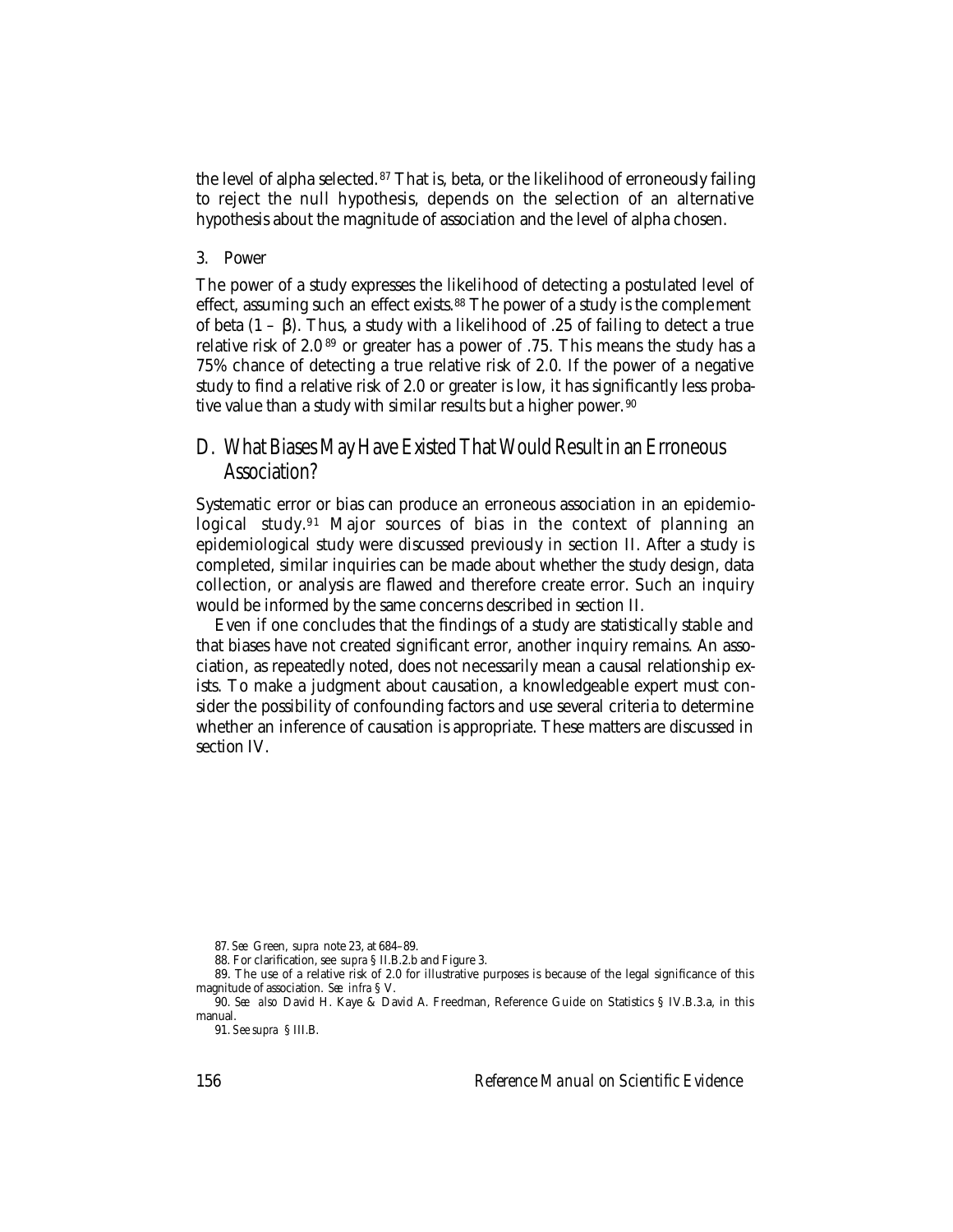the level of alpha selected.<sup>87</sup> That is, beta, or the likelihood of erroneously failing to reject the null hypothesis, depends on the selection of an alternative hypothesis about the magnitude of association and the level of alpha chosen.

#### 3. Power

The power of a study expresses the likelihood of detecting a postulated level of effect, assuming such an effect exists.<sup>88</sup> The power of a study is the complement of beta (1 – β). Thus, a study with a likelihood of .25 of failing to detect a true relative risk of 2.0 89 or greater has a power of .75. This means the study has a 75% chance of detecting a true relative risk of 2.0. If the power of a negative study to find a relative risk of 2.0 or greater is low, it has significantly less probative value than a study with similar results but a higher power. 90

## D. What Biases May Have Existed That Would Result in an Erroneous Association?

Systematic error or bias can produce an erroneous association in an epidemiological study.91 Major sources of bias in the context of planning an epidemiological study were discussed previously in section II. After a study is completed, similar inquiries can be made about whether the study design, data collection, or analysis are flawed and therefore create error. Such an inquiry would be informed by the same concerns described in section II.

Even if one concludes that the findings of a study are statistically stable and that biases have not created significant error, another inquiry remains. An association, as repeatedly noted, does not necessarily mean a causal relationship exists. To make a judgment about causation, a knowledgeable expert must consider the possibility of confounding factors and use several criteria to determine whether an inference of causation is appropriate. These matters are discussed in section IV.

156 *Reference Manual on Scientific Evidence*

<sup>87.</sup> *See* Green, *supra* note 23, at 684–89.

<sup>88.</sup> For clarification, see *supra* § II.B.2.b and Figure 3.

<sup>89.</sup> The use of a relative risk of 2.0 for illustrative purposes is because of the legal significance of this magnitude of association. *See infra* § V.

<sup>90.</sup> *See also* David H. Kaye & David A. Freedman, Reference Guide on Statistics § IV.B.3.a, in this manual.

<sup>91.</sup> *See supra* § III.B.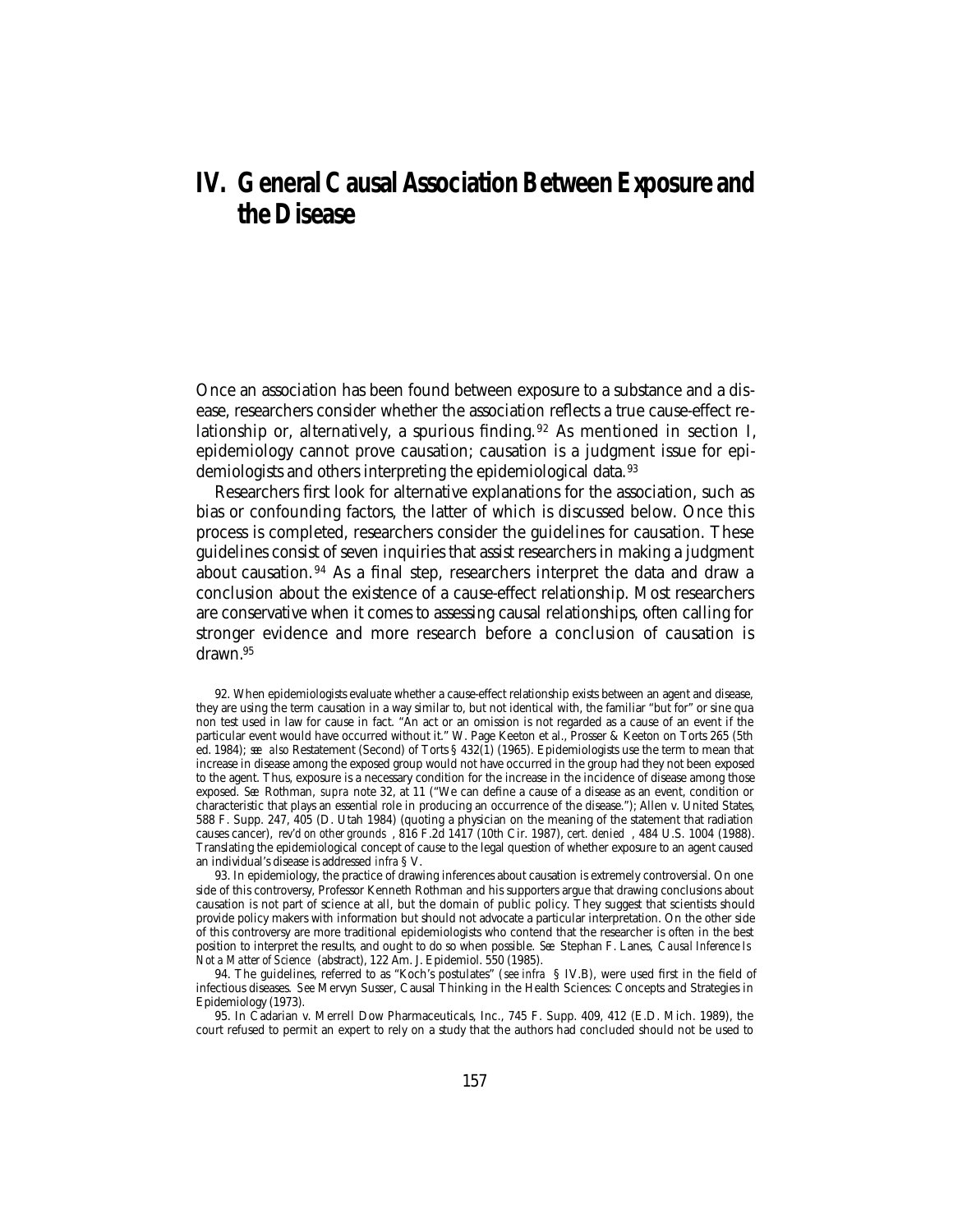# **IV. General Causal Association Between Exposure and the Disease**

Once an association has been found between exposure to a substance and a disease, researchers consider whether the association reflects a true cause-effect relationship or, alternatively, a spurious finding. 92 As mentioned in section I, epidemiology cannot prove causation; causation is a judgment issue for epidemiologists and others interpreting the epidemiological data.<sup>93</sup>

Researchers first look for alternative explanations for the association, such as bias or confounding factors, the latter of which is discussed below. Once this process is completed, researchers consider the guidelines for causation. These guidelines consist of seven inquiries that assist researchers in making a judgment about causation. 94 As a final step, researchers interpret the data and draw a conclusion about the existence of a cause-effect relationship. Most researchers are conservative when it comes to assessing causal relationships, often calling for stronger evidence and more research before a conclusion of causation is drawn.95

<sup>92.</sup> When epidemiologists evaluate whether a cause-effect relationship exists between an agent and disease, they are using the term causation in a way similar to, but not identical with, the familiar "but for" or sine qua non test used in law for cause in fact. "An act or an omission is not regarded as a cause of an event if the particular event would have occurred without it." W. Page Keeton et al., Prosser & Keeton on Torts 265 (5th ed. 1984); *see also* Restatement (Second) of Torts § 432(1) (1965). Epidemiologists use the term to mean that increase in disease among the exposed group would not have occurred in the group had they not been exposed to the agent. Thus, exposure is a necessary condition for the increase in the incidence of disease among those exposed. *See* Rothman, *supra* note 32, at 11 ("We can define a cause of a disease as an event, condition or characteristic that plays an essential role in producing an occurrence of the disease."); Allen v. United States, 588 F. Supp. 247, 405 (D. Utah 1984) (quoting a physician on the meaning of the statement that radiation causes cancer), *rev'd on other grounds* , 816 F.2d 1417 (10th Cir. 1987), *cert. denied* , 484 U.S. 1004 (1988). Translating the epidemiological concept of cause to the legal question of whether exposure to an agent caused an individual's disease is addressed *infra* § V.

<sup>93.</sup> In epidemiology, the practice of drawing inferences about causation is extremely controversial. On one side of this controversy, Professor Kenneth Rothman and his supporters argue that drawing conclusions about causation is not part of science at all, but the domain of public policy. They suggest that scientists should provide policy makers with information but should not advocate a particular interpretation. On the other side of this controversy are more traditional epidemiologists who contend that the researcher is often in the best position to interpret the results, and ought to do so when possible. *See* Stephan F. Lanes, *Causal Inference Is Not a Matter of Science* (abstract), 122 Am. J. Epidemiol. 550 (1985).

<sup>94.</sup> The guidelines, referred to as "Koch's postulates" (*see infra* § IV.B), were used first in the field of infectious diseases. *See* Mervyn Susser, Causal Thinking in the Health Sciences: Concepts and Strategies in Epidemiology (1973).

<sup>95.</sup> In Cadarian v. Merrell Dow Pharmaceuticals, Inc., 745 F. Supp. 409, 412 (E.D. Mich. 1989), the court refused to permit an expert to rely on a study that the authors had concluded should not be used to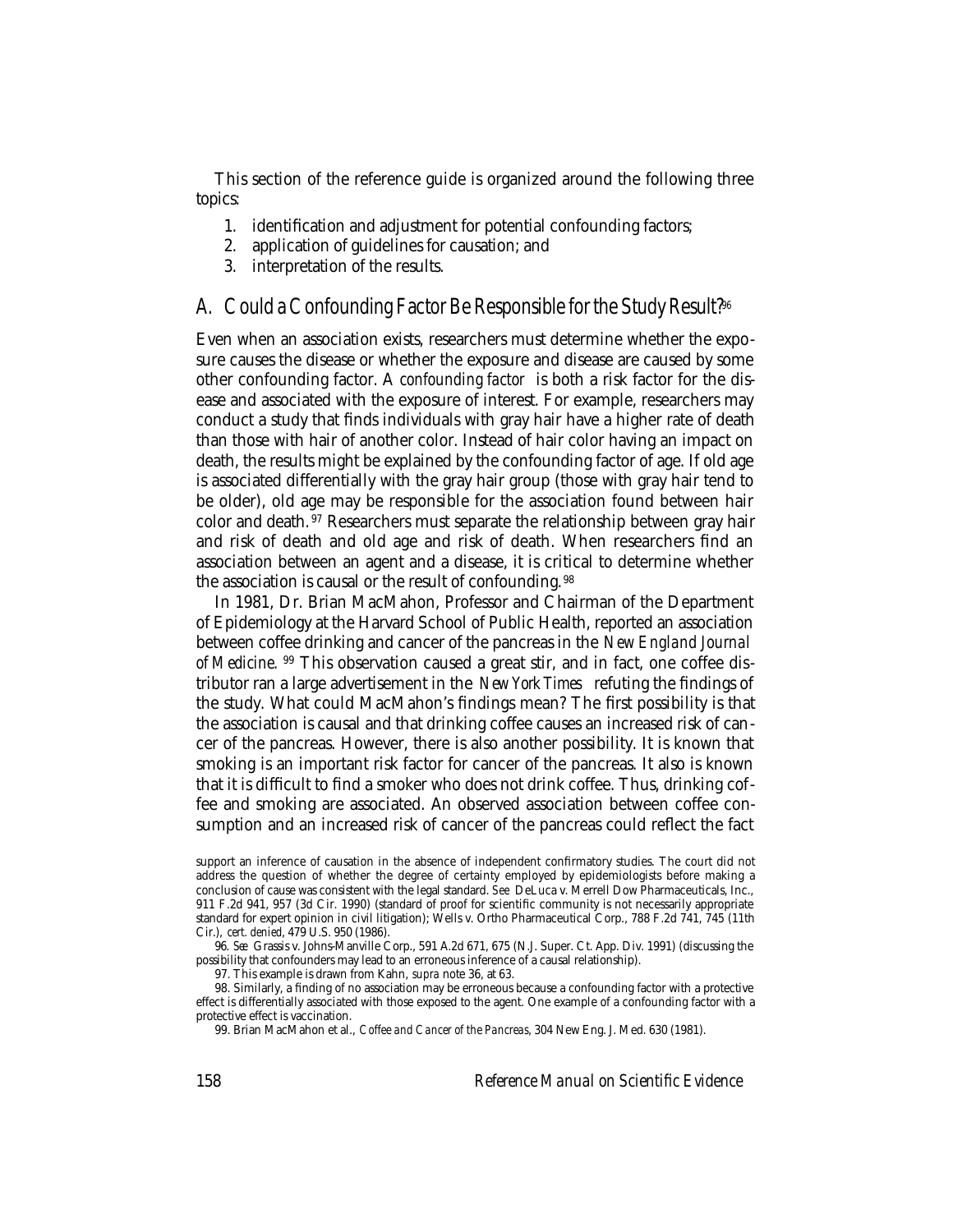This section of the reference guide is organized around the following three topics:

- 1. identification and adjustment for potential confounding factors;
- 2. application of guidelines for causation; and
- 3. interpretation of the results.

#### A. Could a Confounding Factor Be Responsible for the Study Result?<sup>96</sup>

Even when an association exists, researchers must determine whether the exposure causes the disease or whether the exposure and disease are caused by some other confounding factor. A *confounding factor* is both a risk factor for the disease and associated with the exposure of interest. For example, researchers may conduct a study that finds individuals with gray hair have a higher rate of death than those with hair of another color. Instead of hair color having an impact on death, the results might be explained by the confounding factor of age. If old age is associated differentially with the gray hair group (those with gray hair tend to be older), old age may be responsible for the association found between hair color and death. 97 Researchers must separate the relationship between gray hair and risk of death and old age and risk of death. When researchers find an association between an agent and a disease, it is critical to determine whether the association is causal or the result of confounding.<sup>98</sup>

In 1981, Dr. Brian MacMahon, Professor and Chairman of the Department of Epidemiology at the Harvard School of Public Health, reported an association between coffee drinking and cancer of the pancreas in the *New England Journal of Medicine*. 99 This observation caused a great stir, and in fact, one coffee distributor ran a large advertisement in the *New York Times* refuting the findings of the study. What could MacMahon's findings mean? The first possibility is that the association is causal and that drinking coffee causes an increased risk of cancer of the pancreas. However, there is also another possibility. It is known that smoking is an important risk factor for cancer of the pancreas. It also is known that it is difficult to find a smoker who does not drink coffee. Thus, drinking coffee and smoking are associated. An observed association between coffee consumption and an increased risk of cancer of the pancreas could reflect the fact

96. *See* Grassis v. Johns-Manville Corp., 591 A.2d 671, 675 (N.J. Super. Ct. App. Div. 1991) (discussing the possibility that confounders may lead to an erroneous inference of a causal relationship).

97. This example is drawn from Kahn, *supra* note 36, at 63.

98. Similarly, a finding of no association may be erroneous because a confounding factor with a protective effect is differentially associated with those exposed to the agent. One example of a confounding factor with a protective effect is vaccination.

99. Brian MacMahon et al., *Coffee and Cancer of the Pancreas*, 304 New Eng. J. Med. 630 (1981).

support an inference of causation in the absence of independent confirmatory studies. The court did not address the question of whether the degree of certainty employed by epidemiologists before making a conclusion of cause was consistent with the legal standard. *See* DeLuca v. Merrell Dow Pharmaceuticals, Inc., 911 F.2d 941, 957 (3d Cir. 1990) (standard of proof for scientific community is not necessarily appropriate standard for expert opinion in civil litigation); Wells v. Ortho Pharmaceutical Corp., 788 F.2d 741, 745 (11th Cir.), *cert. denied*, 479 U.S. 950 (1986).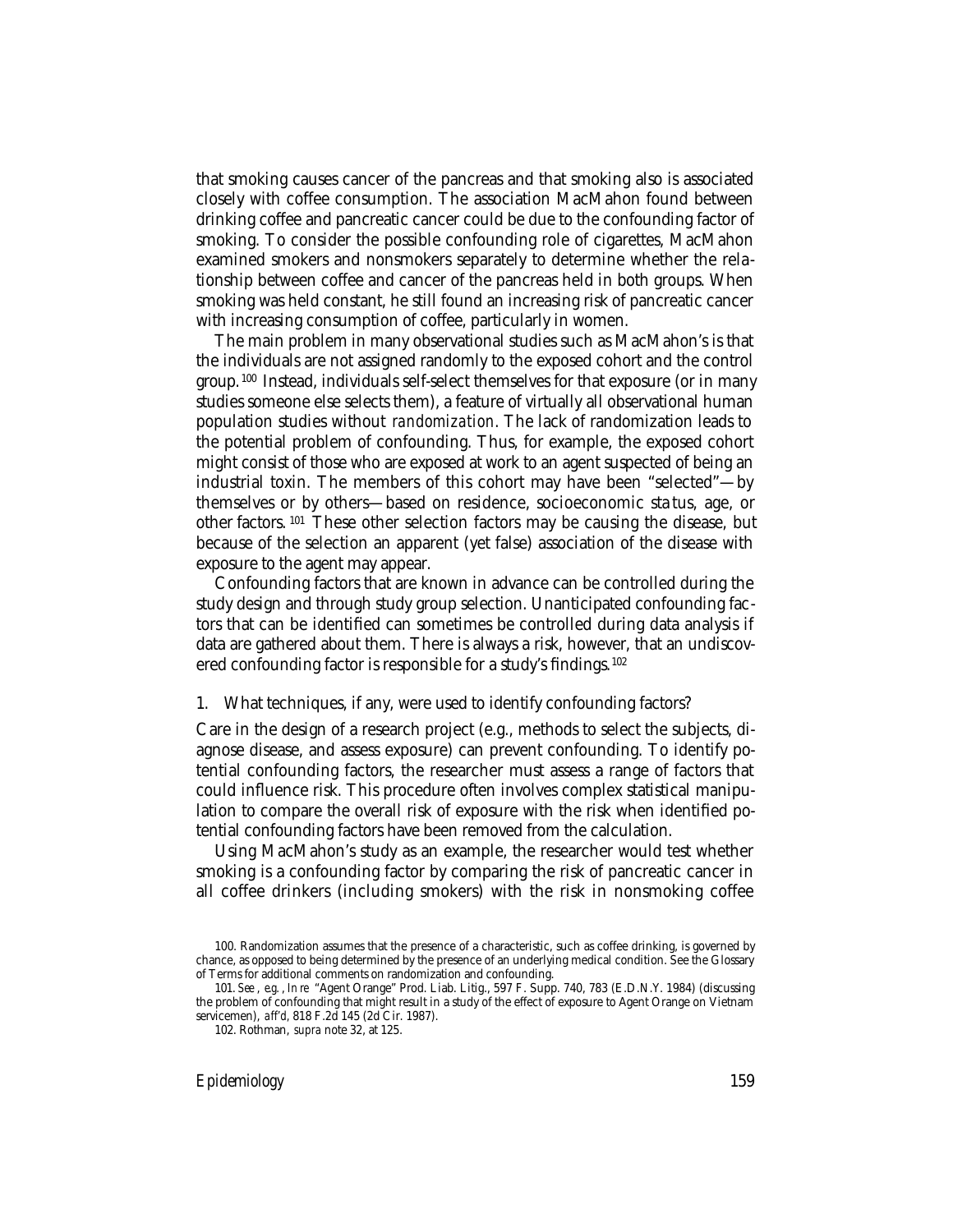that smoking causes cancer of the pancreas and that smoking also is associated closely with coffee consumption. The association MacMahon found between drinking coffee and pancreatic cancer could be due to the confounding factor of smoking. To consider the possible confounding role of cigarettes, MacMahon examined smokers and nonsmokers separately to determine whether the relationship between coffee and cancer of the pancreas held in both groups. When smoking was held constant, he still found an increasing risk of pancreatic cancer with increasing consumption of coffee, particularly in women.

The main problem in many observational studies such as MacMahon's is that the individuals are not assigned randomly to the exposed cohort and the control group. 100 Instead, individuals self-select themselves for that exposure (or in many studies someone else selects them), a feature of virtually all observational human population studies without *randomization*. The lack of randomization leads to the potential problem of confounding. Thus, for example, the exposed cohort might consist of those who are exposed at work to an agent suspected of being an industrial toxin. The members of this cohort may have been "selected"—by themselves or by others—based on residence, socioeconomic sta tus, age, or other factors. 101 These other selection factors may be causing the disease, but because of the selection an apparent (yet false) association of the disease with exposure to the agent may appear.

Confounding factors that are known in advance can be controlled during the study design and through study group selection. Unanticipated confounding factors that can be identified can sometimes be controlled during data analysis if data are gathered about them. There is always a risk, however, that an undiscovered confounding factor is responsible for a study's findings.<sup>102</sup>

1. What techniques, if any, were used to identify confounding factors?

Care in the design of a research project (e.g., methods to select the subjects, diagnose disease, and assess exposure) can prevent confounding. To identify potential confounding factors, the researcher must assess a range of factors that could influence risk. This procedure often involves complex statistical manipulation to compare the overall risk of exposure with the risk when identified potential confounding factors have been removed from the calculation.

Using MacMahon's study as an example, the researcher would test whether smoking is a confounding factor by comparing the risk of pancreatic cancer in all coffee drinkers (including smokers) with the risk in nonsmoking coffee

*Epidemiology* 159

<sup>100.</sup> Randomization assumes that the presence of a characteristic, such as coffee drinking, is governed by chance, as opposed to being determined by the presence of an underlying medical condition. See the Glossary of Terms for additional comments on randomization and confounding.

<sup>101.</sup> *See* , *e.g.* , *In re* "Agent Orange" Prod. Liab. Litig., 597 F. Supp. 740, 783 (E.D.N.Y. 1984) (discussing the problem of confounding that might result in a study of the effect of exposure to Agent Orange on Vietnam servicemen), *aff'd,* 818 F.2d 145 (2d Cir. 1987).

<sup>102.</sup> Rothman, *supra* note 32, at 125.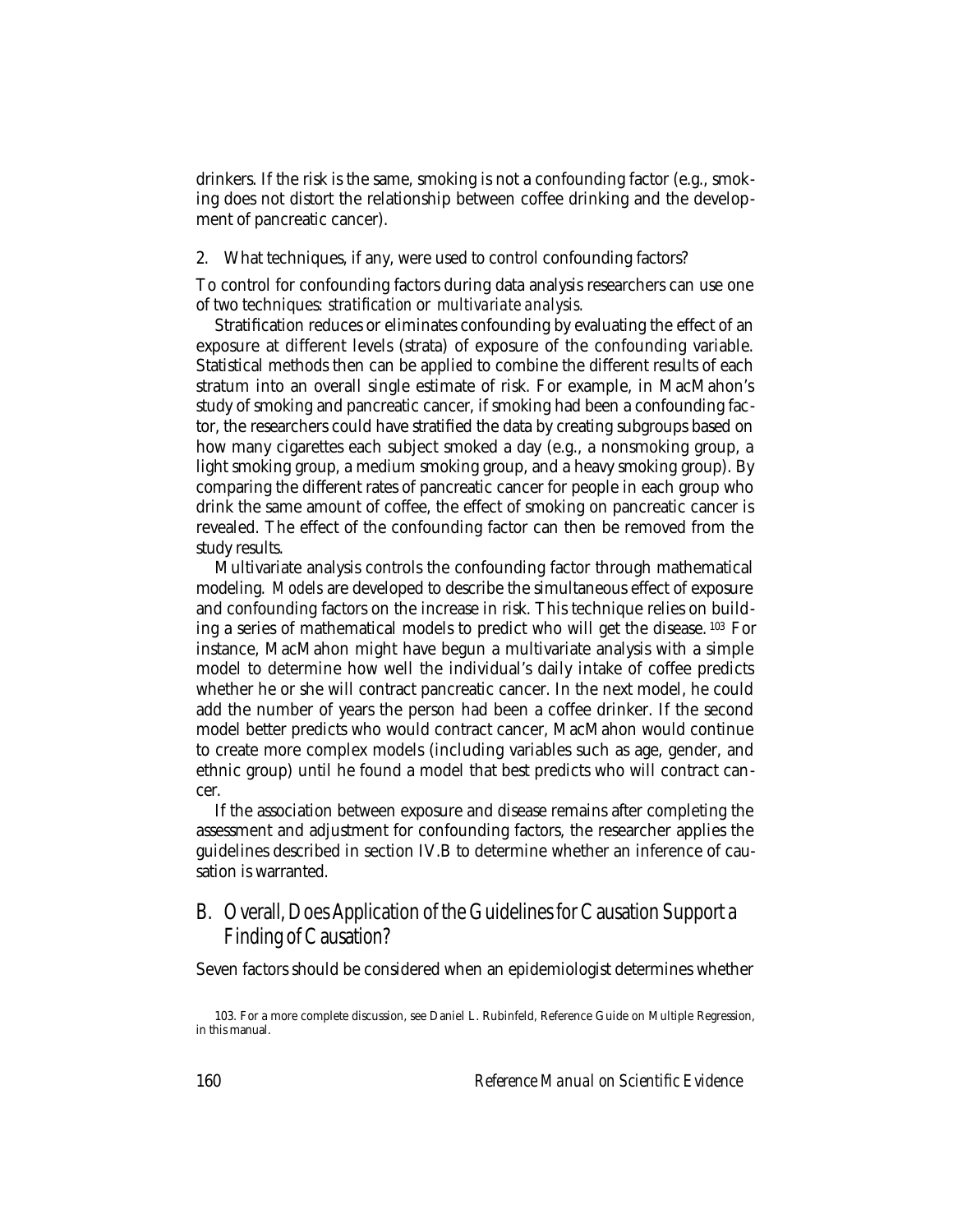drinkers. If the risk is the same, smoking is not a confounding factor (e.g., smoking does not distort the relationship between coffee drinking and the development of pancreatic cancer).

2. What techniques, if any, were used to control confounding factors?

To control for confounding factors during data analysis researchers can use one of two techniques: *stratification* or *multivariate analysis.*

Stratification reduces or eliminates confounding by evaluating the effect of an exposure at different levels (strata) of exposure of the confounding variable. Statistical methods then can be applied to combine the different results of each stratum into an overall single estimate of risk. For example, in MacMahon's study of smoking and pancreatic cancer, if smoking had been a confounding factor, the researchers could have stratified the data by creating subgroups based on how many cigarettes each subject smoked a day (e.g., a nonsmoking group, a light smoking group, a medium smoking group, and a heavy smoking group). By comparing the different rates of pancreatic cancer for people in each group who drink the same amount of coffee, the effect of smoking on pancreatic cancer is revealed. The effect of the confounding factor can then be removed from the study results.

Multivariate analysis controls the confounding factor through mathematical modeling. *Models* are developed to describe the simultaneous effect of exposure and confounding factors on the increase in risk. This technique relies on building a series of mathematical models to predict who will get the disease. 103 For instance, MacMahon might have begun a multivariate analysis with a simple model to determine how well the individual's daily intake of coffee predicts whether he or she will contract pancreatic cancer. In the next model, he could add the number of years the person had been a coffee drinker. If the second model better predicts who would contract cancer, MacMahon would continue to create more complex models (including variables such as age, gender, and ethnic group) until he found a model that best predicts who will contract cancer.

If the association between exposure and disease remains after completing the assessment and adjustment for confounding factors, the researcher applies the guidelines described in section IV.B to determine whether an inference of causation is warranted.

## B. Overall, Does Application of the Guidelines for Causation Support a Finding of Causation?

Seven factors should be considered when an epidemiologist determines whether

<sup>103.</sup> For a more complete discussion, see Daniel L. Rubinfeld, Reference Guide on Multiple Regression, in this manual.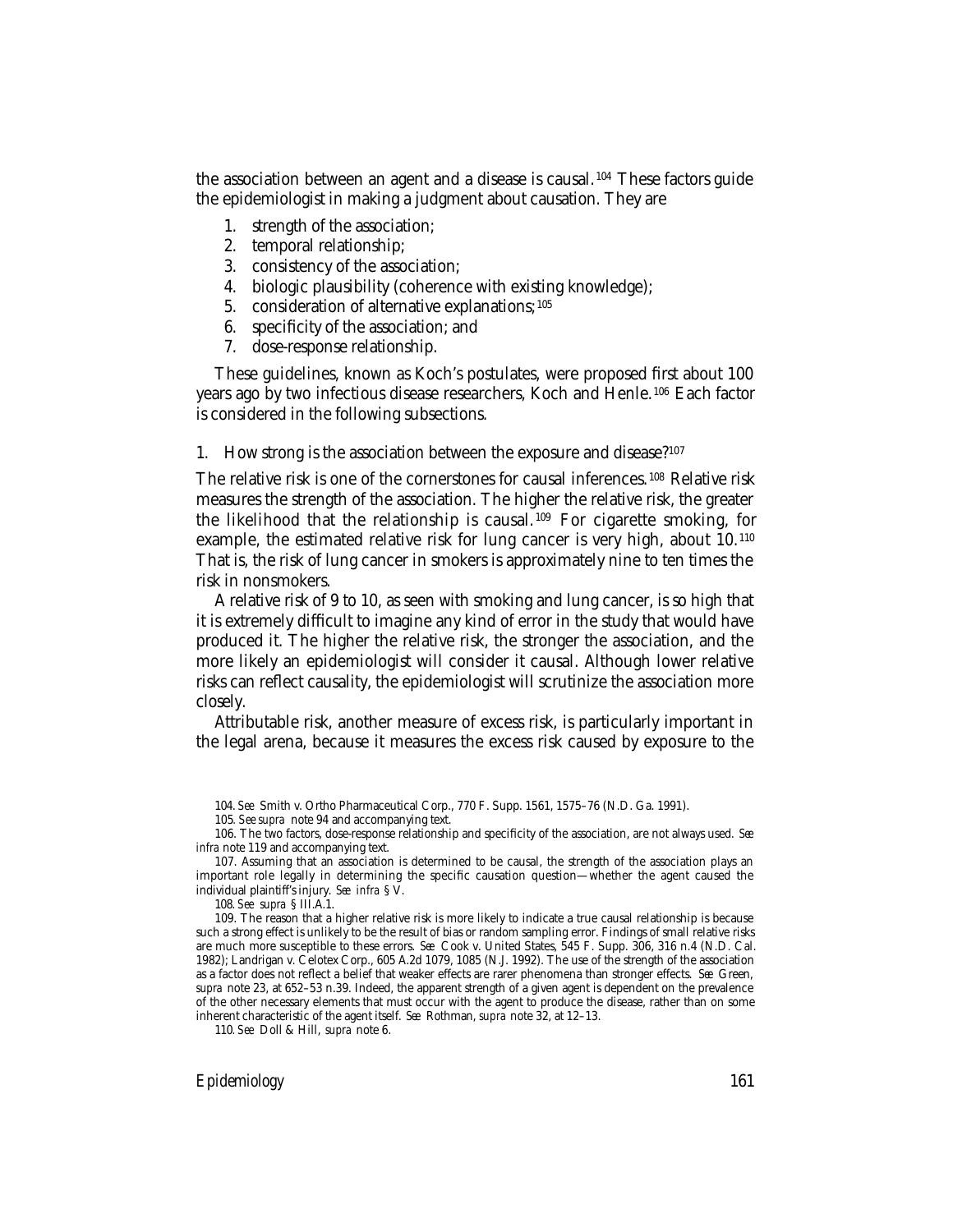the association between an agent and a disease is causal. 104 These factors guide the epidemiologist in making a judgment about causation. They are

- 1. strength of the association;
- 2. temporal relationship;
- 3. consistency of the association;
- 4. biologic plausibility (coherence with existing knowledge);
- 5. consideration of alternative explanations; <sup>105</sup>
- 6. specificity of the association; and
- 7. dose-response relationship.

These guidelines, known as Koch's postulates, were proposed first about 100 years ago by two infectious disease researchers, Koch and Henle.106 Each factor is considered in the following subsections.

1. How strong is the association between the exposure and disease?107

The relative risk is one of the cornerstones for causal inferences. 108 Relative risk measures the strength of the association. The higher the relative risk, the greater the likelihood that the relationship is causal. 109 For cigarette smoking, for example, the estimated relative risk for lung cancer is very high, about 10.110 That is, the risk of lung cancer in smokers is approximately nine to ten times the risk in nonsmokers.

A relative risk of 9 to 10, as seen with smoking and lung cancer, is so high that it is extremely difficult to imagine any kind of error in the study that would have produced it. The higher the relative risk, the stronger the association, and the more likely an epidemiologist will consider it causal. Although lower relative risks can reflect causality, the epidemiologist will scrutinize the association more closely.

Attributable risk, another measure of excess risk, is particularly important in the legal arena, because it measures the excess risk caused by exposure to the

110*. See* Doll & Hill, *supra* note 6.

*Epidemiology* 161

<sup>104.</sup> *See* Smith v. Ortho Pharmaceutical Corp., 770 F. Supp. 1561, 1575–76 (N.D. Ga. 1991).

<sup>105</sup>*. See supra* note 94 and accompanying text.

<sup>106.</sup> The two factors, dose-response relationship and specificity of the association, are not always used. *See infra* note 119 and accompanying text.

<sup>107.</sup> Assuming that an association is determined to be causal, the strength of the association plays an important role legally in determining the specific causation question—whether the agent caused the individual plaintiff's injury. *See infra* § V.

<sup>108</sup>*. See supra* § III.A.1.

<sup>109.</sup> The reason that a higher relative risk is more likely to indicate a true causal relationship is because such a strong effect is unlikely to be the result of bias or random sampling error. Findings of small relative risks are much more susceptible to these errors. *See* Cook v. United States, 545 F. Supp. 306, 316 n.4 (N.D. Cal. 1982); Landrigan v. Celotex Corp., 605 A.2d 1079, 1085 (N.J. 1992). The use of the strength of the association as a factor does not reflect a belief that weaker effects are rarer phenomena than stronger effects. *See* Green, *supra* note 23, at 652–53 n.39. Indeed, the apparent strength of a given agent is dependent on the prevalence of the other necessary elements that must occur with the agent to produce the disease, rather than on some inherent characteristic of the agent itself. *See* Rothman, *supra* note 32, at 12–13.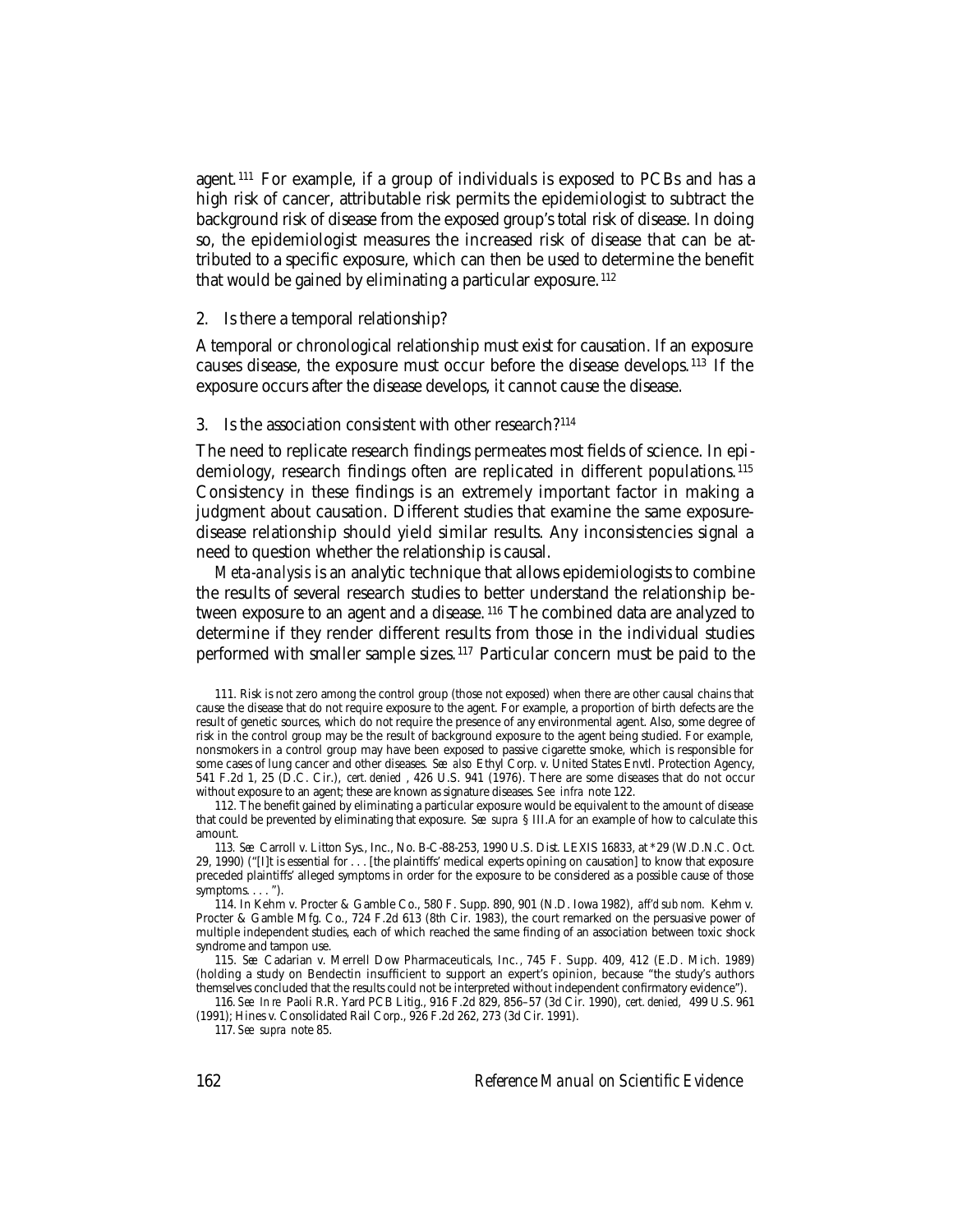agent.<sup>111</sup> For example, if a group of individuals is exposed to PCBs and has a high risk of cancer, attributable risk permits the epidemiologist to subtract the background risk of disease from the exposed group's total risk of disease. In doing so, the epidemiologist measures the increased risk of disease that can be attributed to a specific exposure, which can then be used to determine the benefit that would be gained by eliminating a particular exposure. <sup>112</sup>

#### 2. Is there a temporal relationship?

A temporal or chronological relationship must exist for causation. If an exposure causes disease, the exposure must occur before the disease develops. 113 If the exposure occurs after the disease develops, it cannot cause the disease.

#### 3. Is the association consistent with other research?114

The need to replicate research findings permeates most fields of science. In epidemiology, research findings often are replicated in different populations.<sup>115</sup> Consistency in these findings is an extremely important factor in making a judgment about causation. Different studies that examine the same exposuredisease relationship should yield similar results. Any inconsistencies signal a need to question whether the relationship is causal.

*Meta-analysis* is an analytic technique that allows epidemiologists to combine the results of several research studies to better understand the relationship between exposure to an agent and a disease.<sup>116</sup> The combined data are analyzed to determine if they render different results from those in the individual studies performed with smaller sample sizes. 117 Particular concern must be paid to the

116. *See In re* Paoli R.R. Yard PCB Litig., 916 F.2d 829, 856–57 (3d Cir. 1990), *cert. denied,* 499 U.S. 961 (1991); Hines v. Consolidated Rail Corp., 926 F.2d 262, 273 (3d Cir. 1991).

117. *See supra* note 85.

<sup>111.</sup> Risk is not zero among the control group (those not exposed) when there are other causal chains that cause the disease that do not require exposure to the agent. For example, a proportion of birth defects are the result of genetic sources, which do not require the presence of any environmental agent. Also, some degree of risk in the control group may be the result of background exposure to the agent being studied. For example, nonsmokers in a control group may have been exposed to passive cigarette smoke, which is responsible for some cases of lung cancer and other diseases. *See also* Ethyl Corp. v. United States Envtl. Protection Agency, 541 F.2d 1, 25 (D.C. Cir.), *cert. denied* , 426 U.S. 941 (1976). There are some diseases that do not occur without exposure to an agent; these are known as signature diseases. *See infra* note 122.

<sup>112.</sup> The benefit gained by eliminating a particular exposure would be equivalent to the amount of disease that could be prevented by eliminating that exposure. *See supra* § III.A for an example of how to calculate this amount.

<sup>113.</sup> *See* Carroll v. Litton Sys., Inc., No. B-C-88-253, 1990 U.S. Dist. LEXIS 16833, at \*29 (W.D.N.C. Oct. 29, 1990) ("[I]t is essential for . . . [the plaintiffs' medical experts opining on causation] to know that exposure preceded plaintiffs' alleged symptoms in order for the exposure to be considered as a possible cause of those symptoms. . . . ").

<sup>114.</sup> In Kehm v. Procter & Gamble Co., 580 F. Supp. 890, 901 (N.D. Iowa 1982), *aff'd sub nom.* Kehm v. Procter & Gamble Mfg. Co., 724 F.2d 613 (8th Cir. 1983), the court remarked on the persuasive power of multiple independent studies, each of which reached the same finding of an association between toxic shock syndrome and tampon use.

<sup>115.</sup> *See* Cadarian v. Merrell Dow Pharmaceuticals, Inc.*,* 745 F. Supp. 409, 412 (E.D. Mich. 1989) (holding a study on Bendectin insufficient to support an expert's opinion, because "the study's authors themselves concluded that the results could not be interpreted without independent confirmatory evidence").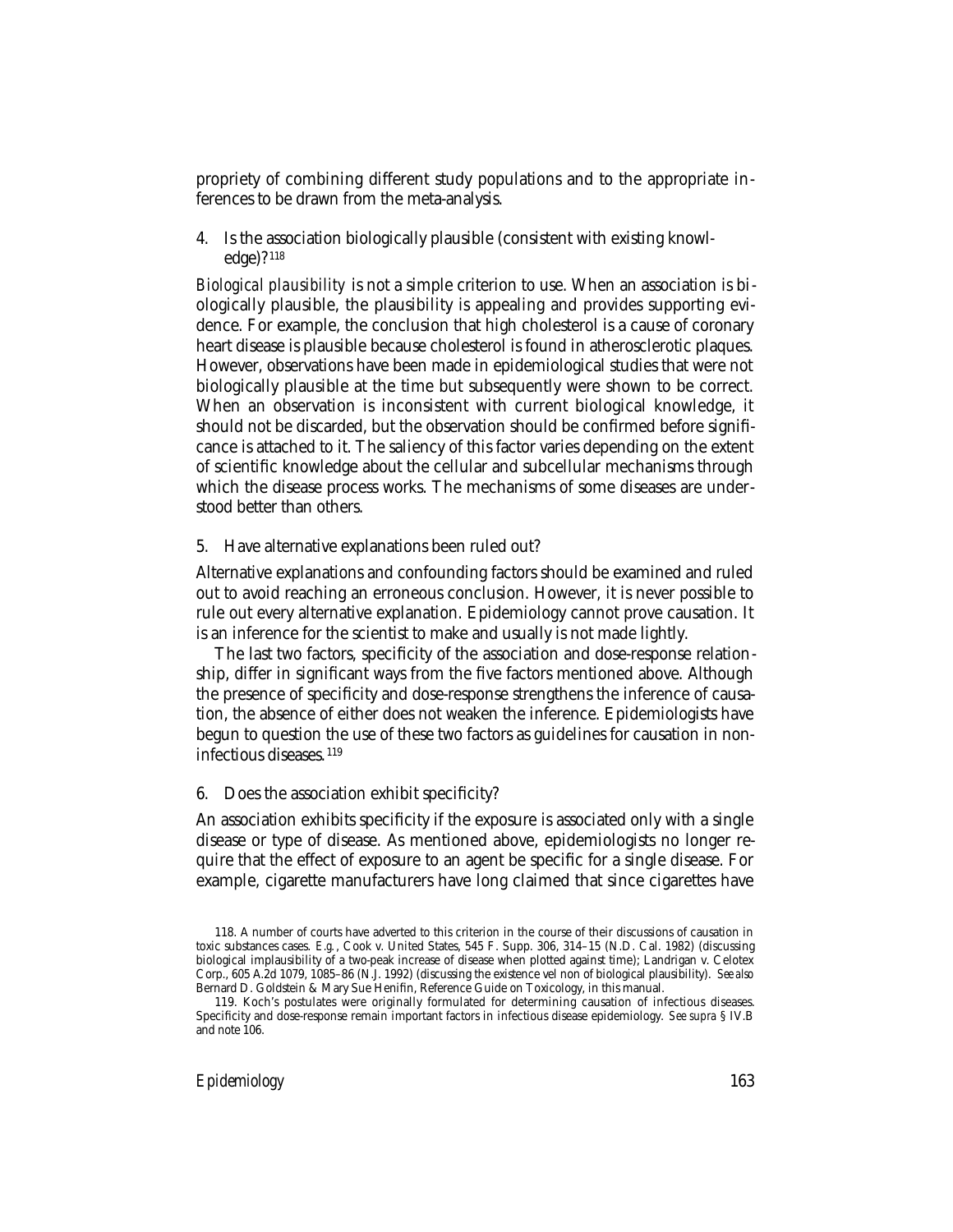propriety of combining different study populations and to the appropriate inferences to be drawn from the meta-analysis.

4. Is the association biologically plausible (consistent with existing knowledge)? <sup>118</sup>

*Biological plausibility* is not a simple criterion to use. When an association is biologically plausible, the plausibility is appealing and provides supporting evidence. For example, the conclusion that high cholesterol is a cause of coronary heart disease is plausible because cholesterol is found in atherosclerotic plaques. However, observations have been made in epidemiological studies that were not biologically plausible at the time but subsequently were shown to be correct. When an observation is inconsistent with current biological knowledge, it should not be discarded, but the observation should be confirmed before significance is attached to it. The saliency of this factor varies depending on the extent of scientific knowledge about the cellular and subcellular mechanisms through which the disease process works. The mechanisms of some diseases are understood better than others.

5. Have alternative explanations been ruled out?

Alternative explanations and confounding factors should be examined and ruled out to avoid reaching an erroneous conclusion. However, it is never possible to rule out every alternative explanation. Epidemiology cannot prove causation. It is an inference for the scientist to make and usually is not made lightly.

The last two factors, specificity of the association and dose-response relationship, differ in significant ways from the five factors mentioned above. Although the presence of specificity and dose-response strengthens the inference of causation, the absence of either does not weaken the inference. Epidemiologists have begun to question the use of these two factors as guidelines for causation in noninfectious diseases. <sup>119</sup>

#### 6. Does the association exhibit specificity?

An association exhibits specificity if the exposure is associated only with a single disease or type of disease. As mentioned above, epidemiologists no longer require that the effect of exposure to an agent be specific for a single disease. For example, cigarette manufacturers have long claimed that since cigarettes have

<sup>118.</sup> A number of courts have adverted to this criterion in the course of their discussions of causation in toxic substances cases. *E.g.*, Cook v. United States, 545 F. Supp. 306, 314–15 (N.D. Cal. 1982) (discussing biological implausibility of a two-peak increase of disease when plotted against time); Landrigan v. Celotex Corp., 605 A.2d 1079, 1085–86 (N.J. 1992) (discussing the existence vel non of biological plausibility). *See also* Bernard D. Goldstein & Mary Sue Henifin, Reference Guide on Toxicology, in this manual.

<sup>119.</sup> Koch's postulates were originally formulated for determining causation of infectious diseases. Specificity and dose-response remain important factors in infectious disease epidemiology. *See supra* § IV.B and note 106.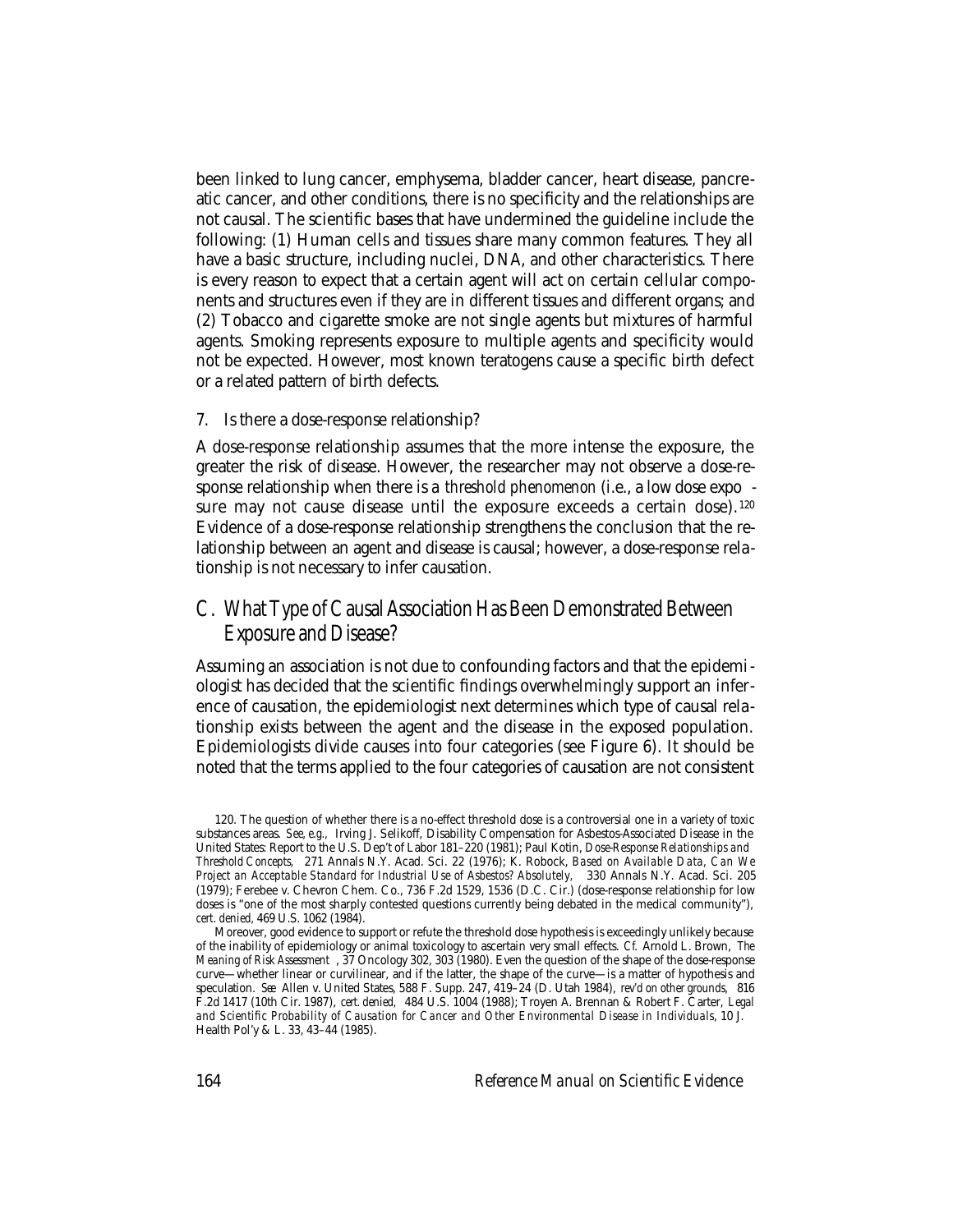been linked to lung cancer, emphysema, bladder cancer, heart disease, pancreatic cancer, and other conditions, there is no specificity and the relationships are not causal. The scientific bases that have undermined the guideline include the following: (1) Human cells and tissues share many common features. They all have a basic structure, including nuclei, DNA, and other characteristics. There is every reason to expect that a certain agent will act on certain cellular components and structures even if they are in different tissues and different organs; and (2) Tobacco and cigarette smoke are not single agents but mixtures of harmful agents. Smoking represents exposure to multiple agents and specificity would not be expected. However, most known teratogens cause a specific birth defect or a related pattern of birth defects.

#### 7. Is there a dose-response relationship?

A dose-response relationship assumes that the more intense the exposure, the greater the risk of disease. However, the researcher may not observe a dose-response relationship when there is a *threshold phenomenon* (i.e., a low dose expo sure may not cause disease until the exposure exceeds a certain dose).<sup>120</sup> Evidence of a dose-response relationship strengthens the conclusion that the relationship between an agent and disease is causal; however, a dose-response relationship is not necessary to infer causation.

## C. What Type of Causal Association Has Been Demonstrated Between Exposure and Disease?

Assuming an association is not due to confounding factors and that the epidemiologist has decided that the scientific findings overwhelmingly support an inference of causation, the epidemiologist next determines which type of causal relationship exists between the agent and the disease in the exposed population. Epidemiologists divide causes into four categories (see Figure 6). It should be noted that the terms applied to the four categories of causation are not consistent

<sup>120.</sup> The question of whether there is a no-effect threshold dose is a controversial one in a variety of toxic substances areas. *See, e.g.,* Irving J. Selikoff, Disability Compensation for Asbestos-Associated Disease in the United States: Report to the U.S. Dep't of Labor 181–220 (1981); Paul Kotin, *Dose-Response Relationships and Threshold Concepts,* 271 Annals N.Y. Acad. Sci. 22 (1976); K. Robock, *Based on Available Data, Can We Project an Acceptable Standard for Industrial Use of Asbestos? Absolutely,* 330 Annals N.Y. Acad. Sci. 205 (1979); Ferebee v. Chevron Chem. Co., 736 F.2d 1529, 1536 (D.C. Cir.) (dose-response relationship for low doses is "one of the most sharply contested questions currently being debated in the medical community"), *cert. denied,* 469 U.S. 1062 (1984).

Moreover, good evidence to support or refute the threshold dose hypothesis is exceedingly unlikely because of the inability of epidemiology or animal toxicology to ascertain very small effects. *Cf.* Arnold L. Brown, *The Meaning of Risk Assessment* , 37 Oncology 302, 303 (1980). Even the question of the shape of the dose-response curve—whether linear or curvilinear, and if the latter, the shape of the curve—is a matter of hypothesis and speculation. *See* Allen v. United States, 588 F. Supp. 247, 419–24 (D. Utah 1984), *rev'd on other grounds,* 816 F.2d 1417 (10th Cir. 1987), *cert. denied,* 484 U.S. 1004 (1988); Troyen A. Brennan & Robert F. Carter, *Legal and Scientific Probability of Causation for Cancer and Other Environmental Disease in Individuals*, 10 J. Health Pol'y & L. 33, 43–44 (1985).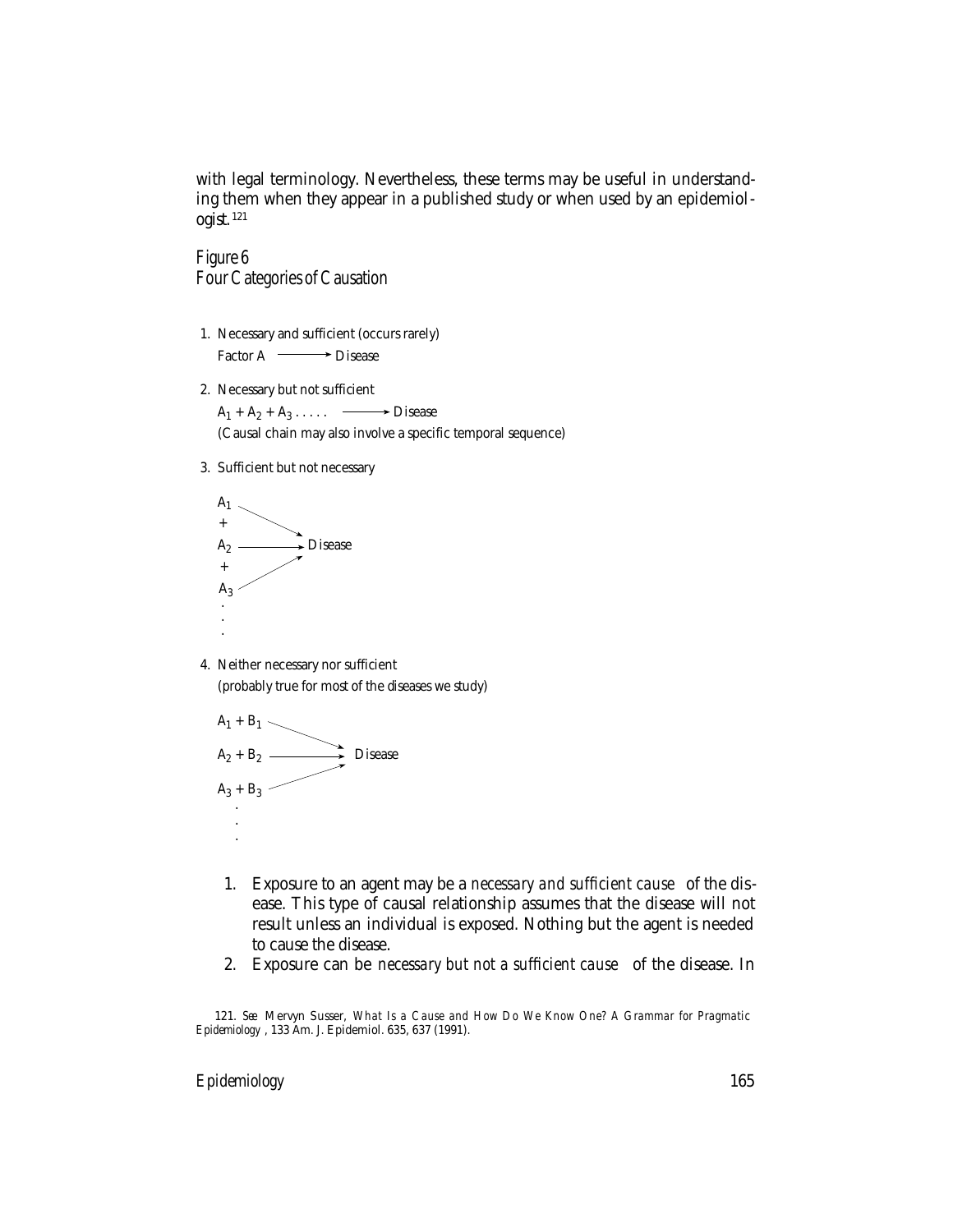with legal terminology. Nevertheless, these terms may be useful in understanding them when they appear in a published study or when used by an epidemiologist. <sup>121</sup>

Figure 6 Four Categories of Causation

- 1. Necessary and sufficient (occurs rarely) Factor A  $\longrightarrow$  Disease
- 2. Necessary but not sufficient

 $A_1 + A_2 + A_3 \ldots$   $\longrightarrow$  Disease

(Causal chain may also involve a specific temporal sequence)

3. Sufficient but not necessary



4. Neither necessary nor sufficient (probably true for most of the diseases we study)



- 1. Exposure to an agent may be a *necessary and sufficient cause* of the disease. This type of causal relationship assumes that the disease will not result unless an individual is exposed. Nothing but the agent is needed to cause the disease.
- 2. Exposure can be *necessary but not a sufficient cause* of the disease. In

121. *See* Mervyn Susser, *What Is a Cause and How Do We Know One? A Grammar for Pragmatic Epidemiology* , 133 Am. J. Epidemiol. 635, 637 (1991).

#### *Epidemiology* 165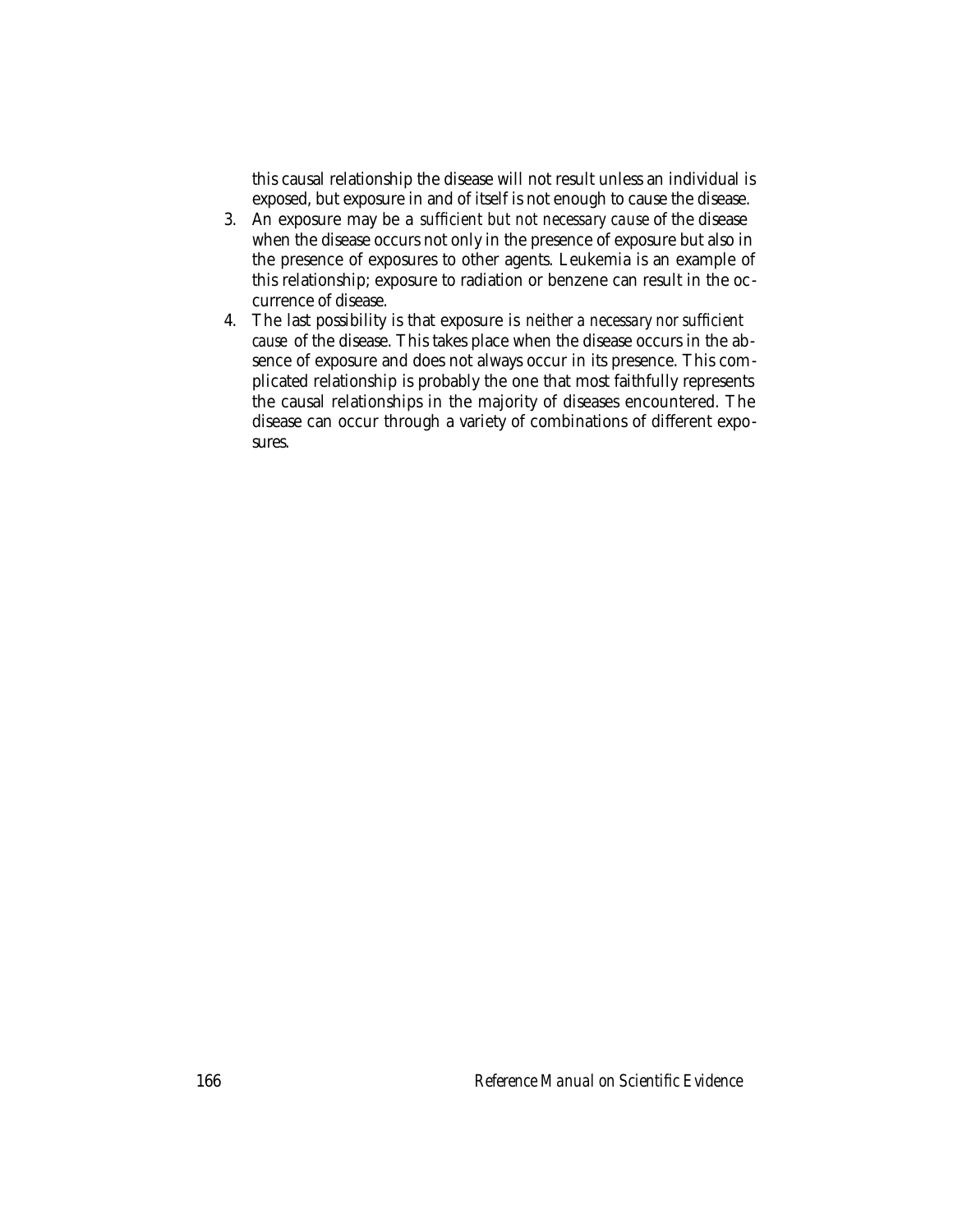this causal relationship the disease will not result unless an individual is exposed, but exposure in and of itself is not enough to cause the disease.

- 3. An exposure may be a *sufficient but not necessary cause* of the disease when the disease occurs not only in the presence of exposure but also in the presence of exposures to other agents. Leukemia is an example of this relationship; exposure to radiation or benzene can result in the occurrence of disease.
- 4. The last possibility is that exposure is *neither a necessary nor sufficient cause* of the disease. This takes place when the disease occurs in the absence of exposure and does not always occur in its presence. This complicated relationship is probably the one that most faithfully represents the causal relationships in the majority of diseases encountered. The disease can occur through a variety of combinations of different exposures.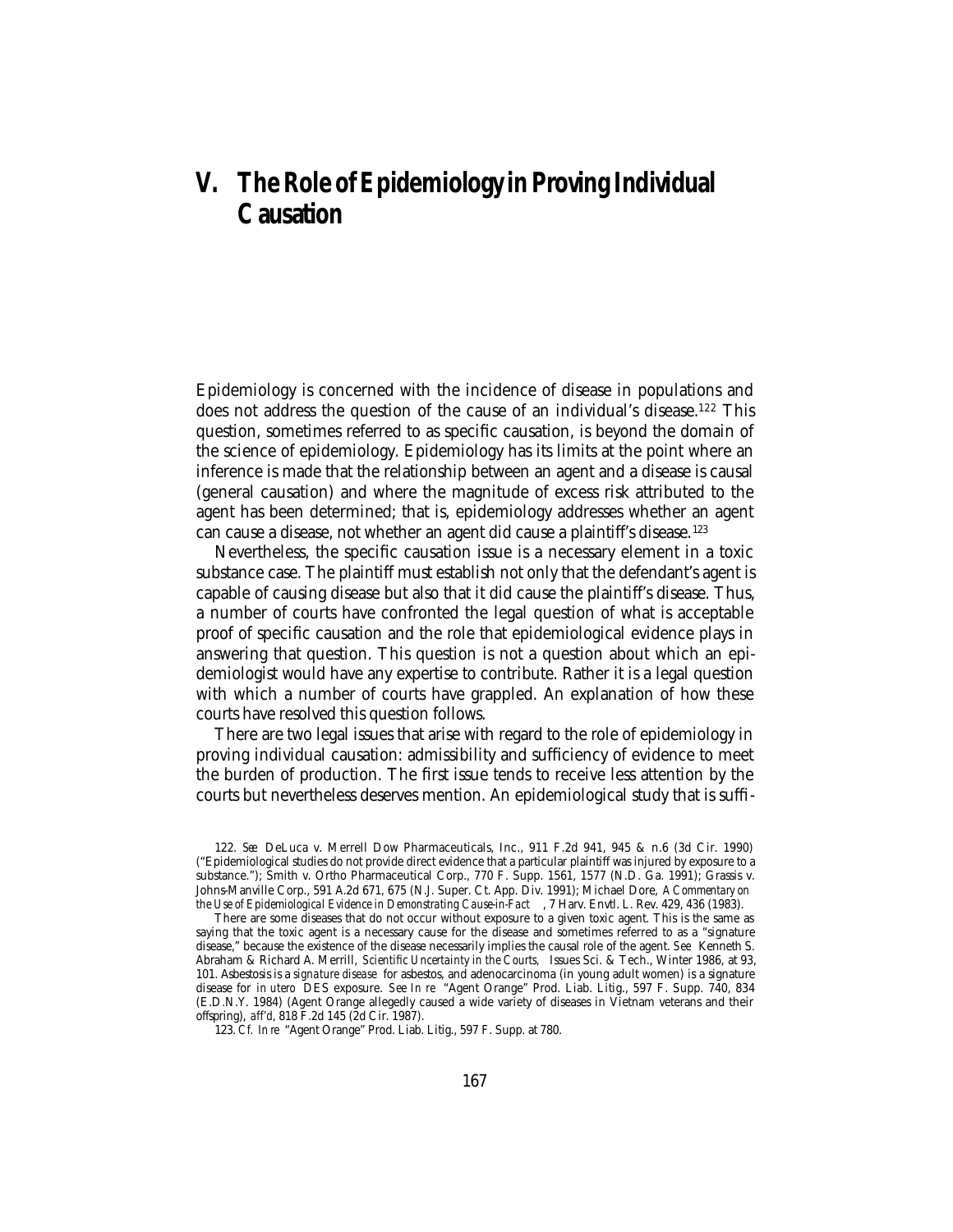# **V. The Role of Epidemiology in Proving Individual Causation**

Epidemiology is concerned with the incidence of disease in populations and does not address the question of the cause of an individual's disease.<sup>122</sup> This question, sometimes referred to as specific causation, is beyond the domain of the science of epidemiology. Epidemiology has its limits at the point where an inference is made that the relationship between an agent and a disease is causal (general causation) and where the magnitude of excess risk attributed to the agent has been determined; that is, epidemiology addresses whether an agent can cause a disease, not whether an agent did cause a plaintiff's disease.123

Nevertheless, the specific causation issue is a necessary element in a toxic substance case. The plaintiff must establish not only that the defendant's agent is capable of causing disease but also that it did cause the plaintiff's disease. Thus, a number of courts have confronted the legal question of what is acceptable proof of specific causation and the role that epidemiological evidence plays in answering that question. This question is not a question about which an epidemiologist would have any expertise to contribute. Rather it is a legal question with which a number of courts have grappled. An explanation of how these courts have resolved this question follows.

There are two legal issues that arise with regard to the role of epidemiology in proving individual causation: admissibility and sufficiency of evidence to meet the burden of production. The first issue tends to receive less attention by the courts but nevertheless deserves mention. An epidemiological study that is suffi-

<sup>122.</sup> *See* DeLuca v. Merrell Dow Pharmaceuticals, Inc., 911 F.2d 941, 945 & n.6 (3d Cir. 1990) ("Epidemiological studies do not provide direct evidence that a particular plaintiff was injured by exposure to a substance."); Smith v. Ortho Pharmaceutical Corp., 770 F. Supp. 1561, 1577 (N.D. Ga. 1991); Grassis v. Johns-Manville Corp., 591 A.2d 671, 675 (N.J. Super. Ct. App. Div. 1991); Michael Dore, *A Commentary on the Use of Epidemiological Evidence in Demonstrating Cause-in-Fact* , 7 Harv. Envtl. L. Rev. 429, 436 (1983).

There are some diseases that do not occur without exposure to a given toxic agent. This is the same as saying that the toxic agent is a necessary cause for the disease and sometimes referred to as a "signature disease," because the existence of the disease necessarily implies the causal role of the agent. *See* Kenneth S. Abraham & Richard A. Merrill, *Scientific Uncertainty in the Courts,* Issues Sci. & Tech., Winter 1986, at 93, 101. Asbestosis is a *signature disease* for asbestos, and adenocarcinoma (in young adult women) is a signature disease for *in utero* DES exposure. *See In re* "Agent Orange" Prod. Liab. Litig., 597 F. Supp. 740, 834 (E.D.N.Y. 1984) (Agent Orange allegedly caused a wide variety of diseases in Vietnam veterans and their offspring), *aff'd,* 818 F.2d 145 (2d Cir. 1987).

<sup>123.</sup> *Cf. In re* "Agent Orange" Prod. Liab. Litig., 597 F. Supp. at 780.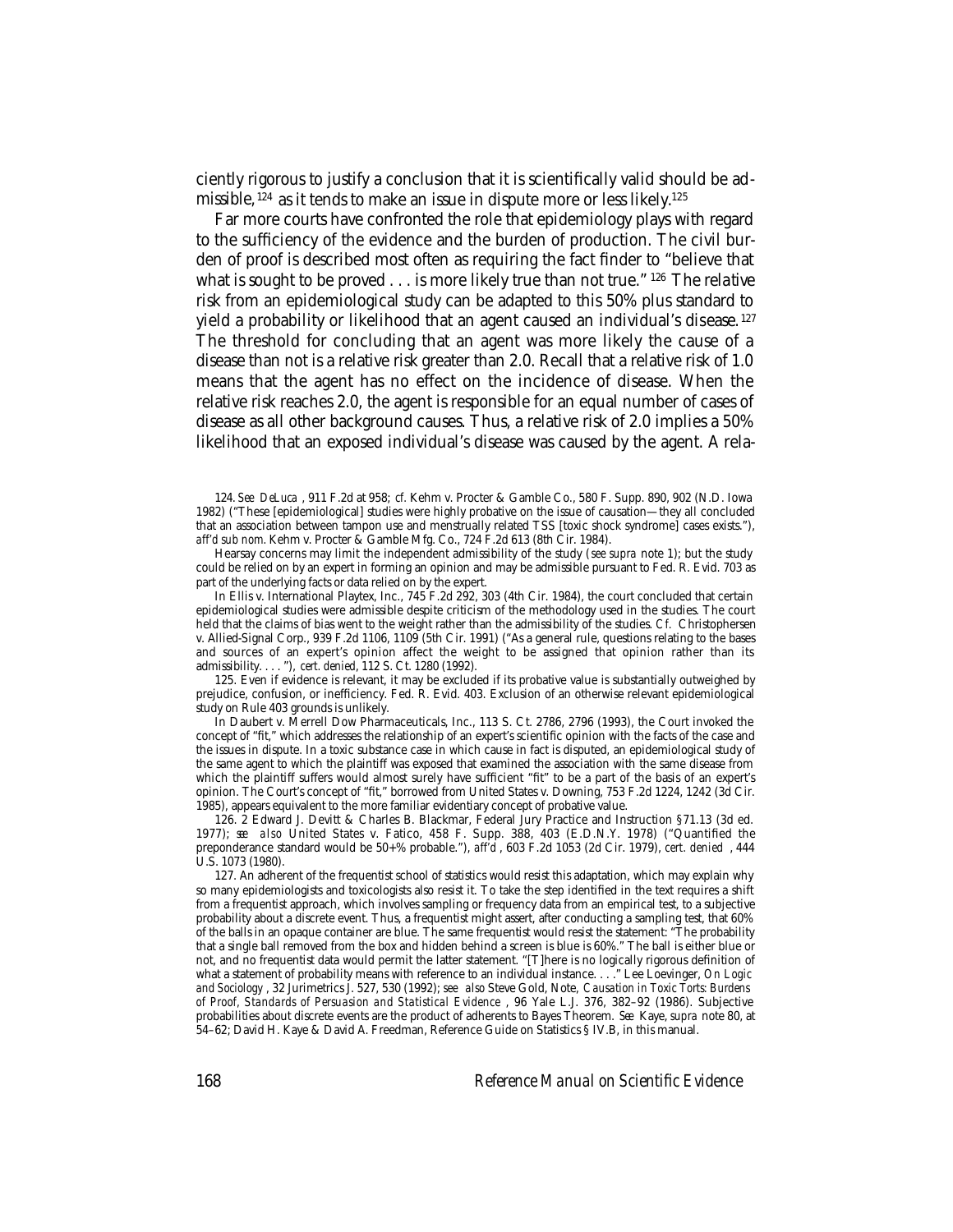ciently rigorous to justify a conclusion that it is scientifically valid should be admissible, 124 as it tends to make an issue in dispute more or less likely.125

Far more courts have confronted the role that epidemiology plays with regard to the sufficiency of the evidence and the burden of production. The civil burden of proof is described most often as requiring the fact finder to "believe that what is sought to be proved . . . is more likely true than not true." <sup>126</sup> The relative risk from an epidemiological study can be adapted to this 50% plus standard to yield a probability or likelihood that an agent caused an individual's disease. <sup>127</sup> The threshold for concluding that an agent was more likely the cause of a disease than not is a relative risk greater than 2.0. Recall that a relative risk of 1.0 means that the agent has no effect on the incidence of disease. When the relative risk reaches 2.0, the agent is responsible for an equal number of cases of disease as all other background causes. Thus, a relative risk of 2.0 implies a 50% likelihood that an exposed individual's disease was caused by the agent. A rela-

124. *See DeLuca* , 911 F.2d at 958; *cf.* Kehm v. Procter & Gamble Co., 580 F. Supp. 890, 902 (N.D. Iowa 1982) ("These [epidemiological] studies were highly probative on the issue of causation—they all concluded that an association between tampon use and menstrually related TSS [toxic shock syndrome] cases exists."), *aff'd sub nom.* Kehm v. Procter & Gamble Mfg. Co., 724 F.2d 613 (8th Cir. 1984).

Hearsay concerns may limit the independent admissibility of the study (*see supra* note 1); but the study could be relied on by an expert in forming an opinion and may be admissible pursuant to Fed. R. Evid. 703 as part of the underlying facts or data relied on by the expert.

In Ellis v. International Playtex, Inc., 745 F.2d 292, 303 (4th Cir. 1984), the court concluded that certain epidemiological studies were admissible despite criticism of the methodology used in the studies. The court held that the claims of bias went to the weight rather than the admissibility of the studies. *Cf.* Christophersen v. Allied-Signal Corp., 939 F.2d 1106, 1109 (5th Cir. 1991) ("As a general rule, questions relating to the bases and sources of an expert's opinion affect the weight to be assigned that opinion rather than its admissibility. . . . "), *cert. denied*, 112 S. Ct. 1280 (1992).

125. Even if evidence is relevant, it may be excluded if its probative value is substantially outweighed by prejudice, confusion, or inefficiency. Fed. R. Evid. 403. Exclusion of an otherwise relevant epidemiological study on Rule 403 grounds is unlikely.

In Daubert v. Merrell Dow Pharmaceuticals, Inc., 113 S. Ct. 2786, 2796 (1993), the Court invoked the concept of "fit," which addresses the relationship of an expert's scientific opinion with the facts of the case and the issues in dispute. In a toxic substance case in which cause in fact is disputed, an epidemiological study of the same agent to which the plaintiff was exposed that examined the association with the same disease from which the plaintiff suffers would almost surely have sufficient "fit" to be a part of the basis of an expert's opinion. The Court's concept of "fit," borrowed from United States v. Downing, 753 F.2d 1224, 1242 (3d Cir. 1985), appears equivalent to the more familiar evidentiary concept of probative value.

126. 2 Edward J. Devitt & Charles B. Blackmar, Federal Jury Practice and Instruction §71.13 (3d ed. 1977); *see also* United States v. Fatico, 458 F. Supp. 388, 403 (E.D.N.Y. 1978) ("Quantified the preponderance standard would be 50+% probable."), *aff'd* , 603 F.2d 1053 (2d Cir. 1979), *cert. denied* , 444 U.S. 1073 (1980).

127. An adherent of the frequentist school of statistics would resist this adaptation, which may explain why so many epidemiologists and toxicologists also resist it. To take the step identified in the text requires a shift from a frequentist approach, which involves sampling or frequency data from an empirical test, to a subjective probability about a discrete event. Thus, a frequentist might assert, after conducting a sampling test, that 60% of the balls in an opaque container are blue. The same frequentist would resist the statement: "The probability that a single ball removed from the box and hidden behind a screen is blue is 60%." The ball is either blue or not, and no frequentist data would permit the latter statement. "[T]here is no logically rigorous definition of what a statement of probability means with reference to an individual instance. . . ." Lee Loevinger, *On Logic and Sociology* , 32 Jurimetrics J. 527, 530 (1992); *see also* Steve Gold, Note, *Causation in Toxic Torts: Burdens of Proof, Standards of Persuasion and Statistical Evidence* , 96 Yale L.J. 376, 382–92 (1986). Subjective probabilities about discrete events are the product of adherents to Bayes Theorem. *See* Kaye, *supra* note 80, at 54–62; David H. Kaye & David A. Freedman, Reference Guide on Statistics § IV.B, in this manual.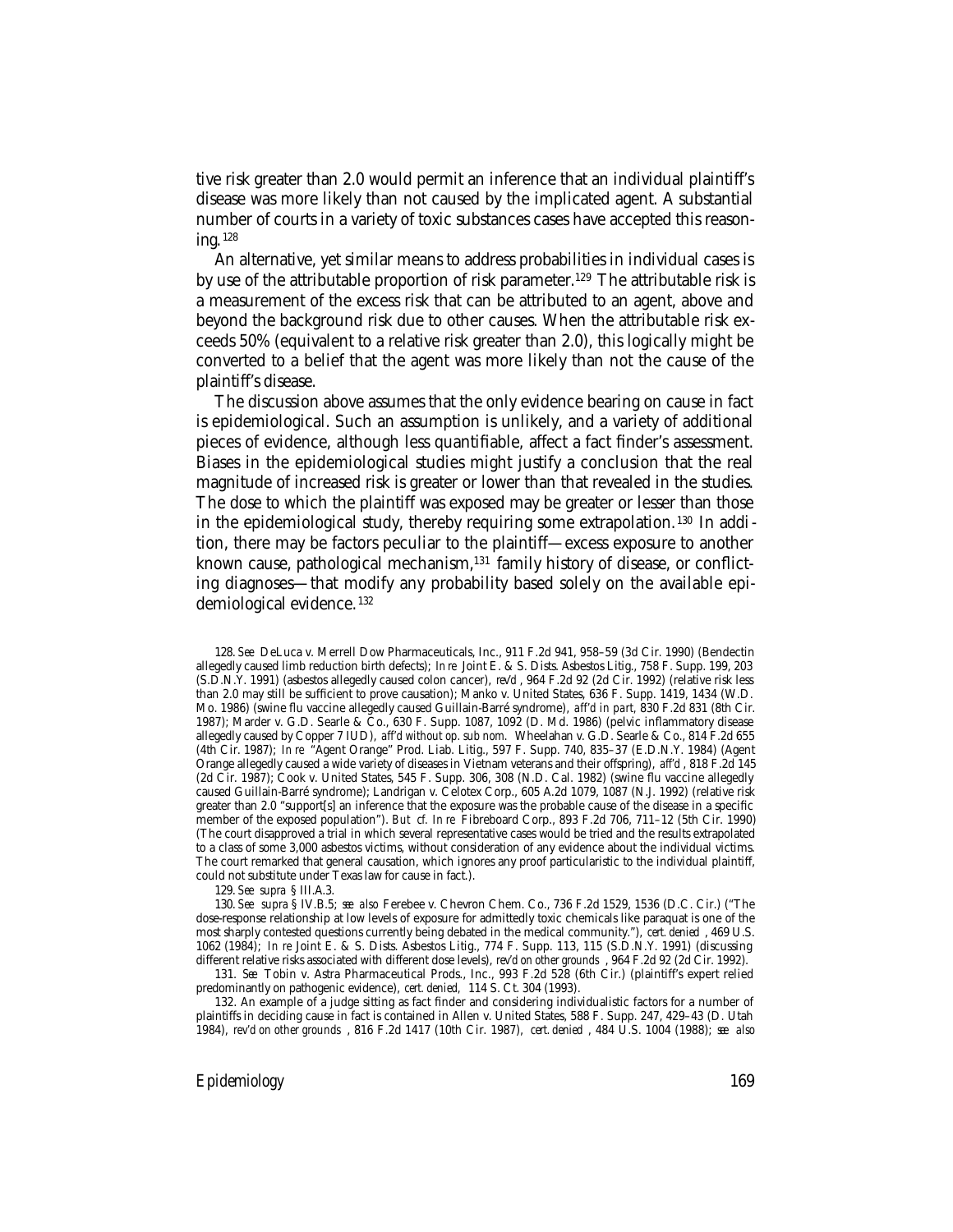tive risk greater than 2.0 would permit an inference that an individual plaintiff's disease was more likely than not caused by the implicated agent. A substantial number of courts in a variety of toxic substances cases have accepted this reasoning. <sup>128</sup>

An alternative, yet similar means to address probabilities in individual cases is by use of the attributable proportion of risk parameter.<sup>129</sup> The attributable risk is a measurement of the excess risk that can be attributed to an agent, above and beyond the background risk due to other causes. When the attributable risk exceeds 50% (equivalent to a relative risk greater than 2.0), this logically might be converted to a belief that the agent was more likely than not the cause of the plaintiff's disease.

The discussion above assumes that the only evidence bearing on cause in fact is epidemiological. Such an assumption is unlikely, and a variety of additional pieces of evidence, although less quantifiable, affect a fact finder's assessment. Biases in the epidemiological studies might justify a conclusion that the real magnitude of increased risk is greater or lower than that revealed in the studies. The dose to which the plaintiff was exposed may be greater or lesser than those in the epidemiological study, thereby requiring some extrapolation. 130 In addition, there may be factors peculiar to the plaintiff—excess exposure to another known cause, pathological mechanism,<sup>131</sup> family history of disease, or conflicting diagnoses—that modify any probability based solely on the available epidemiological evidence. <sup>132</sup>

128. *See* DeLuca v. Merrell Dow Pharmaceuticals, Inc., 911 F.2d 941, 958–59 (3d Cir. 1990) (Bendectin allegedly caused limb reduction birth defects); *In re* Joint E. & S. Dists. Asbestos Litig., 758 F. Supp. 199, 203 (S.D.N.Y. 1991) (asbestos allegedly caused colon cancer), *rev'd* , 964 F.2d 92 (2d Cir. 1992) (relative risk less than 2.0 may still be sufficient to prove causation); Manko v. United States, 636 F. Supp. 1419, 1434 (W.D. Mo. 1986) (swine flu vaccine allegedly caused Guillain-Barré syndrome), *aff'd in part,* 830 F.2d 831 (8th Cir. 1987); Marder v. G.D. Searle & Co., 630 F. Supp. 1087, 1092 (D. Md. 1986) (pelvic inflammatory disease allegedly caused by Copper 7 IUD), *aff'd without op. sub nom.* Wheelahan v. G.D. Searle & Co., 814 F.2d 655 (4th Cir. 1987); *In re* "Agent Orange" Prod. Liab. Litig., 597 F. Supp. 740, 835–37 (E.D.N.Y. 1984) (Agent Orange allegedly caused a wide variety of diseases in Vietnam veterans and their offspring), *aff'd* , 818 F.2d 145 (2d Cir. 1987); Cook v. United States, 545 F. Supp. 306, 308 (N.D. Cal. 1982) (swine flu vaccine allegedly caused Guillain-Barré syndrome); Landrigan v. Celotex Corp., 605 A.2d 1079, 1087 (N.J. 1992) (relative risk greater than 2.0 "support[s] an inference that the exposure was the probable cause of the disease in a specific member of the exposed population"). *But cf. In re* Fibreboard Corp., 893 F.2d 706, 711–12 (5th Cir. 1990) (The court disapproved a trial in which several representative cases would be tried and the results extrapolated to a class of some 3,000 asbestos victims, without consideration of any evidence about the individual victims. The court remarked that general causation, which ignores any proof particularistic to the individual plaintiff, could not substitute under Texas law for cause in fact.).

129. *See supra* § III.A.3.

130. *See supra* § IV.B.5; *see also* Ferebee v. Chevron Chem. Co., 736 F.2d 1529, 1536 (D.C. Cir.) ("The dose-response relationship at low levels of exposure for admittedly toxic chemicals like paraquat is one of the most sharply contested questions currently being debated in the medical community."), *cert. denied* , 469 U.S. 1062 (1984); *In re* Joint E. & S. Dists. Asbestos Litig., 774 F. Supp. 113, 115 (S.D.N.Y. 1991) (discussing different relative risks associated with different dose levels), *rev'd on other grounds* , 964 F.2d 92 (2d Cir. 1992).

131. *See* Tobin v. Astra Pharmaceutical Prods., Inc., 993 F.2d 528 (6th Cir.) (plaintiff's expert relied predominantly on pathogenic evidence), *cert. denied,* 114 S. Ct. 304 (1993).

132. An example of a judge sitting as fact finder and considering individualistic factors for a number of plaintiffs in deciding cause in fact is contained in Allen v. United States, 588 F. Supp. 247, 429–43 (D. Utah 1984), *rev'd on other grounds* , 816 F.2d 1417 (10th Cir. 1987), *cert. denied* , 484 U.S. 1004 (1988); *see also*

*Epidemiology* 169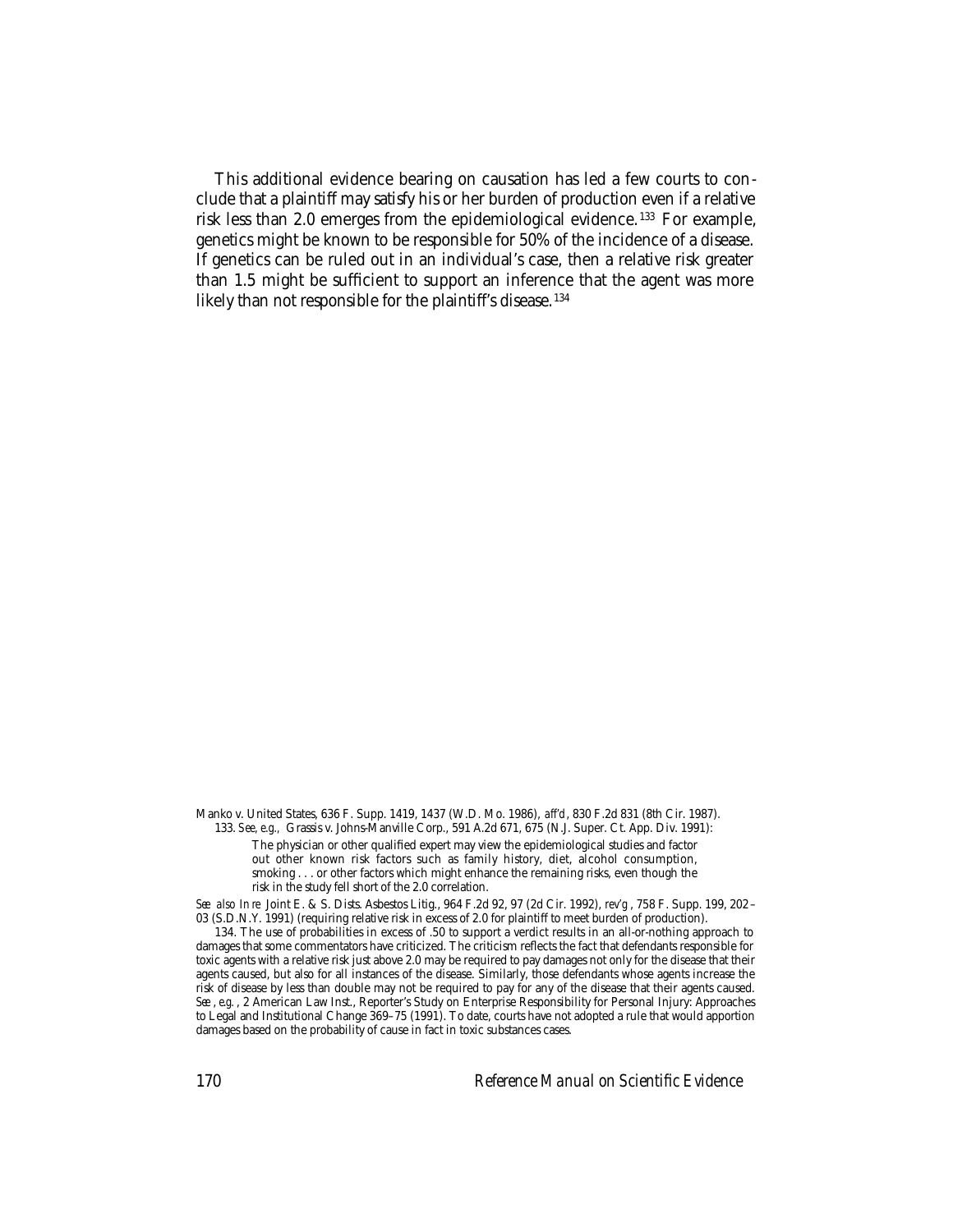This additional evidence bearing on causation has led a few courts to conclude that a plaintiff may satisfy his or her burden of production even if a relative risk less than 2.0 emerges from the epidemiological evidence. 133 For example, genetics might be known to be responsible for 50% of the incidence of a disease. If genetics can be ruled out in an individual's case, then a relative risk greater than 1.5 might be sufficient to support an inference that the agent was more likely than not responsible for the plaintiff's disease.<sup>134</sup>

Manko v. United States, 636 F. Supp. 1419, 1437 (W.D. Mo. 1986), *aff'd*, 830 F.2d 831 (8th Cir. 1987). 133. *See, e.g.,* Grassis v. Johns-Manville Corp., 591 A.2d 671, 675 (N.J. Super. Ct. App. Div. 1991):

The physician or other qualified expert may view the epidemiological studies and factor out other known risk factors such as family history, diet, alcohol consumption, smoking . . . or other factors which might enhance the remaining risks, even though the risk in the study fell short of the 2.0 correlation.

*See also In re* Joint E. & S. Dists. Asbestos Litig., 964 F.2d 92, 97 (2d Cir. 1992), *rev'g* , 758 F. Supp. 199, 202 – 03 (S.D.N.Y. 1991) (requiring relative risk in excess of 2.0 for plaintiff to meet burden of production).

134. The use of probabilities in excess of .50 to support a verdict results in an all-or-nothing approach to damages that some commentators have criticized. The criticism reflects the fact that defendants responsible for toxic agents with a relative risk just above 2.0 may be required to pay damages not only for the disease that their agents caused, but also for all instances of the disease. Similarly, those defendants whose agents increase the risk of disease by less than double may not be required to pay for any of the disease that their agents caused. *See* , *e.g.* , 2 American Law Inst., Reporter's Study on Enterprise Responsibility for Personal Injury: Approaches to Legal and Institutional Change 369–75 (1991). To date, courts have not adopted a rule that would apportion damages based on the probability of cause in fact in toxic substances cases.

170 *Reference Manual on Scientific Evidence*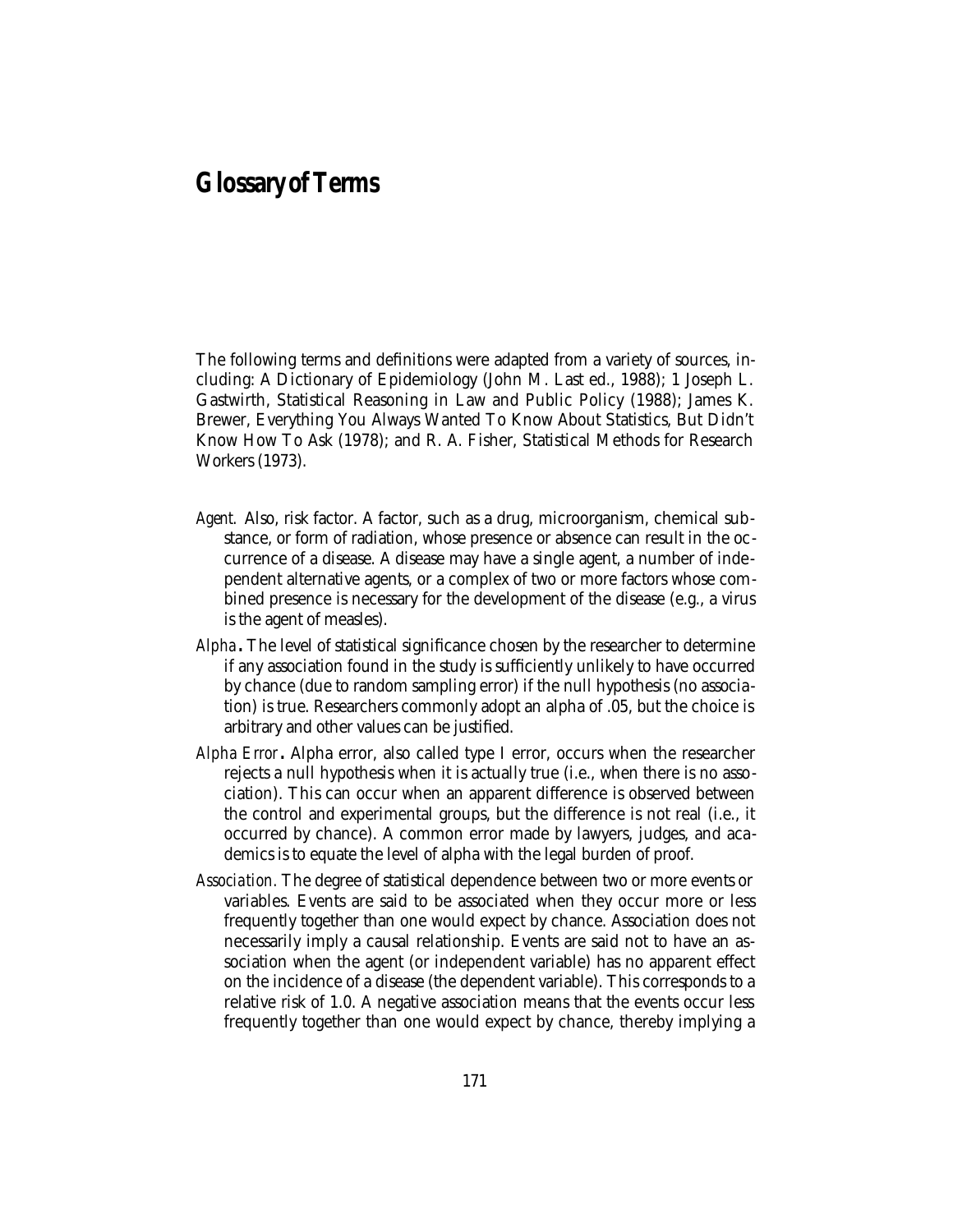## **Glossary of Terms**

The following terms and definitions were adapted from a variety of sources, including: A Dictionary of Epidemiology (John M. Last ed., 1988); 1 Joseph L. Gastwirth, Statistical Reasoning in Law and Public Policy (1988); James K. Brewer, Everything You Always Wanted To Know About Statistics, But Didn't Know How To Ask (1978); and R. A. Fisher, Statistical Methods for Research Workers (1973).

- *Agent.* Also, risk factor. A factor, such as a drug, microorganism, chemical substance, or form of radiation, whose presence or absence can result in the occurrence of a disease. A disease may have a single agent, a number of independent alternative agents, or a complex of two or more factors whose combined presence is necessary for the development of the disease (e.g., a virus is the agent of measles).
- *Alpha.* The level of statistical significance chosen by the researcher to determine if any association found in the study is sufficiently unlikely to have occurred by chance (due to random sampling error) if the null hypothesis (no association) is true. Researchers commonly adopt an alpha of .05, but the choice is arbitrary and other values can be justified.
- *Alpha Error.* Alpha error, also called type I error, occurs when the researcher rejects a null hypothesis when it is actually true (i.e., when there is no association). This can occur when an apparent difference is observed between the control and experimental groups, but the difference is not real (i.e., it occurred by chance). A common error made by lawyers, judges, and academics is to equate the level of alpha with the legal burden of proof.
- *Association.* The degree of statistical dependence between two or more events or variables. Events are said to be associated when they occur more or less frequently together than one would expect by chance. Association does not necessarily imply a causal relationship. Events are said not to have an association when the agent (or independent variable) has no apparent effect on the incidence of a disease (the dependent variable). This corresponds to a relative risk of 1.0. A negative association means that the events occur less frequently together than one would expect by chance, thereby implying a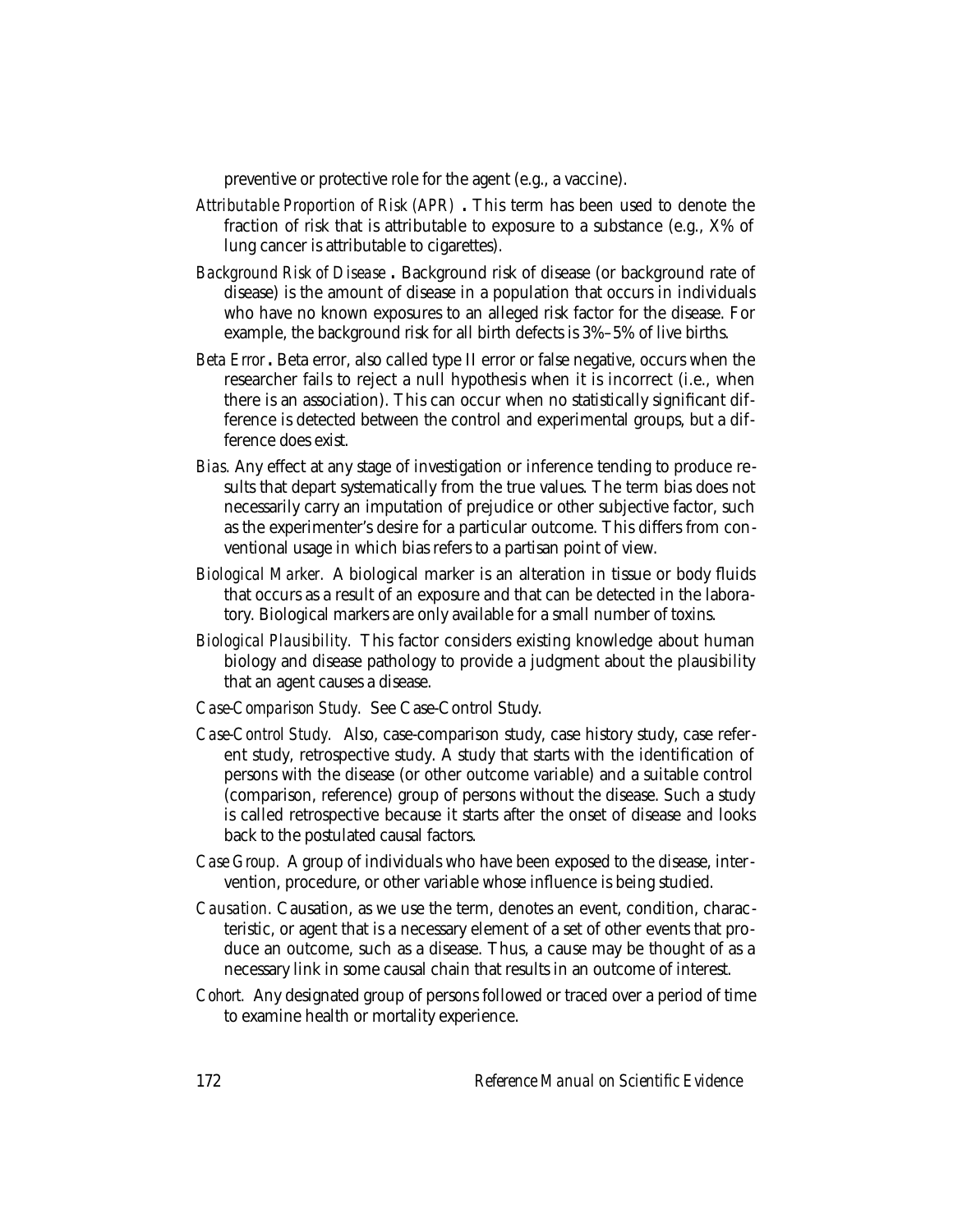preventive or protective role for the agent (e.g., a vaccine).

- *Attributable Proportion of Risk (APR) .* This term has been used to denote the fraction of risk that is attributable to exposure to a substance (e.g., X% of lung cancer is attributable to cigarettes).
- *Background Risk of Disease .* Background risk of disease (or background rate of disease) is the amount of disease in a population that occurs in individuals who have no known exposures to an alleged risk factor for the disease. For example, the background risk for all birth defects is 3%–5% of live births.
- *Beta Error .* Beta error, also called type II error or false negative, occurs when the researcher fails to reject a null hypothesis when it is incorrect (i.e., when there is an association). This can occur when no statistically significant difference is detected between the control and experimental groups, but a difference does exist.
- *Bias.* Any effect at any stage of investigation or inference tending to produce results that depart systematically from the true values. The term bias does not necessarily carry an imputation of prejudice or other subjective factor, such as the experimenter's desire for a particular outcome. This differs from conventional usage in which bias refers to a partisan point of view.
- *Biological Marker.* A biological marker is an alteration in tissue or body fluids that occurs as a result of an exposure and that can be detected in the laboratory. Biological markers are only available for a small number of toxins.
- *Biological Plausibility.* This factor considers existing knowledge about human biology and disease pathology to provide a judgment about the plausibility that an agent causes a disease.
- *Case-Comparison Study.* See Case-Control Study.
- *Case-Control Study.* Also, case-comparison study, case history study, case referent study, retrospective study. A study that starts with the identification of persons with the disease (or other outcome variable) and a suitable control (comparison, reference) group of persons without the disease. Such a study is called retrospective because it starts after the onset of disease and looks back to the postulated causal factors.
- *Case Group.* A group of individuals who have been exposed to the disease, intervention, procedure, or other variable whose influence is being studied.
- *Causation.* Causation, as we use the term, denotes an event, condition, characteristic, or agent that is a necessary element of a set of other events that produce an outcome, such as a disease. Thus, a cause may be thought of as a necessary link in some causal chain that results in an outcome of interest.
- *Cohort.* Any designated group of persons followed or traced over a period of time to examine health or mortality experience.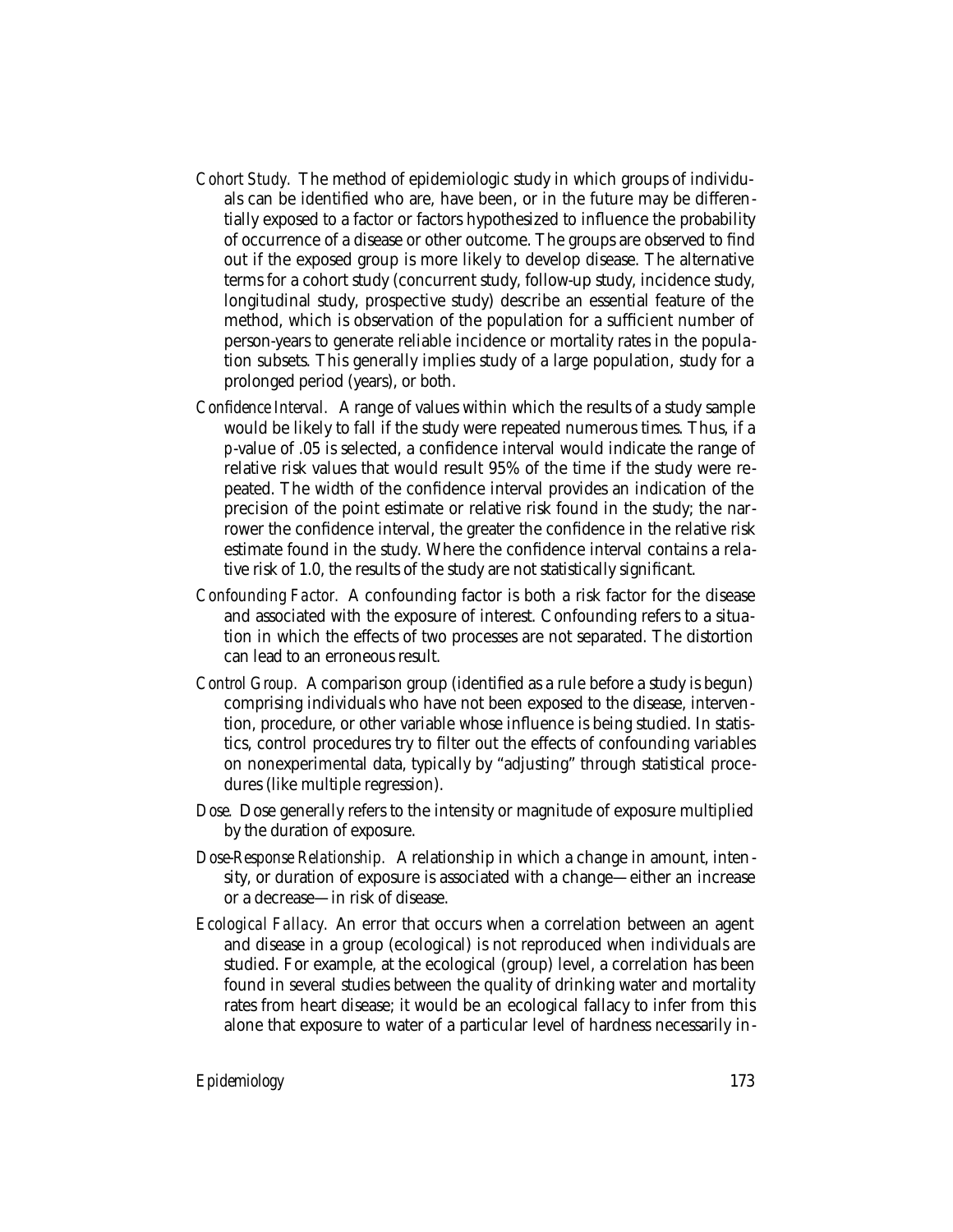- *Cohort Study.* The method of epidemiologic study in which groups of individuals can be identified who are, have been, or in the future may be differentially exposed to a factor or factors hypothesized to influence the probability of occurrence of a disease or other outcome. The groups are observed to find out if the exposed group is more likely to develop disease. The alternative terms for a cohort study (concurrent study, follow-up study, incidence study, longitudinal study, prospective study) describe an essential feature of the method, which is observation of the population for a sufficient number of person-years to generate reliable incidence or mortality rates in the population subsets. This generally implies study of a large population, study for a prolonged period (years), or both.
- *Confidence Interval.* A range of values within which the results of a study sample would be likely to fall if the study were repeated numerous times. Thus, if a *p*-value of .05 is selected, a confidence interval would indicate the range of relative risk values that would result 95% of the time if the study were repeated. The width of the confidence interval provides an indication of the precision of the point estimate or relative risk found in the study; the narrower the confidence interval, the greater the confidence in the relative risk estimate found in the study. Where the confidence interval contains a relative risk of 1.0, the results of the study are not statistically significant.
- *Confounding Factor.* A confounding factor is both a risk factor for the disease and associated with the exposure of interest. Confounding refers to a situation in which the effects of two processes are not separated. The distortion can lead to an erroneous result.
- *Control Group.* A comparison group (identified as a rule before a study is begun) comprising individuals who have not been exposed to the disease, intervention, procedure, or other variable whose influence is being studied. In statistics, control procedures try to filter out the effects of confounding variables on nonexperimental data, typically by "adjusting" through statistical procedures (like multiple regression).
- *Dose.* Dose generally refers to the intensity or magnitude of exposure multiplied by the duration of exposure.
- *Dose-Response Relationship.* A relationship in which a change in amount, intensity, or duration of exposure is associated with a change—either an increase or a decrease—in risk of disease.
- *Ecological Fallacy.* An error that occurs when a correlation between an agent and disease in a group (ecological) is not reproduced when individuals are studied. For example, at the ecological (group) level, a correlation has been found in several studies between the quality of drinking water and mortality rates from heart disease; it would be an ecological fallacy to infer from this alone that exposure to water of a particular level of hardness necessarily in-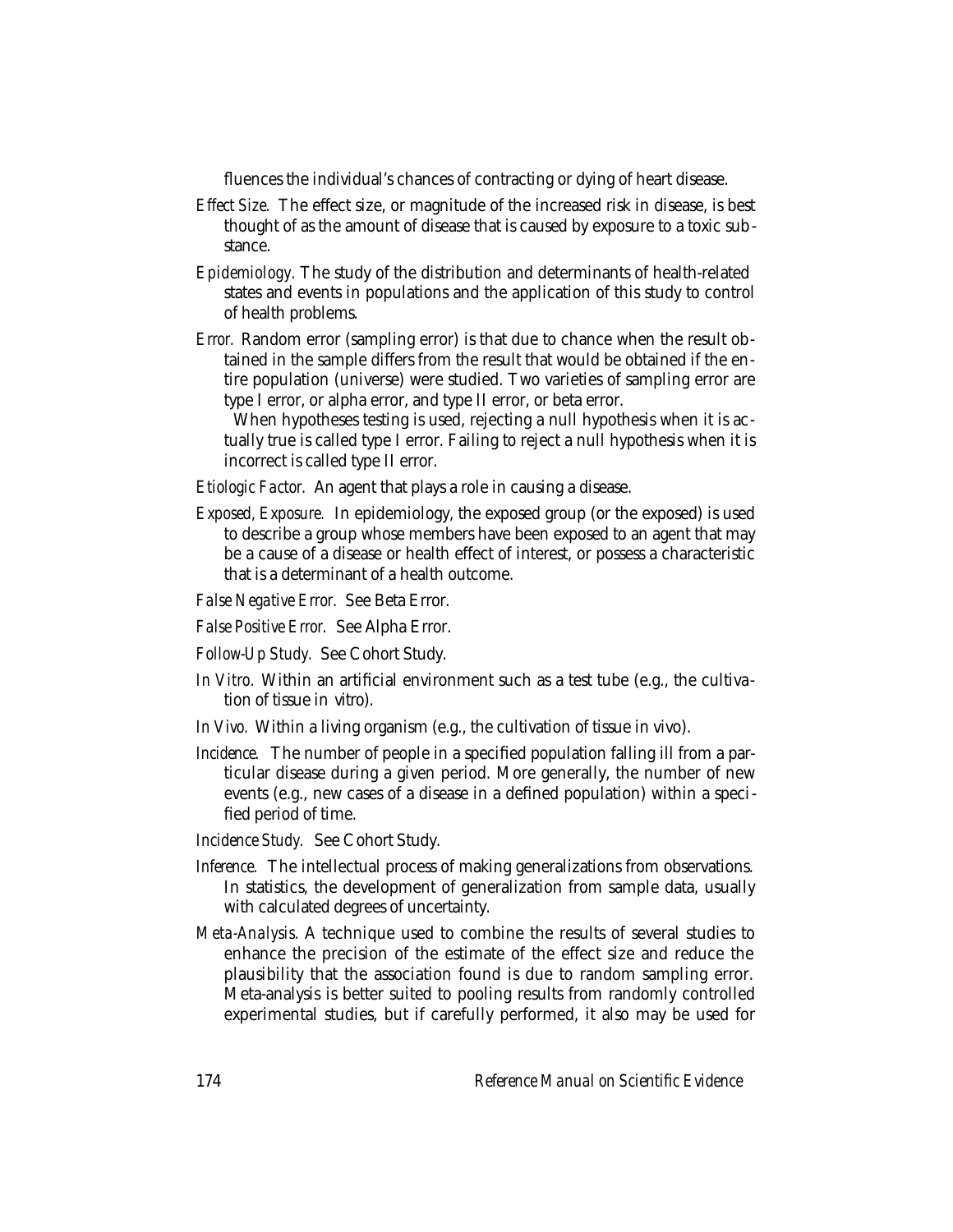fluences the individual's chances of contracting or dying of heart disease.

- *Effect Size.* The effect size, or magnitude of the increased risk in disease, is best thought of as the amount of disease that is caused by exposure to a toxic substance.
- *Epidemiology.* The study of the distribution and determinants of health-related states and events in populations and the application of this study to control of health problems.
- *Error.* Random error (sampling error) is that due to chance when the result obtained in the sample differs from the result that would be obtained if the entire population (universe) were studied. Two varieties of sampling error are type I error, or alpha error, and type II error, or beta error.

When hypotheses testing is used, rejecting a null hypothesis when it is actually true is called type I error. Failing to reject a null hypothesis when it is incorrect is called type II error.

*Etiologic Factor.* An agent that plays a role in causing a disease.

- *Exposed, Exposure.* In epidemiology, the exposed group (or the exposed) is used to describe a group whose members have been exposed to an agent that may be a cause of a disease or health effect of interest, or possess a characteristic that is a determinant of a health outcome.
- *False Negative Error.* See Beta Error.
- *False Positive Error.* See Alpha Error.
- *Follow-Up Study.* See Cohort Study.
- *In Vitro.* Within an artificial environment such as a test tube (e.g., the cultivation of tissue in vitro).
- *In Vivo.* Within a living organism (e.g., the cultivation of tissue in vivo).
- *Incidence.* The number of people in a specified population falling ill from a particular disease during a given period. More generally, the number of new events (e.g., new cases of a disease in a defined population) within a specified period of time.
- *Incidence Study.* See Cohort Study.
- *Inference.* The intellectual process of making generalizations from observations. In statistics, the development of generalization from sample data, usually with calculated degrees of uncertainty.
- *Meta-Analysis.* A technique used to combine the results of several studies to enhance the precision of the estimate of the effect size and reduce the plausibility that the association found is due to random sampling error. Meta-analysis is better suited to pooling results from randomly controlled experimental studies, but if carefully performed, it also may be used for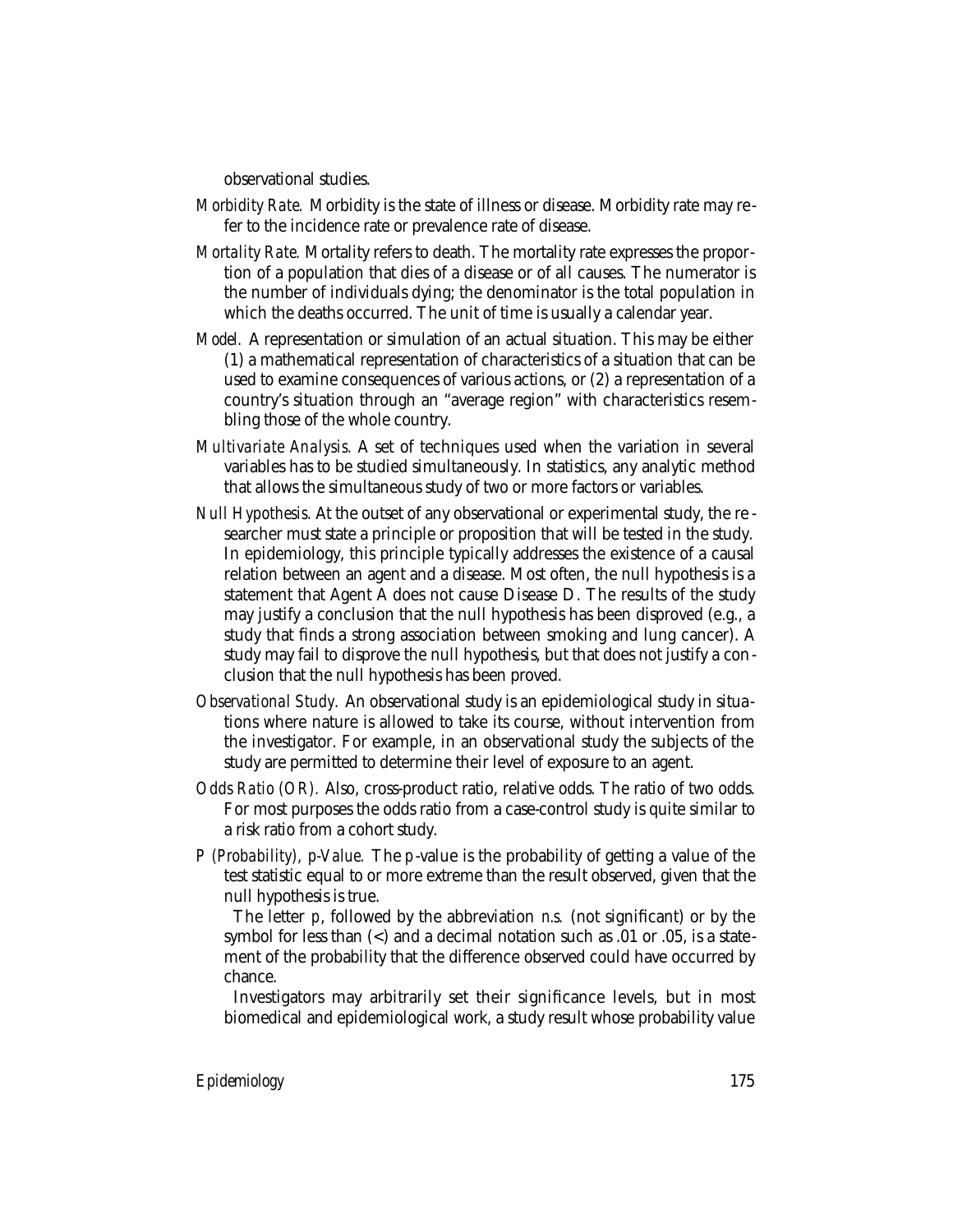observational studies.

- *Morbidity Rate.* Morbidity is the state of illness or disease. Morbidity rate may refer to the incidence rate or prevalence rate of disease.
- *Mortality Rate.* Mortality refers to death. The mortality rate expresses the proportion of a population that dies of a disease or of all causes. The numerator is the number of individuals dying; the denominator is the total population in which the deaths occurred. The unit of time is usually a calendar year.
- *Model.* A representation or simulation of an actual situation. This may be either (1) a mathematical representation of characteristics of a situation that can be used to examine consequences of various actions, or (2) a representation of a country's situation through an "average region" with characteristics resembling those of the whole country.
- *Multivariate Analysis.* A set of techniques used when the variation in several variables has to be studied simultaneously. In statistics, any analytic method that allows the simultaneous study of two or more factors or variables.
- *Null Hypothesis.* At the outset of any observational or experimental study, the re searcher must state a principle or proposition that will be tested in the study. In epidemiology, this principle typically addresses the existence of a causal relation between an agent and a disease. Most often, the null hypothesis is a statement that Agent A does not cause Disease D. The results of the study may justify a conclusion that the null hypothesis has been disproved (e.g., a study that finds a strong association between smoking and lung cancer). A study may fail to disprove the null hypothesis, but that does not justify a conclusion that the null hypothesis has been proved.
- *Observational Study.* An observational study is an epidemiological study in situations where nature is allowed to take its course, without intervention from the investigator. For example, in an observational study the subjects of the study are permitted to determine their level of exposure to an agent.
- *Odds Ratio (OR).* Also, cross-product ratio, relative odds. The ratio of two odds. For most purposes the odds ratio from a case-control study is quite similar to a risk ratio from a cohort study.
- *P (Probability), p-Value.* The *p*-value is the probability of getting a value of the test statistic equal to or more extreme than the result observed, given that the null hypothesis is true.

The letter *p*, followed by the abbreviation *n.s.* (not significant) or by the symbol for less than (<) and a decimal notation such as .01 or .05, is a statement of the probability that the difference observed could have occurred by chance.

Investigators may arbitrarily set their significance levels, but in most biomedical and epidemiological work, a study result whose probability value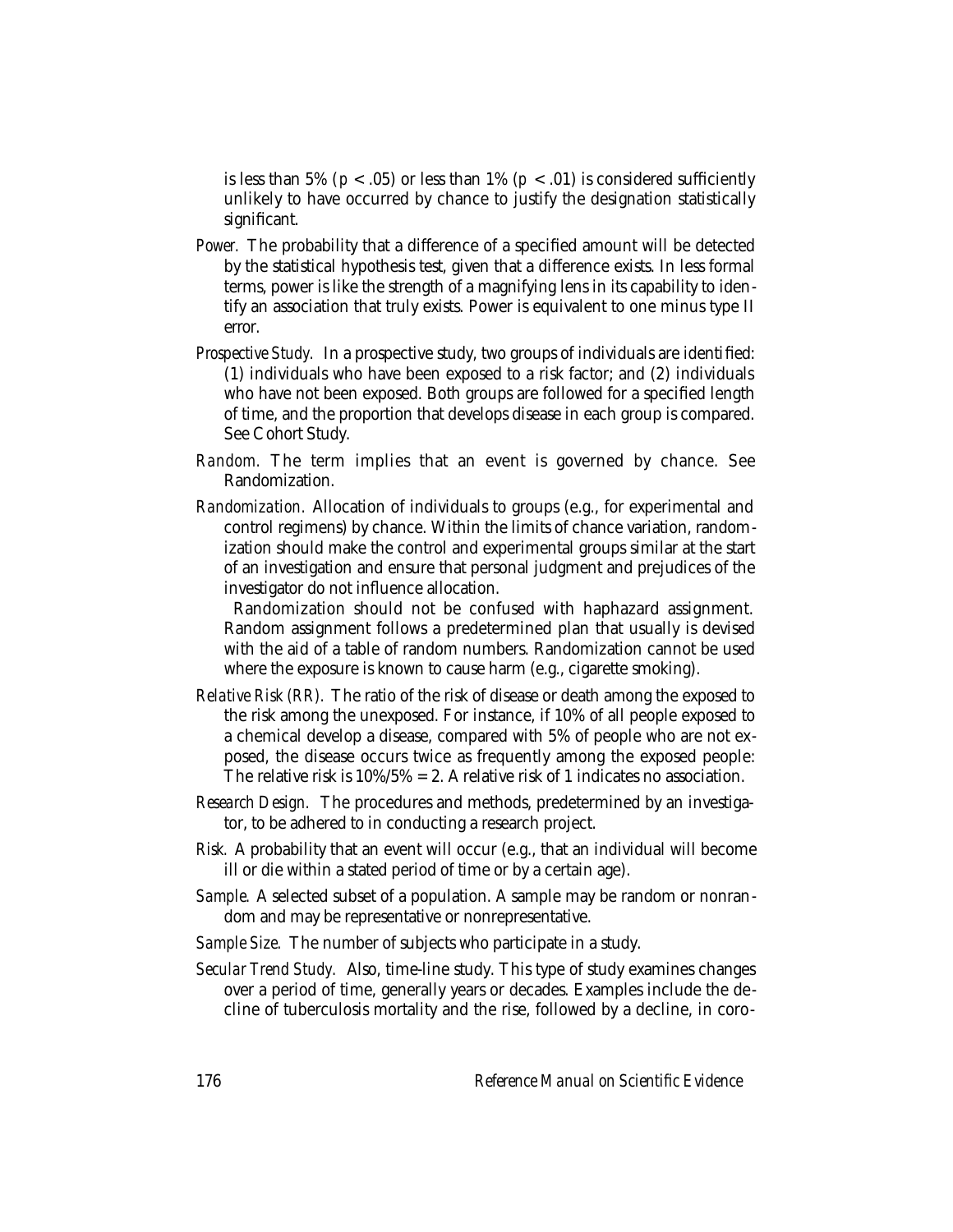is less than 5% ( $p < .05$ ) or less than 1% ( $p < .01$ ) is considered sufficiently unlikely to have occurred by chance to justify the designation statistically significant.

- *Power.* The probability that a difference of a specified amount will be detected by the statistical hypothesis test, given that a difference exists. In less formal terms, power is like the strength of a magnifying lens in its capability to identify an association that truly exists. Power is equivalent to one minus type II error.
- *Prospective Study.* In a prospective study, two groups of individuals are identified: (1) individuals who have been exposed to a risk factor; and (2) individuals who have not been exposed. Both groups are followed for a specified length of time, and the proportion that develops disease in each group is compared. See Cohort Study.
- *Random.* The term implies that an event is governed by chance. See Randomization.
- *Randomization.* Allocation of individuals to groups (e.g., for experimental and control regimens) by chance. Within the limits of chance variation, randomization should make the control and experimental groups similar at the start of an investigation and ensure that personal judgment and prejudices of the investigator do not influence allocation.

Randomization should not be confused with haphazard assignment. Random assignment follows a predetermined plan that usually is devised with the aid of a table of random numbers. Randomization cannot be used where the exposure is known to cause harm (e.g., cigarette smoking).

- *Relative Risk (RR).* The ratio of the risk of disease or death among the exposed to the risk among the unexposed. For instance, if 10% of all people exposed to a chemical develop a disease, compared with 5% of people who are not exposed, the disease occurs twice as frequently among the exposed people: The relative risk is  $10\%/5\% = 2$ . A relative risk of 1 indicates no association.
- *Research Design.* The procedures and methods, predetermined by an investigator, to be adhered to in conducting a research project.
- *Risk.* A probability that an event will occur (e.g., that an individual will become ill or die within a stated period of time or by a certain age).
- *Sample.* A selected subset of a population. A sample may be random or nonrandom and may be representative or nonrepresentative.
- *Sample Size.* The number of subjects who participate in a study.
- *Secular Trend Study.* Also, time-line study. This type of study examines changes over a period of time, generally years or decades. Examples include the decline of tuberculosis mortality and the rise, followed by a decline, in coro-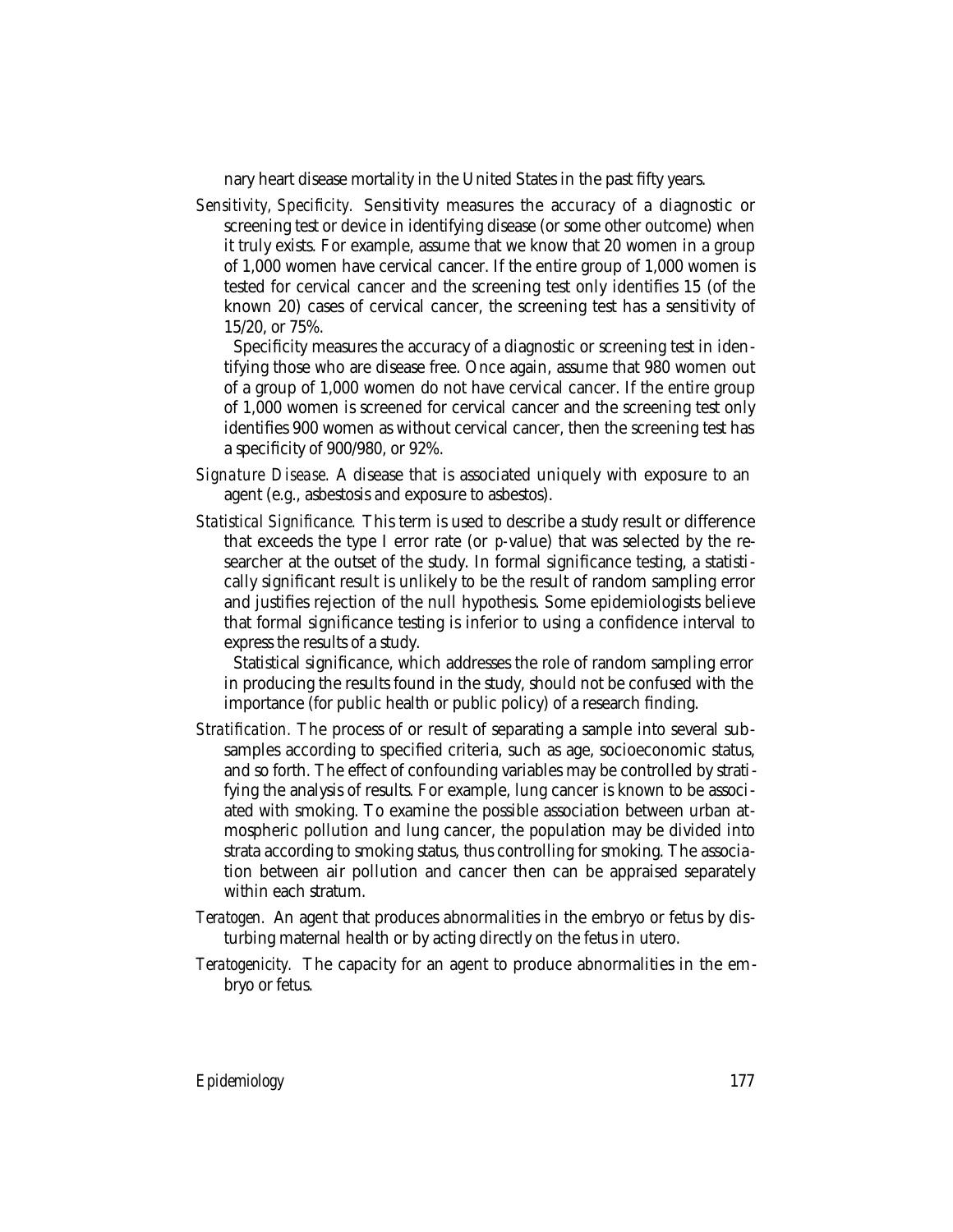nary heart disease mortality in the United States in the past fifty years.

*Sensitivity, Specificity.* Sensitivity measures the accuracy of a diagnostic or screening test or device in identifying disease (or some other outcome) when it truly exists. For example, assume that we know that 20 women in a group of 1,000 women have cervical cancer. If the entire group of 1,000 women is tested for cervical cancer and the screening test only identifies 15 (of the known 20) cases of cervical cancer, the screening test has a sensitivity of 15/20, or 75%.

Specificity measures the accuracy of a diagnostic or screening test in identifying those who are disease free. Once again, assume that 980 women out of a group of 1,000 women do not have cervical cancer. If the entire group of 1,000 women is screened for cervical cancer and the screening test only identifies 900 women as without cervical cancer, then the screening test has a specificity of 900/980, or 92%.

- *Signature Disease.* A disease that is associated uniquely with exposure to an agent (e.g., asbestosis and exposure to asbestos).
- *Statistical Significance.* This term is used to describe a study result or difference that exceeds the type I error rate (or *p-*value) that was selected by the researcher at the outset of the study. In formal significance testing, a statistically significant result is unlikely to be the result of random sampling error and justifies rejection of the null hypothesis. Some epidemiologists believe that formal significance testing is inferior to using a confidence interval to express the results of a study.

Statistical significance, which addresses the role of random sampling error in producing the results found in the study, should not be confused with the importance (for public health or public policy) of a research finding.

- *Stratification.* The process of or result of separating a sample into several subsamples according to specified criteria, such as age, socioeconomic status, and so forth. The effect of confounding variables may be controlled by stratifying the analysis of results. For example, lung cancer is known to be associated with smoking. To examine the possible association between urban atmospheric pollution and lung cancer, the population may be divided into strata according to smoking status, thus controlling for smoking. The association between air pollution and cancer then can be appraised separately within each stratum.
- *Teratogen.* An agent that produces abnormalities in the embryo or fetus by disturbing maternal health or by acting directly on the fetus in utero.
- *Teratogenicity.* The capacity for an agent to produce abnormalities in the embryo or fetus.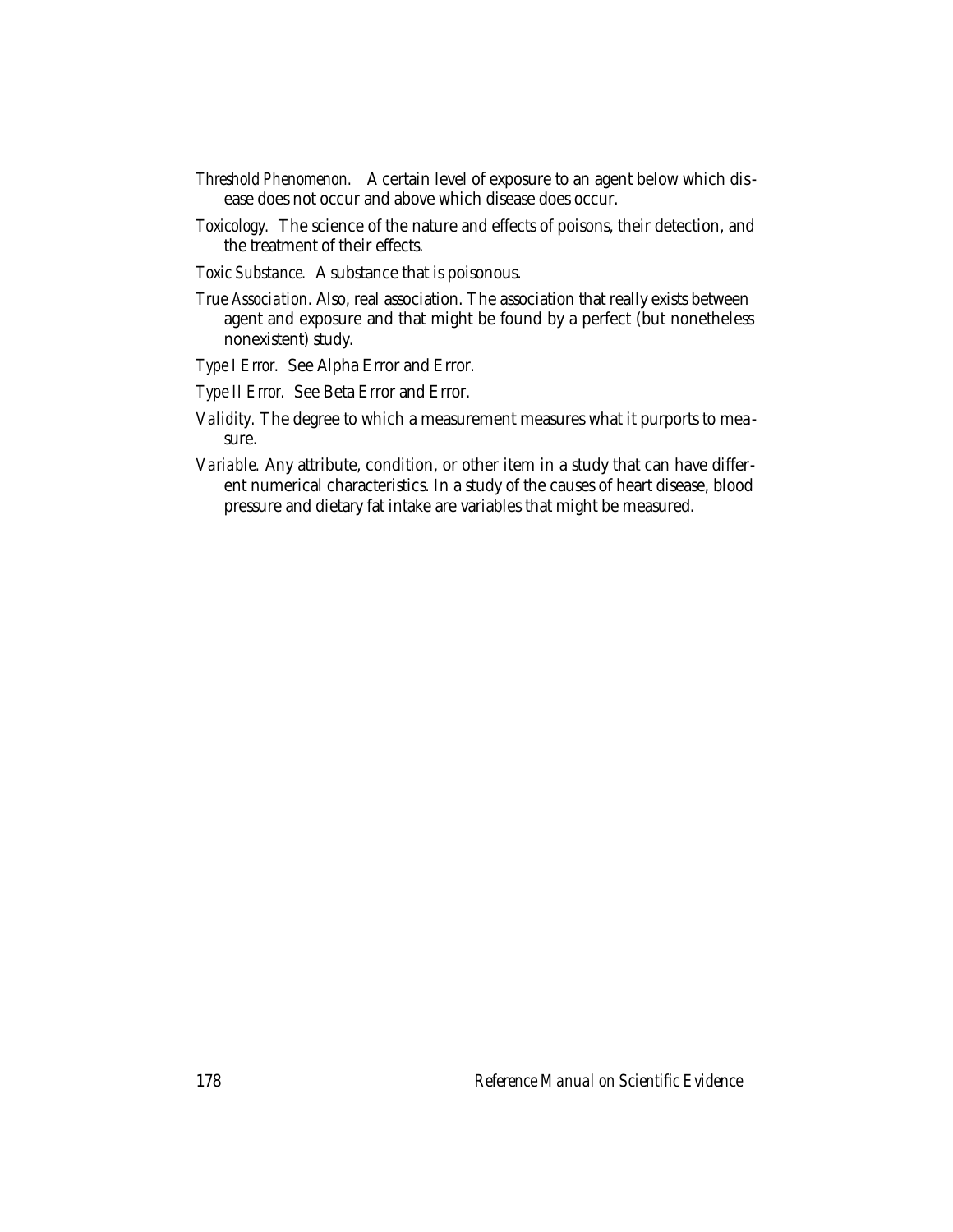- *Threshold Phenomenon.* A certain level of exposure to an agent below which disease does not occur and above which disease does occur.
- *Toxicology.* The science of the nature and effects of poisons, their detection, and the treatment of their effects.
- *Toxic Substance.* A substance that is poisonous.
- *True Association.* Also, real association. The association that really exists between agent and exposure and that might be found by a perfect (but nonetheless nonexistent) study.
- *Type I Error.* See Alpha Error and Error.
- *Type II Error.* See Beta Error and Error.
- *Validity.* The degree to which a measurement measures what it purports to measure.
- *Variable.* Any attribute, condition, or other item in a study that can have different numerical characteristics. In a study of the causes of heart disease, blood pressure and dietary fat intake are variables that might be measured.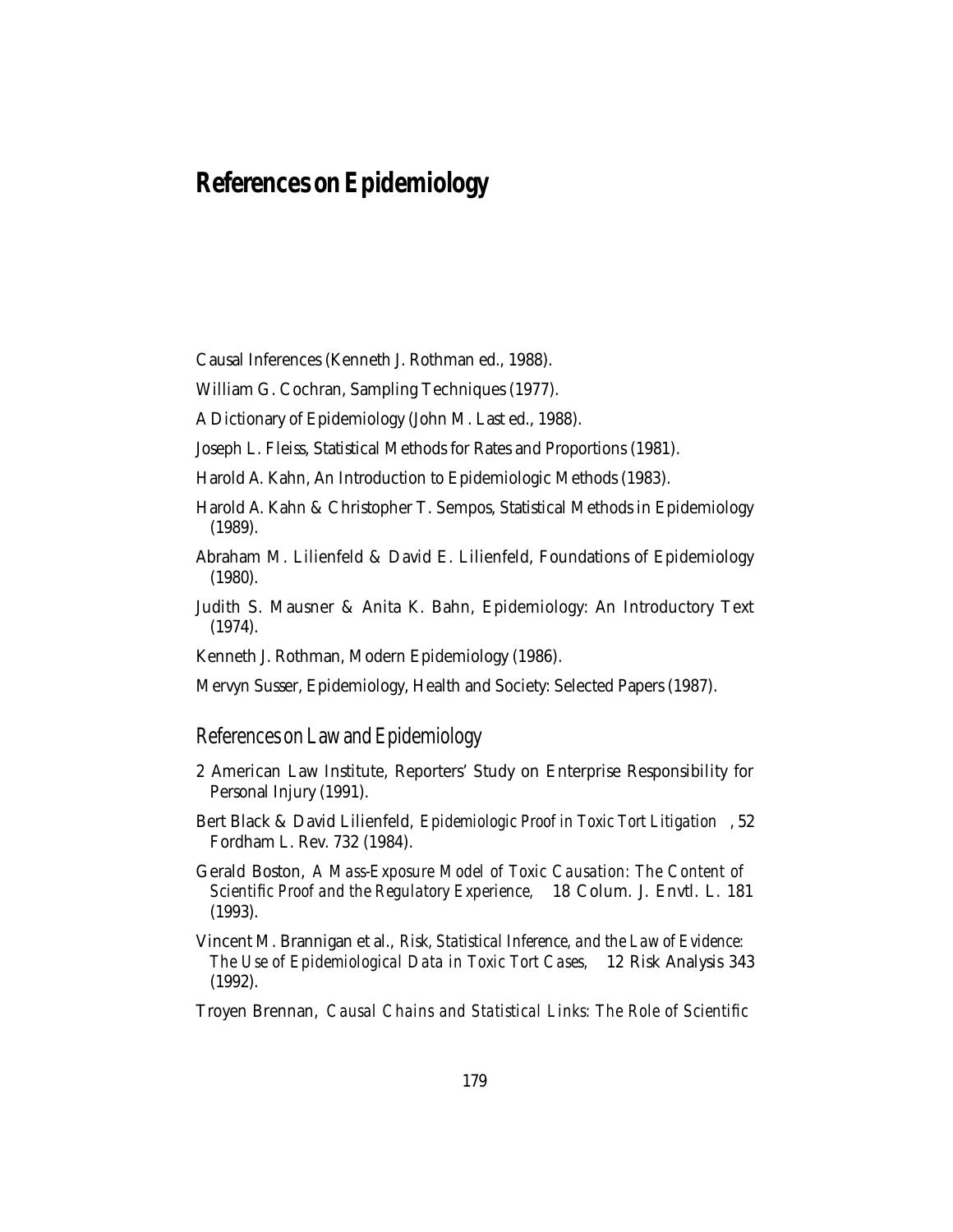# **References on Epidemiology**

Causal Inferences (Kenneth J. Rothman ed., 1988).

William G. Cochran, Sampling Techniques (1977).

A Dictionary of Epidemiology (John M. Last ed., 1988).

Joseph L. Fleiss, Statistical Methods for Rates and Proportions (1981).

Harold A. Kahn, An Introduction to Epidemiologic Methods (1983).

Harold A. Kahn & Christopher T. Sempos, Statistical Methods in Epidemiology (1989).

Abraham M. Lilienfeld & David E. Lilienfeld, Foundations of Epidemiology (1980).

Judith S. Mausner & Anita K. Bahn, Epidemiology: An Introductory Text (1974).

Kenneth J. Rothman, Modern Epidemiology (1986).

Mervyn Susser, Epidemiology, Health and Society: Selected Papers (1987).

### References on Law and Epidemiology

- 2 American Law Institute, Reporters' Study on Enterprise Responsibility for Personal Injury (1991).
- Bert Black & David Lilienfeld, *Epidemiologic Proof in Toxic Tort Litigation* , 52 Fordham L. Rev. 732 (1984).

Gerald Boston, *A Mass-Exposure Model of Toxic Causation: The Content of Scientific Proof and the Regulatory Experience,* 18 Colum. J. Envtl. L. 181 (1993).

Vincent M. Brannigan et al., *Risk, Statistical Inference, and the Law of Evidence: The Use of Epidemiological Data in Toxic Tort Cases,* 12 Risk Analysis 343 (1992).

Troyen Brennan, *Causal Chains and Statistical Links: The Role of Scientific*